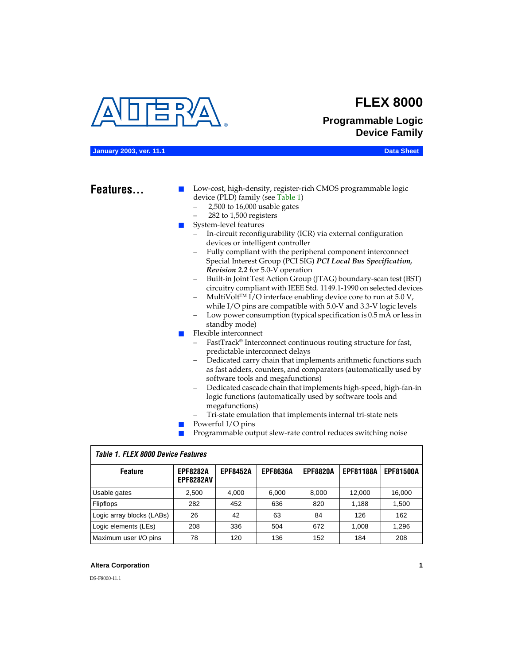<span id="page-0-1"></span>

# **FLEX 8000**

# **Programmable Logic Device Family**

#### **January 2003, ver. 11.1 Data Sheet**

# Features...

Low-cost, high-density, register-rich CMOS programmable logic device (PLD) family (see [Table 1\)](#page-0-0)

- 2,500 to 16,000 usable gates
- 282 to 1,500 registers
- System-level features
	- In-circuit reconfigurability (ICR) via external configuration devices or intelligent controller
	- Fully compliant with the peripheral component interconnect Special Interest Group (PCI SIG) *PCI Local Bus Specification, Revision 2.2* for 5.0-V operation
	- Built-in Joint Test Action Group (JTAG) boundary-scan test (BST) circuitry compliant with IEEE Std. 1149.1-1990 on selected devices
	- MultiVolt<sup>™</sup> I/O interface enabling device core to run at  $5.0 V$ , while I/O pins are compatible with 5.0-V and 3.3-V logic levels
	- Low power consumption (typical specification is 0.5 mA or less in standby mode)
- Flexible interconnect
	- FastTrack<sup>®</sup> Interconnect continuous routing structure for fast, predictable interconnect delays
	- Dedicated carry chain that implements arithmetic functions such as fast adders, counters, and comparators (automatically used by software tools and megafunctions)
	- Dedicated cascade chain that implements high-speed, high-fan-in logic functions (automatically used by software tools and megafunctions)
	- Tri-state emulation that implements internal tri-state nets
- Powerful I/O pins
- Programmable output slew-rate control reduces switching noise

| <b>Feature</b>            | <b>EPF8282A</b><br><b>EPF8282AV</b> | <b>EPF8452A</b> | <b>EPF8636A</b> | <b>EPF8820A</b> | <b>EPF81188A</b> | <b>EPF81500A</b> |  |  |  |  |  |
|---------------------------|-------------------------------------|-----------------|-----------------|-----------------|------------------|------------------|--|--|--|--|--|
| Usable gates              | 2,500                               | 4.000           | 6,000           | 8,000           | 12.000           | 16,000           |  |  |  |  |  |
| <b>Flipflops</b>          | 282                                 | 452             | 636             | 820             | 1.188            | 1,500            |  |  |  |  |  |
| Logic array blocks (LABs) | 26                                  | 42              | 63              | 84              | 126              | 162              |  |  |  |  |  |
| Logic elements (LEs)      | 208                                 | 336             | 504             | 672             | 1.008            | 1,296            |  |  |  |  |  |
| Maximum user I/O pins     | 78                                  | 120             | 136             | 152             | 184              | 208              |  |  |  |  |  |

#### <span id="page-0-0"></span>*Table 1. FLEX 8000 Device Features*

#### **Altera Corporation 1**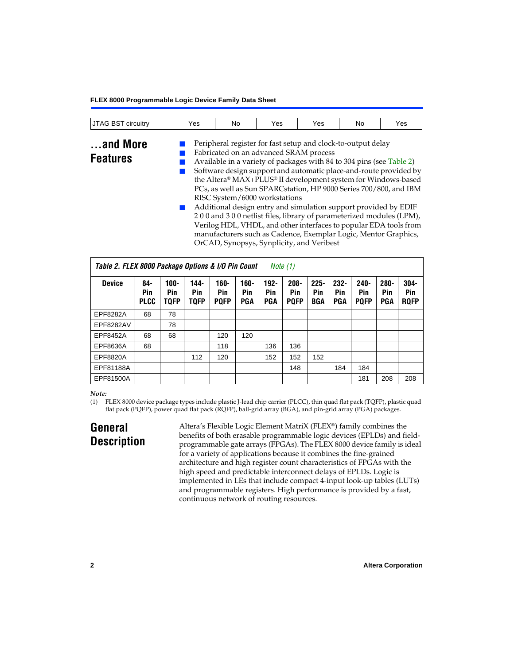| circuitry<br>$\Lambda$ ( $\geq$<br>IJIAG BSI | Yes | No | Yes | Yes | N0 | Yes |
|----------------------------------------------|-----|----|-----|-----|----|-----|

# **...and More Features**

Peripheral register for fast setup and clock-to-output delay

- Fabricated on an advanced SRAM process
	- Available in a variety of packages with 84 to 304 pins (see [Table 2](#page-1-1)) Software design support and automatic place-and-route provided by the Altera® MAX+PLUS® II development system for Windows-based PCs, as well as Sun SPARCstation, HP 9000 Series 700/800, and IBM RISC System/6000 workstations
	- Additional design entry and simulation support provided by EDIF 2 0 0 and 3 0 0 netlist files, library of parameterized modules (LPM), Verilog HDL, VHDL, and other interfaces to popular EDA tools from manufacturers such as Cadence, Exemplar Logic, Mentor Graphics, OrCAD, Synopsys, Synplicity, and Veribest

<span id="page-1-1"></span>

| Table 2. FLEX 8000 Package Options & I/O Pin Count<br>Note $(1)$ |                           |                               |                            |                            |                              |                              |                               |                              |                              |                               |                              |                               |
|------------------------------------------------------------------|---------------------------|-------------------------------|----------------------------|----------------------------|------------------------------|------------------------------|-------------------------------|------------------------------|------------------------------|-------------------------------|------------------------------|-------------------------------|
| <b>Device</b>                                                    | 84-<br>Pin<br><b>PLCC</b> | $100 -$<br>Pin<br><b>TOFP</b> | 144-<br>Pin<br><b>TQFP</b> | 160-<br>Pin<br><b>PQFP</b> | $160 -$<br>Pin<br><b>PGA</b> | $192 -$<br>Pin<br><b>PGA</b> | $208 -$<br>Pin<br><b>PQFP</b> | $225 -$<br>Pin<br><b>BGA</b> | $232 -$<br>Pin<br><b>PGA</b> | $240 -$<br>Pin<br><b>POFP</b> | $280 -$<br>Pin<br><b>PGA</b> | $304 -$<br>Pin<br><b>RQFP</b> |
| EPF8282A                                                         | 68                        | 78                            |                            |                            |                              |                              |                               |                              |                              |                               |                              |                               |
| EPF8282AV                                                        |                           | 78                            |                            |                            |                              |                              |                               |                              |                              |                               |                              |                               |
| EPF8452A                                                         | 68                        | 68                            |                            | 120                        | 120                          |                              |                               |                              |                              |                               |                              |                               |
| EPF8636A                                                         | 68                        |                               |                            | 118                        |                              | 136                          | 136                           |                              |                              |                               |                              |                               |
| EPF8820A                                                         |                           |                               | 112                        | 120                        |                              | 152                          | 152                           | 152                          |                              |                               |                              |                               |
| EPF81188A                                                        |                           |                               |                            |                            |                              |                              | 148                           |                              | 184                          | 184                           |                              |                               |
| EPF81500A                                                        |                           |                               |                            |                            |                              |                              |                               |                              |                              | 181                           | 208                          | 208                           |

### *Note:*

<span id="page-1-0"></span>(1) FLEX 8000 device package types include plastic J-lead chip carrier (PLCC), thin quad flat pack (TQFP), plastic quad flat pack (PQFP), power quad flat pack (RQFP), ball-grid array (BGA), and pin-grid array (PGA) packages.

# **General Description**

Altera's Flexible Logic Element MatriX (FLEX®) family combines the benefits of both erasable programmable logic devices (EPLDs) and fieldprogrammable gate arrays (FPGAs). The FLEX 8000 device family is ideal for a variety of applications because it combines the fine-grained architecture and high register count characteristics of FPGAs with the high speed and predictable interconnect delays of EPLDs. Logic is implemented in LEs that include compact 4-input look-up tables (LUTs) and programmable registers. High performance is provided by a fast, continuous network of routing resources.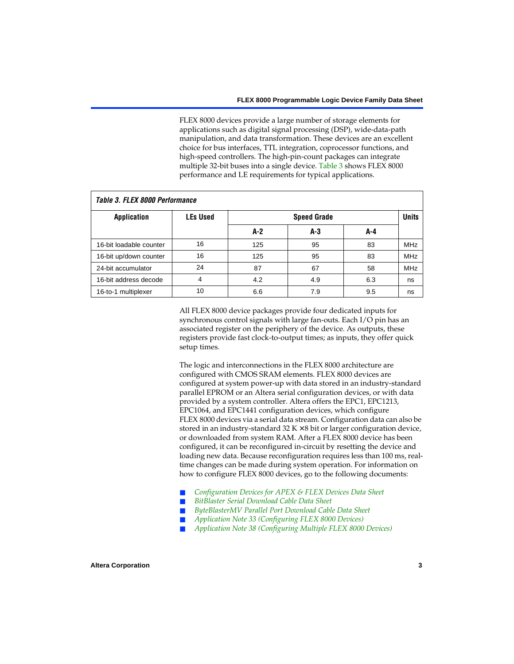FLEX 8000 devices provide a large number of storage elements for applications such as digital signal processing (DSP), wide-data-path manipulation, and data transformation. These devices are an excellent choice for bus interfaces, TTL integration, coprocessor functions, and high-speed controllers. The high-pin-count packages can integrate multiple 32-bit buses into a single device. [Table 3](#page-2-0) shows FLEX 8000 performance and LE requirements for typical applications.

<span id="page-2-0"></span>

| Tadie 3. Flex 8000 periormance |                 |       |                    |     |            |  |  |  |  |  |  |
|--------------------------------|-----------------|-------|--------------------|-----|------------|--|--|--|--|--|--|
| <b>Application</b>             | <b>LEs Used</b> |       | <b>Speed Grade</b> |     |            |  |  |  |  |  |  |
|                                |                 | $A-2$ | A-3                | A-4 |            |  |  |  |  |  |  |
| 16-bit loadable counter        | 16              | 125   | 95                 | 83  | <b>MHz</b> |  |  |  |  |  |  |
| 16-bit up/down counter         | 16              | 125   | 95                 | 83  | <b>MHz</b> |  |  |  |  |  |  |
| 24-bit accumulator             | 24              | 87    | 67                 | 58  | <b>MHz</b> |  |  |  |  |  |  |
| 16-bit address decode          | 4               | 4.2   | 4.9                | 6.3 | ns         |  |  |  |  |  |  |
| 16-to-1 multiplexer            | 10              | 6.6   | 7.9                | 9.5 | ns         |  |  |  |  |  |  |

# *Table 3. FLEX 8000 Performance*

All FLEX 8000 device packages provide four dedicated inputs for synchronous control signals with large fan-outs. Each I/O pin has an associated register on the periphery of the device. As outputs, these registers provide fast clock-to-output times; as inputs, they offer quick setup times.

The logic and interconnections in the FLEX 8000 architecture are configured with CMOS SRAM elements. FLEX 8000 devices are configured at system power-up with data stored in an industry-standard parallel EPROM or an Altera serial configuration devices, or with data provided by a system controller. Altera offers the EPC1, EPC1213, EPC1064, and EPC1441 configuration devices, which configure FLEX 8000 devices via a serial data stream. Configuration data can also be stored in an industry-standard  $32 K \times 8$  bit or larger configuration device, or downloaded from system RAM. After a FLEX 8000 device has been configured, it can be reconfigured in-circuit by resetting the device and loading new data. Because reconfiguration requires less than 100 ms, realtime changes can be made during system operation. For information on how to configure FLEX 8000 devices, go to the following documents:

- [Configuration Devices for APEX & FLEX Devices Data Sheet](#page-0-1)
- $BitBlaster$  Serial Download Cable Data Sheet
- [ByteBlasterMV Parallel Port Download Cable Data Sheet](#page-0-1)
- *[Application Note 33 \(Configuring FLEX 8000 Devices\)](#page-0-1)*
- *[Application Note 38 \(Configuring Multiple FLEX 8000 Devices\)](#page-0-1)*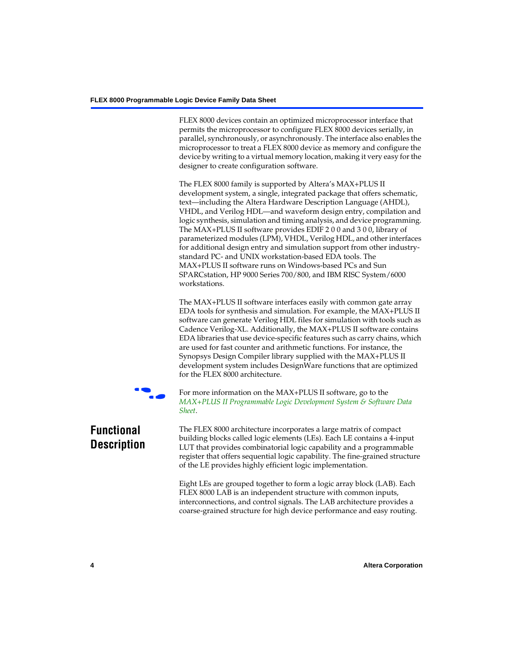FLEX 8000 devices contain an optimized microprocessor interface that permits the microprocessor to configure FLEX 8000 devices serially, in parallel, synchronously, or asynchronously. The interface also enables the microprocessor to treat a FLEX 8000 device as memory and configure the device by writing to a virtual memory location, making it very easy for the designer to create configuration software.

The FLEX 8000 family is supported by Altera's MAX+PLUS II development system, a single, integrated package that offers schematic, text—including the Altera Hardware Description Language (AHDL), VHDL, and Verilog HDL—and waveform design entry, compilation and logic synthesis, simulation and timing analysis, and device programming. The MAX+PLUS II software provides EDIF 2 0 0 and 3 0 0, library of parameterized modules (LPM), VHDL, Verilog HDL, and other interfaces for additional design entry and simulation support from other industrystandard PC- and UNIX workstation-based EDA tools. The MAX+PLUS II software runs on Windows-based PCs and Sun SPARCstation, HP 9000 Series 700/800, and IBM RISC System/6000 workstations.

The MAX+PLUS II software interfaces easily with common gate array EDA tools for synthesis and simulation. For example, the MAX+PLUS II software can generate Verilog HDL files for simulation with tools such as Cadence Verilog-XL. Additionally, the MAX+PLUS II software contains EDA libraries that use device-specific features such as carry chains, which are used for fast counter and arithmetic functions. For instance, the Synopsys Design Compiler library supplied with the MAX+PLUS II development system includes DesignWare functions that are optimized for the FLEX 8000 architecture.



For more information on the MAX+PLUS II software, go to the *[MAX+PLUS II Programmable Logic Development System & Software Data](#page-0-1)  [Sheet](#page-0-1)*.

# **Functional Description**

The FLEX 8000 architecture incorporates a large matrix of compact building blocks called logic elements (LEs). Each LE contains a 4-input LUT that provides combinatorial logic capability and a programmable register that offers sequential logic capability. The fine-grained structure of the LE provides highly efficient logic implementation.

Eight LEs are grouped together to form a logic array block (LAB). Each FLEX 8000 LAB is an independent structure with common inputs, interconnections, and control signals. The LAB architecture provides a coarse-grained structure for high device performance and easy routing.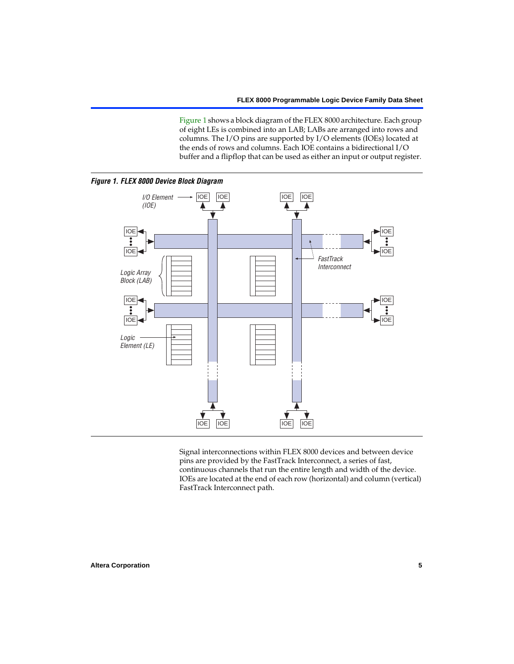[Figure 1](#page-4-0) shows a block diagram of the FLEX 8000 architecture. Each group of eight LEs is combined into an LAB; LABs are arranged into rows and columns. The I/O pins are supported by I/O elements (IOEs) located at the ends of rows and columns. Each IOE contains a bidirectional I/O buffer and a flipflop that can be used as either an input or output register.

<span id="page-4-0"></span>

Signal interconnections within FLEX 8000 devices and between device pins are provided by the FastTrack Interconnect, a series of fast, continuous channels that run the entire length and width of the device. IOEs are located at the end of each row (horizontal) and column (vertical) FastTrack Interconnect path.

#### **Altera Corporation 5**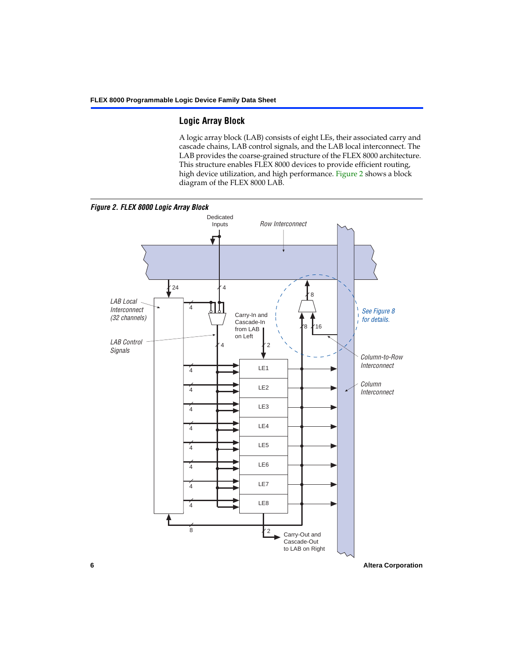## **Logic Array Block**

A logic array block (LAB) consists of eight LEs, their associated carry and cascade chains, LAB control signals, and the LAB local interconnect. The LAB provides the coarse-grained structure of the FLEX 8000 architecture. This structure enables FLEX 8000 devices to provide efficient routing, high device utilization, and high performance. [Figure 2](#page-5-0) shows a block diagram of the FLEX 8000 LAB.

<span id="page-5-0"></span>

**6 Altera Corporation**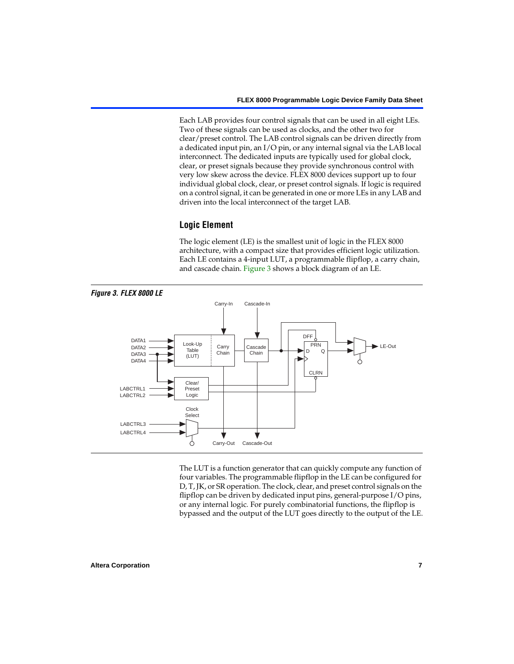Each LAB provides four control signals that can be used in all eight LEs. Two of these signals can be used as clocks, and the other two for clear/preset control. The LAB control signals can be driven directly from a dedicated input pin, an I/O pin, or any internal signal via the LAB local interconnect. The dedicated inputs are typically used for global clock, clear, or preset signals because they provide synchronous control with very low skew across the device. FLEX 8000 devices support up to four individual global clock, clear, or preset control signals. If logic is required on a control signal, it can be generated in one or more LEs in any LAB and driven into the local interconnect of the target LAB.

## **Logic Element**

The logic element (LE) is the smallest unit of logic in the FLEX 8000 architecture, with a compact size that provides efficient logic utilization. Each LE contains a 4-input LUT, a programmable flipflop, a carry chain, and cascade chain. [Figure 3](#page-6-0) shows a block diagram of an LE.

<span id="page-6-0"></span>

The LUT is a function generator that can quickly compute any function of four variables. The programmable flipflop in the LE can be configured for D, T, JK, or SR operation. The clock, clear, and preset control signals on the flipflop can be driven by dedicated input pins, general-purpose I/O pins, or any internal logic. For purely combinatorial functions, the flipflop is bypassed and the output of the LUT goes directly to the output of the LE.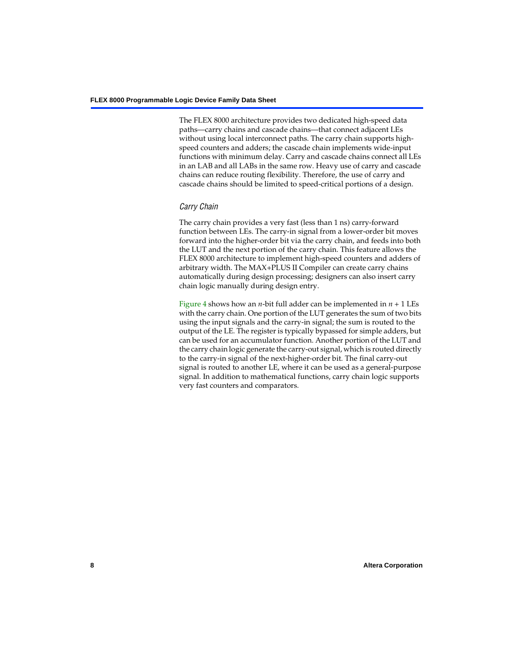The FLEX 8000 architecture provides two dedicated high-speed data paths—carry chains and cascade chains—that connect adjacent LEs without using local interconnect paths. The carry chain supports highspeed counters and adders; the cascade chain implements wide-input functions with minimum delay. Carry and cascade chains connect all LEs in an LAB and all LABs in the same row. Heavy use of carry and cascade chains can reduce routing flexibility. Therefore, the use of carry and cascade chains should be limited to speed-critical portions of a design.

## *Carry Chain*

The carry chain provides a very fast (less than 1 ns) carry-forward function between LEs. The carry-in signal from a lower-order bit moves forward into the higher-order bit via the carry chain, and feeds into both the LUT and the next portion of the carry chain. This feature allows the FLEX 8000 architecture to implement high-speed counters and adders of arbitrary width. The MAX+PLUS II Compiler can create carry chains automatically during design processing; designers can also insert carry chain logic manually during design entry.

[Figure 4](#page-8-0) shows how an *n*-bit full adder can be implemented in *n* + 1 LEs with the carry chain. One portion of the LUT generates the sum of two bits using the input signals and the carry-in signal; the sum is routed to the output of the LE. The register is typically bypassed for simple adders, but can be used for an accumulator function. Another portion of the LUT and the carry chain logic generate the carry-out signal, which is routed directly to the carry-in signal of the next-higher-order bit. The final carry-out signal is routed to another LE, where it can be used as a general-purpose signal. In addition to mathematical functions, carry chain logic supports very fast counters and comparators.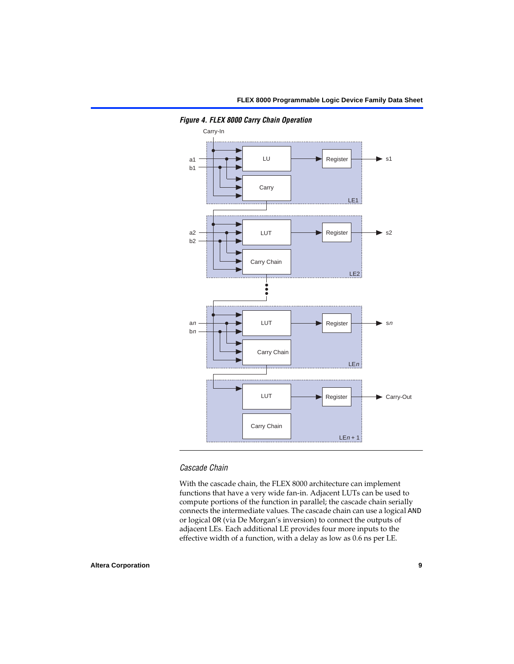

<span id="page-8-0"></span>*Figure 4. FLEX 8000 Carry Chain Operation*

### *Cascade Chain*

With the cascade chain, the FLEX 8000 architecture can implement functions that have a very wide fan-in. Adjacent LUTs can be used to compute portions of the function in parallel; the cascade chain serially connects the intermediate values. The cascade chain can use a logical AND or logical OR (via De Morgan's inversion) to connect the outputs of adjacent LEs. Each additional LE provides four more inputs to the effective width of a function, with a delay as low as 0.6 ns per LE.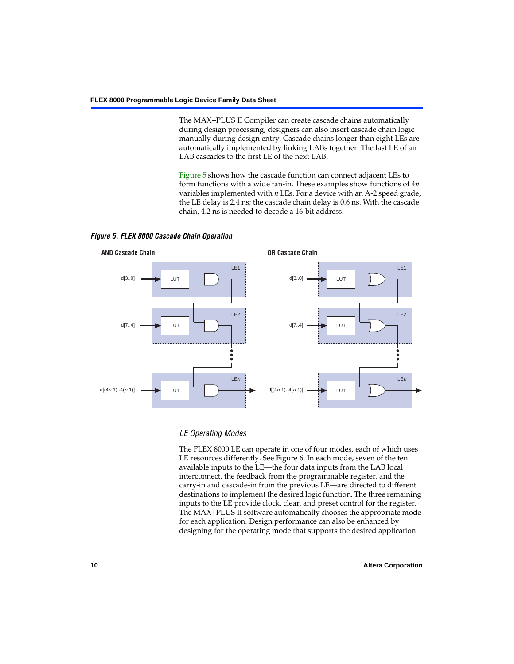The MAX+PLUS II Compiler can create cascade chains automatically during design processing; designers can also insert cascade chain logic manually during design entry. Cascade chains longer than eight LEs are automatically implemented by linking LABs together. The last LE of an LAB cascades to the first LE of the next LAB.

[Figure 5](#page-9-0) shows how the cascade function can connect adjacent LEs to form functions with a wide fan-in. These examples show functions of 4*n* variables implemented with *n* LEs. For a device with an A-2 speed grade, the LE delay is 2.4 ns; the cascade chain delay is 0.6 ns. With the cascade chain, 4.2 ns is needed to decode a 16-bit address.



<span id="page-9-0"></span>*Figure 5. FLEX 8000 Cascade Chain Operation*

## *LE Operating Modes*

The FLEX 8000 LE can operate in one of four modes, each of which uses LE resources differently. See [Figure 6](#page-10-0). In each mode, seven of the ten available inputs to the LE—the four data inputs from the LAB local interconnect, the feedback from the programmable register, and the carry-in and cascade-in from the previous LE—are directed to different destinations to implement the desired logic function. The three remaining inputs to the LE provide clock, clear, and preset control for the register. The MAX+PLUS II software automatically chooses the appropriate mode for each application. Design performance can also be enhanced by designing for the operating mode that supports the desired application.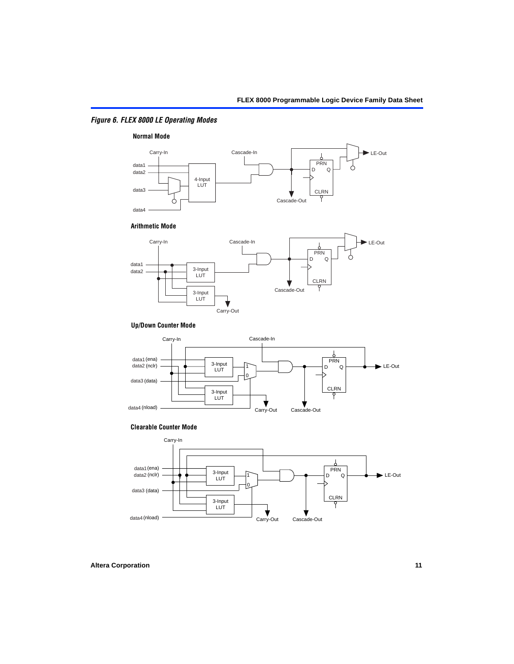## <span id="page-10-0"></span>*Figure 6. FLEX 8000 LE Operating Modes*



#### **Arithmetic Mode**



#### **Up/Down Counter Mode**



#### **Clearable Counter Mode**

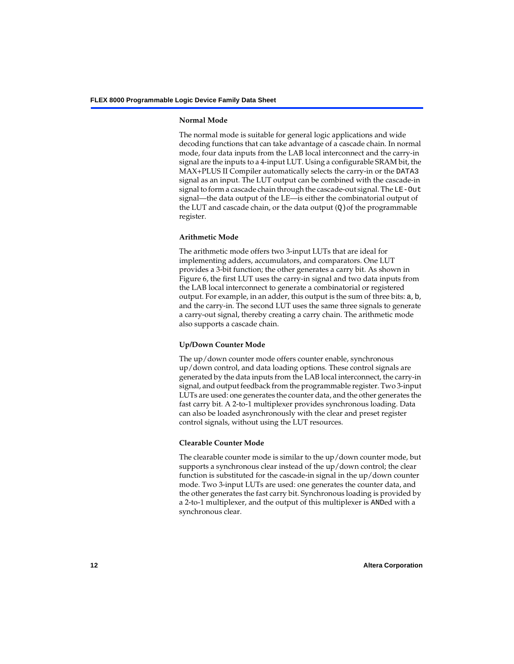#### **Normal Mode**

The normal mode is suitable for general logic applications and wide decoding functions that can take advantage of a cascade chain. In normal mode, four data inputs from the LAB local interconnect and the carry-in signal are the inputs to a 4-input LUT. Using a configurable SRAM bit, the MAX+PLUS II Compiler automatically selects the carry-in or the DATA3 signal as an input. The LUT output can be combined with the cascade-in signal to form a cascade chain through the cascade-out signal. The LE-Out signal—the data output of the LE—is either the combinatorial output of the LUT and cascade chain, or the data output  $(Q)$  of the programmable register.

#### **Arithmetic Mode**

The arithmetic mode offers two 3-input LUTs that are ideal for implementing adders, accumulators, and comparators. One LUT provides a 3-bit function; the other generates a carry bit. As shown in [Figure 6](#page-10-0), the first LUT uses the carry-in signal and two data inputs from the LAB local interconnect to generate a combinatorial or registered output. For example, in an adder, this output is the sum of three bits: a, b, and the carry-in. The second LUT uses the same three signals to generate a carry-out signal, thereby creating a carry chain. The arithmetic mode also supports a cascade chain.

### **Up/Down Counter Mode**

The up/down counter mode offers counter enable, synchronous up/down control, and data loading options. These control signals are generated by the data inputs from the LAB local interconnect, the carry-in signal, and output feedback from the programmable register. Two 3-input LUTs are used: one generates the counter data, and the other generates the fast carry bit. A 2-to-1 multiplexer provides synchronous loading. Data can also be loaded asynchronously with the clear and preset register control signals, without using the LUT resources.

#### **Clearable Counter Mode**

The clearable counter mode is similar to the up/down counter mode, but supports a synchronous clear instead of the up/down control; the clear function is substituted for the cascade-in signal in the up/down counter mode. Two 3-input LUTs are used: one generates the counter data, and the other generates the fast carry bit. Synchronous loading is provided by a 2-to-1 multiplexer, and the output of this multiplexer is ANDed with a synchronous clear.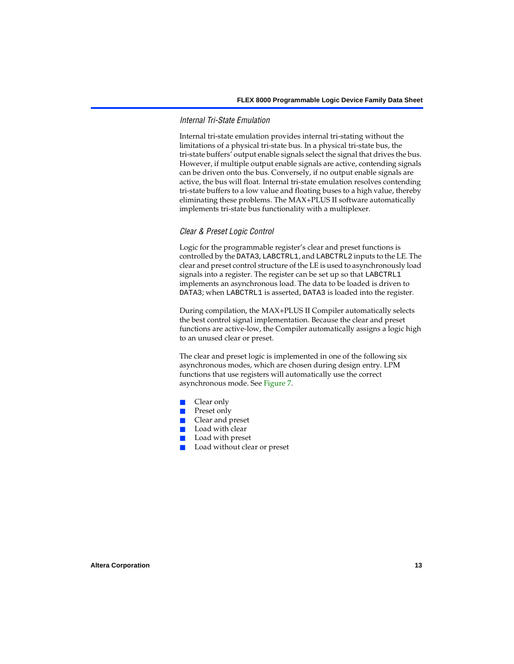#### *Internal Tri-State Emulation*

Internal tri-state emulation provides internal tri-stating without the limitations of a physical tri-state bus. In a physical tri-state bus, the tri-state buffers' output enable signals select the signal that drives the bus. However, if multiple output enable signals are active, contending signals can be driven onto the bus. Conversely, if no output enable signals are active, the bus will float. Internal tri-state emulation resolves contending tri-state buffers to a low value and floating buses to a high value, thereby eliminating these problems. The MAX+PLUS II software automatically implements tri-state bus functionality with a multiplexer.

#### *Clear & Preset Logic Control*

Logic for the programmable register's clear and preset functions is controlled by the DATA3, LABCTRL1, and LABCTRL2 inputs to the LE. The clear and preset control structure of the LE is used to asynchronously load signals into a register. The register can be set up so that LABCTRL1 implements an asynchronous load. The data to be loaded is driven to DATA3; when LABCTRL1 is asserted, DATA3 is loaded into the register.

During compilation, the MAX+PLUS II Compiler automatically selects the best control signal implementation. Because the clear and preset functions are active-low, the Compiler automatically assigns a logic high to an unused clear or preset.

The clear and preset logic is implemented in one of the following six asynchronous modes, which are chosen during design entry. LPM functions that use registers will automatically use the correct asynchronous mode. See [Figure 7.](#page-13-0)

- Clear only
- Preset only
- Clear and preset
- Load with clear
- Load with preset
- Load without clear or preset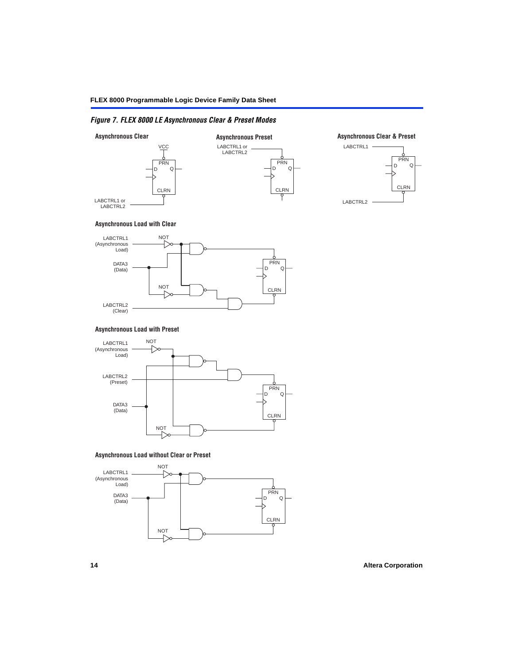## <span id="page-13-0"></span>*Figure 7. FLEX 8000 LE Asynchronous Clear & Preset Modes*



#### **Asynchronous Load with Clear**



#### **Asynchronous Load with Preset**



#### **Asynchronous Load without Clear or Preset**

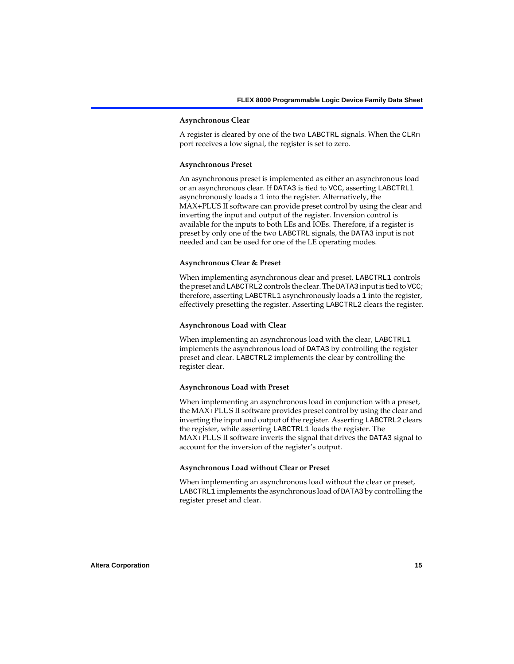#### **Asynchronous Clear**

A register is cleared by one of the two LABCTRL signals. When the CLRn port receives a low signal, the register is set to zero.

#### **Asynchronous Preset**

An asynchronous preset is implemented as either an asynchronous load or an asynchronous clear. If DATA3 is tied to VCC, asserting LABCTRLl asynchronously loads a 1 into the register. Alternatively, the MAX+PLUS II software can provide preset control by using the clear and inverting the input and output of the register. Inversion control is available for the inputs to both LEs and IOEs. Therefore, if a register is preset by only one of the two LABCTRL signals, the DATA3 input is not needed and can be used for one of the LE operating modes.

#### **Asynchronous Clear & Preset**

When implementing asynchronous clear and preset, LABCTRL1 controls the preset and LABCTRL2 controls the clear. The DATA3 input is tied to VCC; therefore, asserting LABCTRL1 asynchronously loads a 1 into the register, effectively presetting the register. Asserting LABCTRL2 clears the register.

#### **Asynchronous Load with Clear**

When implementing an asynchronous load with the clear, LABCTRL1 implements the asynchronous load of DATA3 by controlling the register preset and clear. LABCTRL2 implements the clear by controlling the register clear.

#### **Asynchronous Load with Preset**

When implementing an asynchronous load in conjunction with a preset, the MAX+PLUS II software provides preset control by using the clear and inverting the input and output of the register. Asserting LABCTRL2 clears the register, while asserting LABCTRL1 loads the register. The MAX+PLUS II software inverts the signal that drives the DATA3 signal to account for the inversion of the register's output.

#### **Asynchronous Load without Clear or Preset**

When implementing an asynchronous load without the clear or preset, LABCTRL1 implements the asynchronous load of DATA3 by controlling the register preset and clear.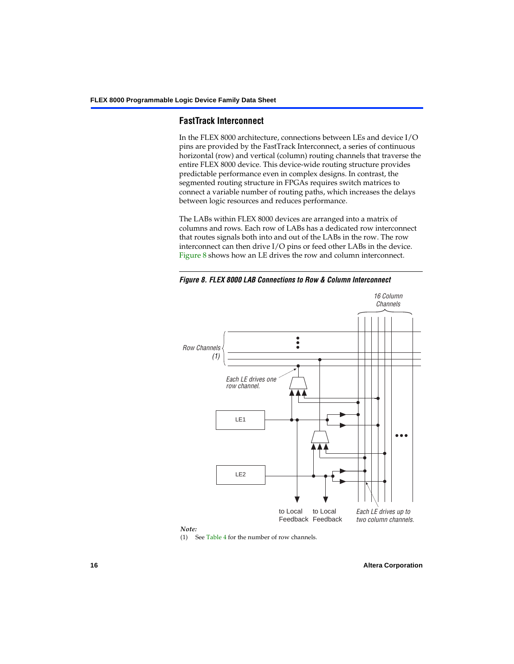### **FastTrack Interconnect**

In the FLEX 8000 architecture, connections between LEs and device I/O pins are provided by the FastTrack Interconnect, a series of continuous horizontal (row) and vertical (column) routing channels that traverse the entire FLEX 8000 device. This device-wide routing structure provides predictable performance even in complex designs. In contrast, the segmented routing structure in FPGAs requires switch matrices to connect a variable number of routing paths, which increases the delays between logic resources and reduces performance.

The LABs within FLEX 8000 devices are arranged into a matrix of columns and rows. Each row of LABs has a dedicated row interconnect that routes signals both into and out of the LABs in the row. The row interconnect can then drive I/O pins or feed other LABs in the device. [Figure 8](#page-15-0) shows how an LE drives the row and column interconnect.

<span id="page-15-0"></span>*Figure 8. FLEX 8000 LAB Connections to Row & Column Interconnect*





(1) See [Table 4](#page-16-0) for the number of row channels.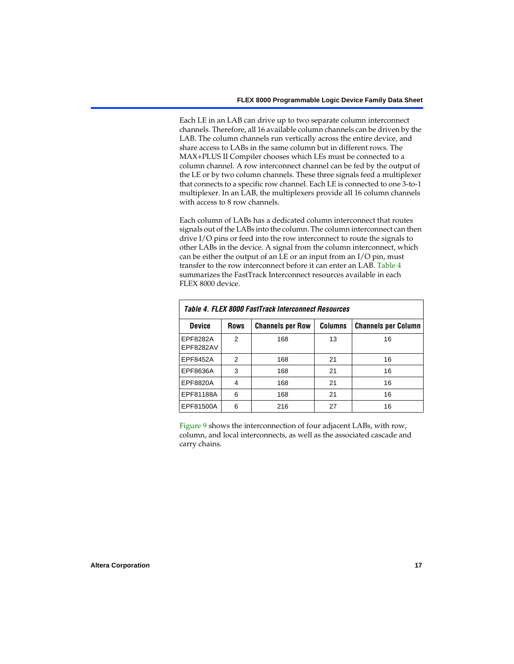Each LE in an LAB can drive up to two separate column interconnect channels. Therefore, all 16 available column channels can be driven by the LAB. The column channels run vertically across the entire device, and share access to LABs in the same column but in different rows. The MAX+PLUS II Compiler chooses which LEs must be connected to a column channel. A row interconnect channel can be fed by the output of the LE or by two column channels. These three signals feed a multiplexer that connects to a specific row channel. Each LE is connected to one 3-to-1 multiplexer. In an LAB, the multiplexers provide all 16 column channels with access to 8 row channels.

Each column of LABs has a dedicated column interconnect that routes signals out of the LABs into the column. The column interconnect can then drive I/O pins or feed into the row interconnect to route the signals to other LABs in the device. A signal from the column interconnect, which can be either the output of an LE or an input from an I/O pin, must transfer to the row interconnect before it can enter an LAB. [Table 4](#page-16-0) summarizes the FastTrack Interconnect resources available in each FLEX 8000 device.

<span id="page-16-0"></span>

| Table 4. FLEX 8000 FastTrack Interconnect Resources |             |                         |                |                            |  |  |  |  |  |  |
|-----------------------------------------------------|-------------|-------------------------|----------------|----------------------------|--|--|--|--|--|--|
| <b>Device</b>                                       | <b>Rows</b> | <b>Channels per Row</b> | <b>Columns</b> | <b>Channels per Column</b> |  |  |  |  |  |  |
| EPF8282A<br>EPF8282AV                               | 2           | 168                     | 13             | 16                         |  |  |  |  |  |  |
| EPF8452A                                            | 2           | 168                     | 21             | 16                         |  |  |  |  |  |  |
| EPF8636A                                            | 3           | 168                     | 21             | 16                         |  |  |  |  |  |  |
| EPF8820A                                            | 4           | 168                     | 21             | 16                         |  |  |  |  |  |  |
| EPF81188A                                           | 6           | 168                     | 21             | 16                         |  |  |  |  |  |  |
| EPF81500A                                           | 6           | 216                     | 27             | 16                         |  |  |  |  |  |  |

[Figure 9](#page-17-0) shows the interconnection of four adjacent LABs, with row, column, and local interconnects, as well as the associated cascade and carry chains.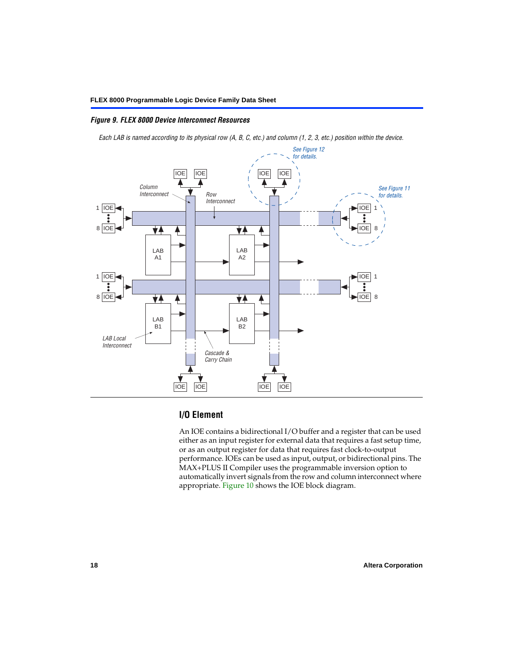#### <span id="page-17-0"></span>*Figure 9. FLEX 8000 Device Interconnect Resources*

*Each LAB is named according to its physical row (A, B, C, etc.) and column (1, 2, 3, etc.) position within the device.*



## **I/O Element**

An IOE contains a bidirectional I/O buffer and a register that can be used either as an input register for external data that requires a fast setup time, or as an output register for data that requires fast clock-to-output performance. IOEs can be used as input, output, or bidirectional pins. The MAX+PLUS II Compiler uses the programmable inversion option to automatically invert signals from the row and column interconnect where appropriate. [Figure 10](#page-18-0) shows the IOE block diagram.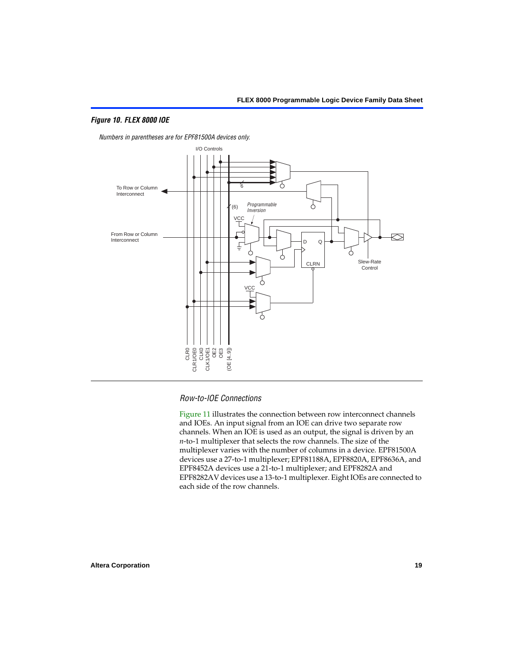#### <span id="page-18-0"></span>*Figure 10. FLEX 8000 IOE*



*Numbers in parentheses are for EPF81500A devices only.*



#### *Row-to-IOE Connections*

[Figure 11](#page-19-0) illustrates the connection between row interconnect channels and IOEs. An input signal from an IOE can drive two separate row channels. When an IOE is used as an output, the signal is driven by an *n*-to-1 multiplexer that selects the row channels. The size of the multiplexer varies with the number of columns in a device. EPF81500A devices use a 27-to-1 multiplexer; EPF81188A, EPF8820A, EPF8636A, and EPF8452A devices use a 21-to-1 multiplexer; and EPF8282A and EPF8282AV devices use a 13-to-1 multiplexer. Eight IOEs are connected to each side of the row channels.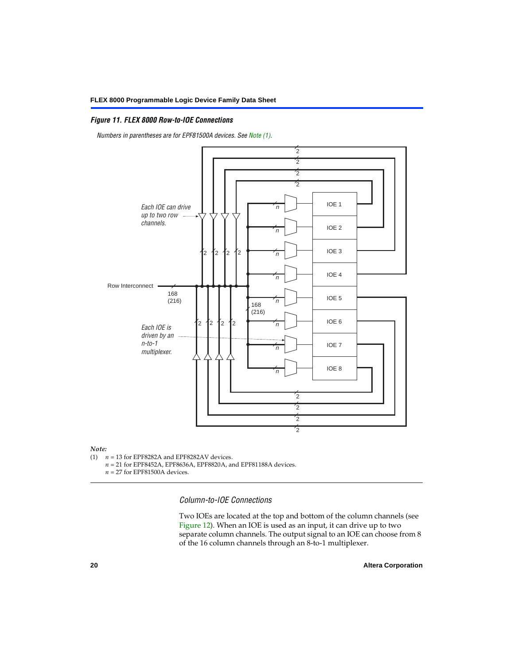#### <span id="page-19-0"></span>*Figure 11. FLEX 8000 Row-to-IOE Connections*

*Numbers in parentheses are for EPF81500A devices. See [Note \(1\)](#page-19-1).*



# *Note:*<br>(1) *n*

- <span id="page-19-1"></span> $n = 13$  for EPF8282A and EPF8282AV devices.
	- *n* = 21 for EPF8452A, EPF8636A, EPF8820A, and EPF81188A devices.
	- *n* = 27 for EPF81500A devices.

*Column-to-IOE Connections*

Two IOEs are located at the top and bottom of the column channels (see [Figure 12\)](#page-20-0). When an IOE is used as an input, it can drive up to two separate column channels. The output signal to an IOE can choose from 8 of the 16 column channels through an 8-to-1 multiplexer.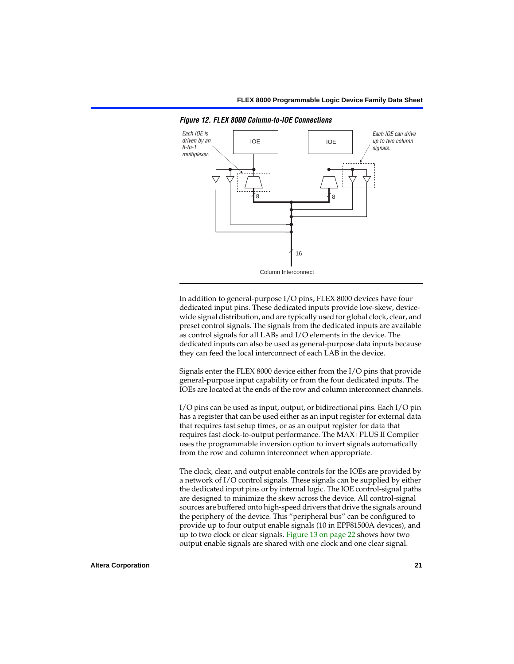

<span id="page-20-0"></span>*Figure 12. FLEX 8000 Column-to-IOE Connections*

In addition to general-purpose I/O pins, FLEX 8000 devices have four dedicated input pins. These dedicated inputs provide low-skew, devicewide signal distribution, and are typically used for global clock, clear, and preset control signals. The signals from the dedicated inputs are available as control signals for all LABs and I/O elements in the device. The dedicated inputs can also be used as general-purpose data inputs because they can feed the local interconnect of each LAB in the device.

Signals enter the FLEX 8000 device either from the I/O pins that provide general-purpose input capability or from the four dedicated inputs. The IOEs are located at the ends of the row and column interconnect channels.

I/O pins can be used as input, output, or bidirectional pins. Each I/O pin has a register that can be used either as an input register for external data that requires fast setup times, or as an output register for data that requires fast clock-to-output performance. The MAX+PLUS II Compiler uses the programmable inversion option to invert signals automatically from the row and column interconnect when appropriate.

The clock, clear, and output enable controls for the IOEs are provided by a network of I/O control signals. These signals can be supplied by either the dedicated input pins or by internal logic. The IOE control-signal paths are designed to minimize the skew across the device. All control-signal sources are buffered onto high-speed drivers that drive the signals around the periphery of the device. This "peripheral bus" can be configured to provide up to four output enable signals (10 in EPF81500A devices), and up to two clock or clear signals. [Figure 13 on page 22](#page-21-0) shows how two output enable signals are shared with one clock and one clear signal.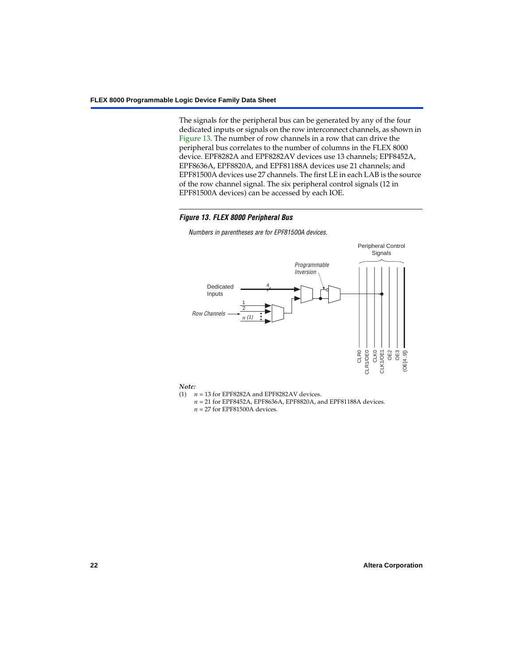The signals for the peripheral bus can be generated by any of the four dedicated inputs or signals on the row interconnect channels, as shown in [Figure 13.](#page-21-0) The number of row channels in a row that can drive the peripheral bus correlates to the number of columns in the FLEX 8000 device. EPF8282A and EPF8282AV devices use 13 channels; EPF8452A, EPF8636A, EPF8820A, and EPF81188A devices use 21 channels; and EPF81500A devices use 27 channels. The first LE in each LAB is the source of the row channel signal. The six peripheral control signals (12 in EPF81500A devices) can be accessed by each IOE.

#### <span id="page-21-0"></span>*Figure 13. FLEX 8000 Peripheral Bus*

Peripheral Control **Signals** Programmable Inversion 4 Dedicated Inputs 1 2 Row Channels (1) CLR0 CLK1OE1 OE3 CLR1/OE0 OE2 (OE[4..9]) CLR1/OE0 CLK1/OE1

*Numbers in parentheses are for EPF81500A devices.*

#### *Note:*

- (1)  $n = 13$  for EPF8282A and EPF8282AV devices.
	- *n* = 21 for EPF8452A, EPF8636A, EPF8820A, and EPF81188A devices.
	- *n* = 27 for EPF81500A devices.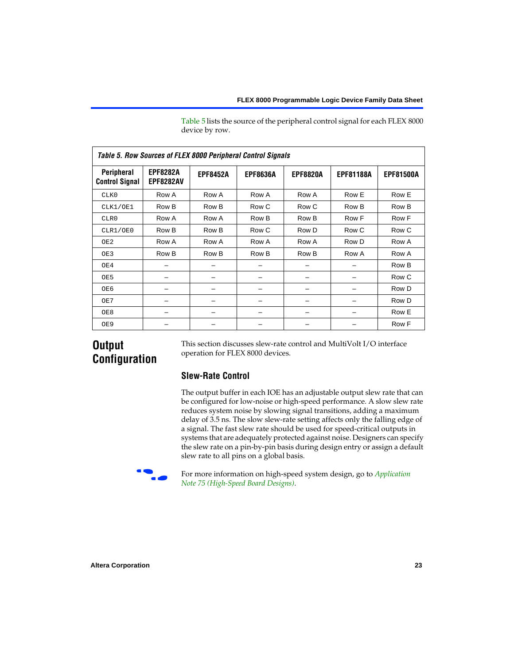[Table 5](#page-22-0) lists the source of the peripheral control signal for each FLEX 8000 device by row.

<span id="page-22-0"></span>

| <b>Table 5. Row Sources of FLEX 8000 Peripheral Control Signals</b> |                                     |                 |                 |                 |                  |                  |  |  |  |  |  |
|---------------------------------------------------------------------|-------------------------------------|-----------------|-----------------|-----------------|------------------|------------------|--|--|--|--|--|
| Peripheral<br><b>Control Signal</b>                                 | <b>EPF8282A</b><br><b>EPF8282AV</b> | <b>EPF8452A</b> | <b>EPF8636A</b> | <b>EPF8820A</b> | <b>EPF81188A</b> | <b>EPF81500A</b> |  |  |  |  |  |
| CLK0                                                                | Row A                               | Row A           | Row A           | Row A           | Row E            | Row E            |  |  |  |  |  |
| CLK1/OE1                                                            | Row B                               | Row B           | Row C           | Row C           | Row B            | Row B            |  |  |  |  |  |
| CLR0                                                                | Row A                               | Row A           | Row B           | Row B           | Row F            | Row F            |  |  |  |  |  |
| CLR1/OE0                                                            | Row B                               | Row B           | Row C           | Row D           | Row C            | Row C            |  |  |  |  |  |
| OE <sub>2</sub>                                                     | Row A                               | Row A           | Row A           | Row A           | Row D            | Row A            |  |  |  |  |  |
| OE3                                                                 | Row B                               | Row B           | Row B           | Row B           | Row A            | Row A            |  |  |  |  |  |
| OE4                                                                 |                                     |                 |                 |                 |                  | Row B            |  |  |  |  |  |
| OE5                                                                 |                                     |                 |                 |                 |                  | Row C            |  |  |  |  |  |
| OE6                                                                 |                                     |                 |                 |                 |                  | Row D            |  |  |  |  |  |
| OE7                                                                 |                                     |                 |                 |                 |                  | Row D            |  |  |  |  |  |
| OE8                                                                 |                                     |                 |                 |                 |                  | Row E            |  |  |  |  |  |
| OE9                                                                 |                                     |                 |                 |                 |                  | Row F            |  |  |  |  |  |

# **Output Configuration**

This section discusses slew-rate control and MultiVolt I/O interface operation for FLEX 8000 devices.

# **Slew-Rate Control**

The output buffer in each IOE has an adjustable output slew rate that can be configured for low-noise or high-speed performance. A slow slew rate reduces system noise by slowing signal transitions, adding a maximum delay of 3.5 ns. The slow slew-rate setting affects only the falling edge of a signal. The fast slew rate should be used for speed-critical outputs in systems that are adequately protected against noise. Designers can specify the slew rate on a pin-by-pin basis during design entry or assign a default slew rate to all pins on a global basis.



f For more information on high-speed system design, go to *[Application](#page-0-1)  [Note 75 \(High-Speed Board Designs\)](#page-0-1)*.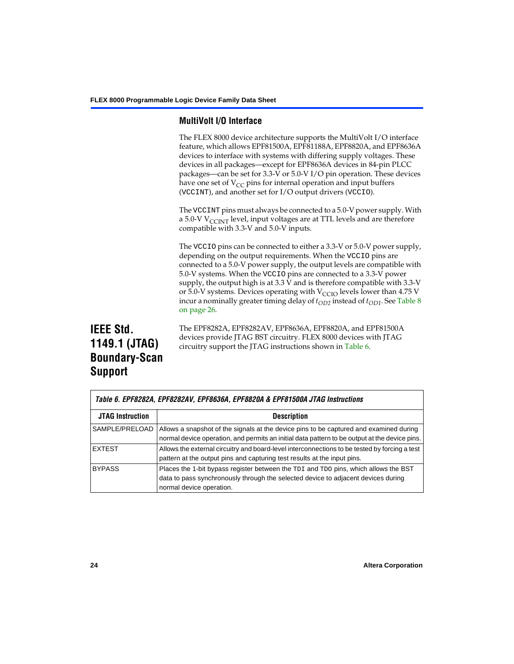## **MultiVolt I/O Interface**

The FLEX 8000 device architecture supports the MultiVolt I/O interface feature, which allows EPF81500A, EPF81188A, EPF8820A, and EPF8636A devices to interface with systems with differing supply voltages. These devices in all packages—except for EPF8636A devices in 84-pin PLCC packages—can be set for 3.3-V or 5.0-V I/O pin operation. These devices have one set of  $V_{CC}$  pins for internal operation and input buffers (VCCINT), and another set for I/O output drivers (VCCIO).

The VCCINT pins must always be connected to a 5.0-V power supply. With a 5.0-V  $V_{\text{CCINT}}$  level, input voltages are at TTL levels and are therefore compatible with 3.3-V and 5.0-V inputs.

The VCCIO pins can be connected to either a 3.3-V or 5.0-V power supply, depending on the output requirements. When the VCCIO pins are connected to a 5.0-V power supply, the output levels are compatible with 5.0-V systems. When the VCCIO pins are connected to a 3.3-V power supply, the output high is at 3.3 V and is therefore compatible with 3.3-V or 5.0-V systems. Devices operating with  $V_{\text{C}CD}$  levels lower than 4.75 V incur a nominally greater timing delay of  $t_{OD2}$  instead of  $t_{OD1}$ . See Table 8 [on page 26](#page-25-0).

# **IEEE Std. 1149.1 (JTAG) Boundary-Scan Support**

The EPF8282A, EPF8282AV, EPF8636A, EPF8820A, and EPF81500A devices provide JTAG BST circuitry. FLEX 8000 devices with JTAG circuitry support the JTAG instructions shown in [Table 6](#page-23-0).

<span id="page-23-0"></span>

|                         | Table 6. EPF8282A, EPF8282AV, EPF8636A, EPF8820A & EPF81500A JTAG Instructions                                                                                                                       |  |  |  |  |  |  |
|-------------------------|------------------------------------------------------------------------------------------------------------------------------------------------------------------------------------------------------|--|--|--|--|--|--|
| <b>JTAG Instruction</b> | <b>Description</b>                                                                                                                                                                                   |  |  |  |  |  |  |
| SAMPLE/PRELOAD          | Allows a snapshot of the signals at the device pins to be captured and examined during<br>normal device operation, and permits an initial data pattern to be output at the device pins.              |  |  |  |  |  |  |
| <b>EXTEST</b>           | Allows the external circuitry and board-level interconnections to be tested by forcing a test<br>pattern at the output pins and capturing test results at the input pins.                            |  |  |  |  |  |  |
| <b>BYPASS</b>           | Places the 1-bit bypass register between the TDI and TDO pins, which allows the BST<br>data to pass synchronously through the selected device to adjacent devices during<br>normal device operation. |  |  |  |  |  |  |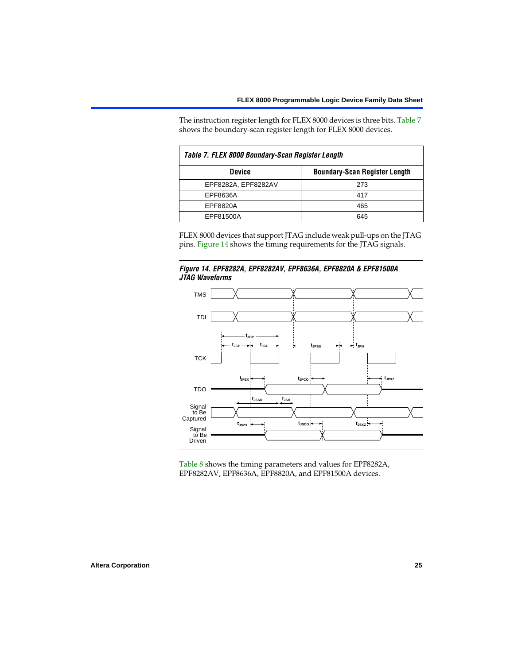The instruction register length for FLEX 8000 devices is three bits. [Table 7](#page-24-0) shows the boundary-scan register length for FLEX 8000 devices.

<span id="page-24-0"></span>

| Table 7. FLEX 8000 Boundary-Scan Register Length |                                      |  |  |  |  |  |  |
|--------------------------------------------------|--------------------------------------|--|--|--|--|--|--|
| <b>Device</b>                                    | <b>Boundary-Scan Register Length</b> |  |  |  |  |  |  |
| EPF8282A, EPF8282AV                              | 273                                  |  |  |  |  |  |  |
| EPF8636A                                         | 417                                  |  |  |  |  |  |  |
| EPF8820A                                         | 465                                  |  |  |  |  |  |  |
| EPF81500A                                        | 645                                  |  |  |  |  |  |  |

FLEX 8000 devices that support JTAG include weak pull-ups on the JTAG pins. [Figure 14](#page-24-1) shows the timing requirements for the JTAG signals.

<span id="page-24-1"></span>



[Table 8](#page-25-0) shows the timing parameters and values for EPF8282A, EPF8282AV, EPF8636A, EPF8820A, and EPF81500A devices.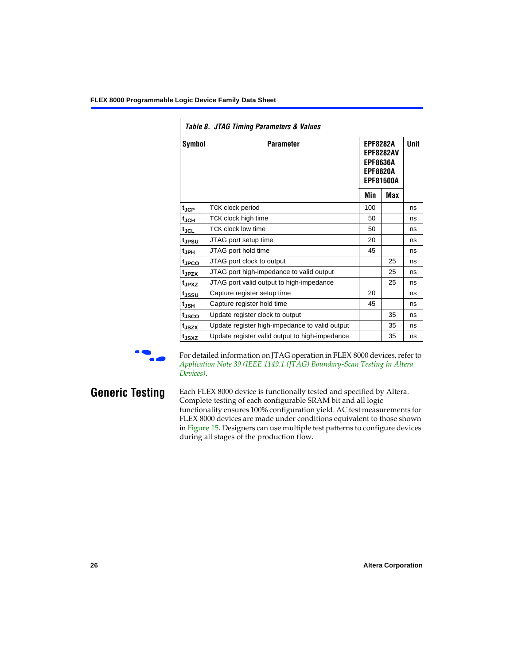<span id="page-25-0"></span>

|                   | Table 8. JTAG Timing Parameters & Values       |     |                                                                                               |    |  |  |  |  |  |  |
|-------------------|------------------------------------------------|-----|-----------------------------------------------------------------------------------------------|----|--|--|--|--|--|--|
| Symbol            | <b>Parameter</b>                               |     | <b>EPF8282A</b><br><b>EPF8282AV</b><br><b>EPF8636A</b><br><b>EPF8820A</b><br><b>EPF81500A</b> |    |  |  |  |  |  |  |
|                   |                                                | Min | Max                                                                                           |    |  |  |  |  |  |  |
| $t_{\rm JCP}$     | TCK clock period                               | 100 |                                                                                               | ns |  |  |  |  |  |  |
| t <sub>JCH</sub>  | TCK clock high time                            | 50  |                                                                                               | ns |  |  |  |  |  |  |
| $t_{JCL}$         | TCK clock low time                             | 50  |                                                                                               | ns |  |  |  |  |  |  |
| tjpsu             | JTAG port setup time                           | 20  |                                                                                               | ns |  |  |  |  |  |  |
| t <sub>JPH</sub>  | JTAG port hold time                            | 45  |                                                                                               | ns |  |  |  |  |  |  |
| tjpco             | JTAG port clock to output                      |     | 25                                                                                            | ns |  |  |  |  |  |  |
| t <sub>JPZX</sub> | JTAG port high-impedance to valid output       |     | 25                                                                                            | ns |  |  |  |  |  |  |
| t <sub>JPXZ</sub> | JTAG port valid output to high-impedance       |     | 25                                                                                            | ns |  |  |  |  |  |  |
| tjssu             | Capture register setup time                    | 20  |                                                                                               | ns |  |  |  |  |  |  |
| t <sub>JSH</sub>  | Capture register hold time                     | 45  |                                                                                               | ns |  |  |  |  |  |  |
| tjsco             | Update register clock to output                |     | 35                                                                                            | ns |  |  |  |  |  |  |
| t <sub>JSZX</sub> | Update register high-impedance to valid output |     | 35                                                                                            | ns |  |  |  |  |  |  |
| t <sub>JSXZ</sub> | Update register valid output to high-impedance |     | 35                                                                                            | ns |  |  |  |  |  |  |

For detailed information on JTAG operation in FLEX 8000 devices, refer to *[Application Note 39 \(IEEE 1149.1 \(JTAG\) Boundary-Scan Testing in Altera](#page-0-1)  [Devices\)](#page-0-1)*.

**Generic Testing** Each FLEX 8000 device is functionally tested and specified by Altera. Complete testing of each configurable SRAM bit and all logic functionality ensures 100% configuration yield. AC test measurements for FLEX 8000 devices are made under conditions equivalent to those shown in [Figure 15](#page-26-0). Designers can use multiple test patterns to configure devices during all stages of the production flow.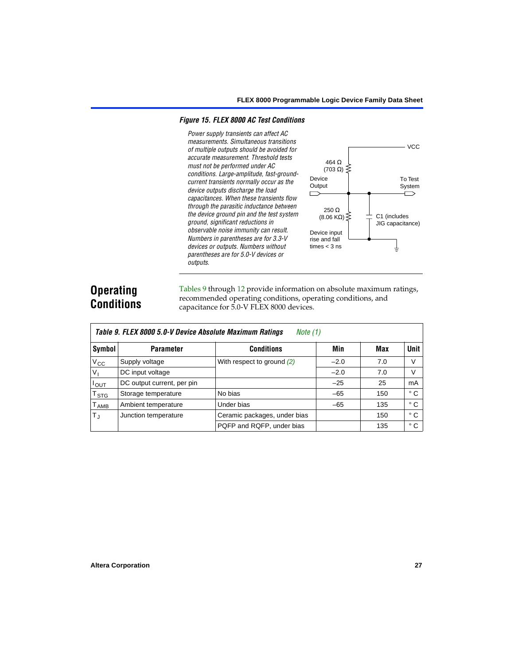### <span id="page-26-0"></span>*Figure 15. FLEX 8000 AC Test Conditions*

*Power supply transients can affect AC measurements. Simultaneous transitions of multiple outputs should be avoided for accurate measurement. Threshold tests must not be performed under AC conditions. Large-amplitude, fast-groundcurrent transients normally occur as the device outputs discharge the load capacitances. When these transients flow through the parasitic inductance between the device ground pin and the test system ground, significant reductions in observable noise immunity can result. Numbers in parentheses are for 3.3-V devices or outputs. Numbers without parentheses are for 5.0-V devices or outputs.*



# **Operating Conditions**

[Tables 9](#page-26-1) through [12](#page-28-2) provide information on absolute maximum ratings, recommended operating conditions, operating conditions, and capacitance for 5.0-V FLEX 8000 devices.

<span id="page-26-1"></span>

|                            | Table 9. FLEX 8000 5.0-V Device Absolute Maximum Ratings<br>Note (1) |                              |        |     |              |  |  |  |  |  |  |  |
|----------------------------|----------------------------------------------------------------------|------------------------------|--------|-----|--------------|--|--|--|--|--|--|--|
| Symbol                     | <b>Parameter</b>                                                     | <b>Conditions</b>            | Min    | Max | <b>Unit</b>  |  |  |  |  |  |  |  |
| $V_{\rm CC}$               | Supply voltage                                                       | With respect to ground $(2)$ | $-2.0$ | 7.0 | V            |  |  |  |  |  |  |  |
| $V_{I}$                    | DC input voltage                                                     |                              | $-2.0$ | 7.0 | V            |  |  |  |  |  |  |  |
| $I_{\text{OUT}}$           | DC output current, per pin                                           |                              | $-25$  | 25  | mA           |  |  |  |  |  |  |  |
| $\intercal_{\texttt{STG}}$ | Storage temperature                                                  | No bias                      | $-65$  | 150 | $^{\circ}$ C |  |  |  |  |  |  |  |
| T <sub>AMB</sub>           | Ambient temperature                                                  | Under bias                   | $-65$  | 135 | ° C          |  |  |  |  |  |  |  |
| $T_{\rm J}$                | Junction temperature                                                 | Ceramic packages, under bias |        | 150 | $^{\circ}$ C |  |  |  |  |  |  |  |
|                            |                                                                      | PQFP and RQFP, under bias    |        | 135 | $^{\circ}$ C |  |  |  |  |  |  |  |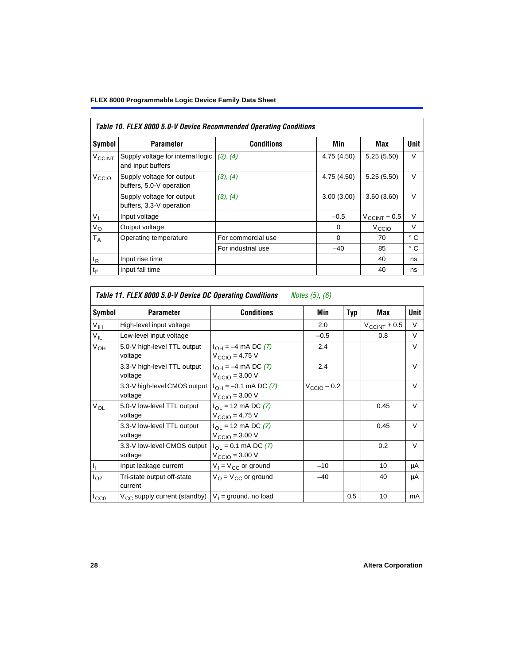<span id="page-27-0"></span>

|                          | Table 10. FLEX 8000 5.0-V Device Recommended Operating Conditions |                    |             |                          |              |  |  |  |  |  |  |
|--------------------------|-------------------------------------------------------------------|--------------------|-------------|--------------------------|--------------|--|--|--|--|--|--|
| Symbol                   | <b>Parameter</b>                                                  | <b>Conditions</b>  | Min         | Max                      | <b>Unit</b>  |  |  |  |  |  |  |
| <b>V<sub>CCINT</sub></b> | Supply voltage for internal logic<br>and input buffers            | (3), (4)           | 4.75 (4.50) | 5.25(5.50)               | V            |  |  |  |  |  |  |
| V <sub>CCIO</sub>        | Supply voltage for output<br>buffers, 5.0-V operation             | (3), (4)           | 4.75 (4.50) | 5.25(5.50)               | $\vee$       |  |  |  |  |  |  |
|                          | Supply voltage for output<br>buffers, 3.3-V operation             | (3), (4)           | 3.00(3.00)  | 3.60(3.60)               | $\vee$       |  |  |  |  |  |  |
| $V_{I}$                  | Input voltage                                                     |                    | $-0.5$      | $V_{\text{CCINT}} + 0.5$ | $\vee$       |  |  |  |  |  |  |
| $V_{\rm O}$              | Output voltage                                                    |                    | $\Omega$    | V <sub>CCIO</sub>        | $\vee$       |  |  |  |  |  |  |
| $T_A$                    | Operating temperature                                             | For commercial use | $\Omega$    | 70                       | $^{\circ}$ C |  |  |  |  |  |  |
|                          |                                                                   | For industrial use | $-40$       | 85                       | °C           |  |  |  |  |  |  |
| $t_{R}$                  | Input rise time                                                   |                    |             | 40                       | ns           |  |  |  |  |  |  |
| $t_F$                    | Input fall time                                                   |                    |             | 40                       | ns           |  |  |  |  |  |  |

<span id="page-27-1"></span>

|                 | Table 11. FLEX 8000 5.0-V Device DC Operating Conditions<br>Notes (5), (6) |                                                                      |                         |     |                          |        |  |  |  |  |  |
|-----------------|----------------------------------------------------------------------------|----------------------------------------------------------------------|-------------------------|-----|--------------------------|--------|--|--|--|--|--|
| Symbol          | <b>Parameter</b>                                                           | <b>Conditions</b>                                                    | Min                     | Typ | Max                      | Unit   |  |  |  |  |  |
| V <sub>IH</sub> | High-level input voltage                                                   |                                                                      | 2.0                     |     | $V_{\text{CCINT}} + 0.5$ | V      |  |  |  |  |  |
| $V_{IL}$        | Low-level input voltage                                                    |                                                                      | $-0.5$                  |     | 0.8                      | V      |  |  |  |  |  |
| $V_{OH}$        | 5.0-V high-level TTL output<br>voltage                                     | $I_{OH} = -4$ mA DC (7)<br>$V_{\text{CCIO}} = 4.75$ V                | 2.4                     |     |                          | $\vee$ |  |  |  |  |  |
|                 | 3.3-V high-level TTL output<br>voltage                                     | $I_{OH} = -4$ mA DC (7)<br>$V_{\text{CCIO}} = 3.00 \text{ V}$        | 2.4                     |     |                          | $\vee$ |  |  |  |  |  |
|                 | 3.3-V high-level CMOS output<br>voltage                                    | $I_{OH} = -0.1$ mA DC (7)<br>$V_{\text{CCIO}} = 3.00 \text{ V}$      | $V_{\text{CCIO}} - 0.2$ |     |                          | $\vee$ |  |  |  |  |  |
| $V_{OL}$        | 5.0-V low-level TTL output<br>voltage                                      | $I_{OL}$ = 12 mA DC (7)<br>$V_{\text{CCIO}} = 4.75 V$                |                         |     | 0.45                     | $\vee$ |  |  |  |  |  |
|                 | 3.3-V low-level TTL output<br>voltage                                      | $I_{\Omega}$ = 12 mA DC (7)<br>$V_{\text{CCIO}} = 3.00 \text{ V}$    |                         |     | 0.45                     | $\vee$ |  |  |  |  |  |
|                 | 3.3-V low-level CMOS output<br>voltage                                     | $I_{\Omega I} = 0.1$ mA DC (7)<br>$V_{\text{CCIO}} = 3.00 \text{ V}$ |                         |     | 0.2                      | $\vee$ |  |  |  |  |  |
|                 | Input leakage current                                                      | $V_1 = V_{CC}$ or ground                                             | $-10$                   |     | 10                       | μA     |  |  |  |  |  |
| $I_{OZ}$        | Tri-state output off-state<br>current                                      | $V_{\Omega} = V_{\Omega}$ or ground                                  | $-40$                   |     | 40                       | μA     |  |  |  |  |  |
| $I_{CC0}$       | V <sub>CC</sub> supply current (standby)                                   | $V_1$ = ground, no load                                              |                         | 0.5 | 10                       | mA     |  |  |  |  |  |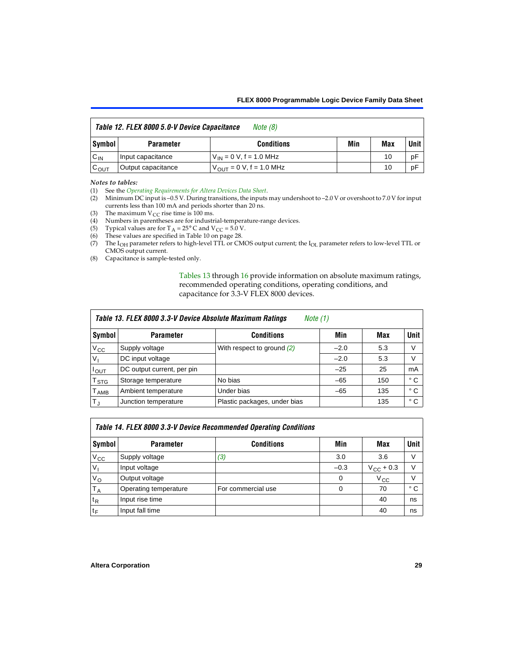<span id="page-28-2"></span>

| Table 12. FLEX 8000 5.0-V Device Capacitance<br>Note (8) |                    |                               |     |     |      |  |
|----------------------------------------------------------|--------------------|-------------------------------|-----|-----|------|--|
| Symbol                                                   | <b>Parameter</b>   | <b>Conditions</b>             | Min | Max | Unit |  |
| $C_{IN}$                                                 | Input capacitance  | $V_{IN} = 0 V, f = 1.0 MHz$   |     | 10  | рF   |  |
| $C_{OUT}$                                                | Output capacitance | $V_{OIII}$ = 0 V, f = 1.0 MHz |     | 10  | рF   |  |

#### *Notes to tables:*

<span id="page-28-1"></span>(1) See the *[Operating Requirements for Altera Devices Data Sheet](#page-0-1)*.

- <span id="page-28-0"></span>(2) Minimum DC input is –0.5 V. During transitions, the inputs may undershoot to –2.0 V or overshoot to 7.0 V for input currents less than 100 mA and periods shorter than 20 ns.
- <span id="page-28-4"></span>(3) The maximum  $V_{CC}$  rise time is 100 ms.
- <span id="page-28-3"></span>(4) Numbers in parentheses are for industrial-temperature-range devices.
- <span id="page-28-5"></span>(5) Typical values are for  $T_A = 25^\circ$  C and  $V_{CC} = 5.0$  V.
- <span id="page-28-6"></span>(6) These values are specified in [Table 10 on page 28](#page-27-0).
- <span id="page-28-7"></span>(7) The I<sub>OH</sub> parameter refers to high-level TTL or CMOS output current; the I<sub>OL</sub> parameter refers to low-level TTL or CMOS output current.
- <span id="page-28-8"></span>(8) Capacitance is sample-tested only.

[Tables 13](#page-28-9) through [16](#page-29-3) provide information on absolute maximum ratings, recommended operating conditions, operating conditions, and capacitance for 3.3-V FLEX 8000 devices.

<span id="page-28-9"></span>

|                  | Table 13. FLEX 8000 3.3-V Device Absolute Maximum Ratings<br>Note $(1)$ |                              |        |     |              |  |  |
|------------------|-------------------------------------------------------------------------|------------------------------|--------|-----|--------------|--|--|
| Symbol           | <b>Parameter</b>                                                        | <b>Conditions</b>            | Min    | Max | Unit         |  |  |
| $V_{\rm CC}$     | Supply voltage                                                          | With respect to ground (2)   | $-2.0$ | 5.3 | V            |  |  |
| V <sub>1</sub>   | DC input voltage                                                        |                              | $-2.0$ | 5.3 | V            |  |  |
| $I_{OUT}$        | DC output current, per pin                                              |                              | $-25$  | 25  | mA           |  |  |
| T <sub>STG</sub> | Storage temperature                                                     | No bias                      | $-65$  | 150 | $^{\circ}$ C |  |  |
| <b>TAMB</b>      | Ambient temperature                                                     | Under bias                   | $-65$  | 135 | $^{\circ}$ C |  |  |
| $T_J$            | Junction temperature                                                    | Plastic packages, under bias |        | 135 | ° C          |  |  |

<span id="page-28-10"></span>

|                | Table 14. FLEX 8000 3.3-V Device Recommended Operating Conditions |                    |        |                    |              |  |  |
|----------------|-------------------------------------------------------------------|--------------------|--------|--------------------|--------------|--|--|
| Symbol         | <b>Parameter</b>                                                  | <b>Conditions</b>  | Min    | Max                | Unit I       |  |  |
| $V_{CC}$       | Supply voltage                                                    | (3)                | 3.0    | 3.6                | v            |  |  |
| V <sub>1</sub> | Input voltage                                                     |                    | $-0.3$ | $V_{\rm CC}$ + 0.3 | $\vee$       |  |  |
| $V_{\rm O}$    | Output voltage                                                    |                    | 0      | $V_{\rm CC}$       | $\vee$       |  |  |
| $T_A$          | Operating temperature                                             | For commercial use | 0      | 70                 | $^{\circ}$ C |  |  |
| $t_{R}$        | Input rise time                                                   |                    |        | 40                 | ns           |  |  |
| $t_F$          | Input fall time                                                   |                    |        | 40                 | ns           |  |  |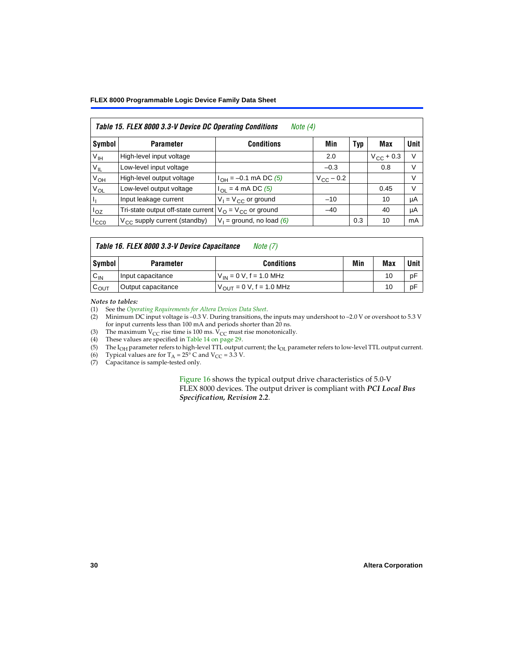#### **FLEX 8000 Programmable Logic Device Family Data Sheet**

<span id="page-29-8"></span>

|                           | Table 15. FLEX 8000 3.3-V Device DC Operating Conditions<br>Note $(4)$ |                                          |                    |     |                    |        |  |  |
|---------------------------|------------------------------------------------------------------------|------------------------------------------|--------------------|-----|--------------------|--------|--|--|
| Symbol                    | <b>Parameter</b>                                                       | <b>Conditions</b>                        | Min                | Typ | Max                | Unit   |  |  |
| V <sub>IH</sub>           | High-level input voltage                                               |                                          | 2.0                |     | $V_{\rm CC}$ + 0.3 | $\vee$ |  |  |
| $\rm V_{\rm IL}$          | Low-level input voltage                                                |                                          | $-0.3$             |     | 0.8                | V      |  |  |
| $V_{OH}$                  | High-level output voltage                                              | $I_{OH} = -0.1$ mA DC (5)                | $V_{\rm CC}$ – 0.2 |     |                    | V      |  |  |
| $V_{OL}$                  | Low-level output voltage                                               | $I_{\Omega}$ = 4 mA DC (5)               |                    |     | 0.45               | $\vee$ |  |  |
| $\mathbf{I}_{\mathbf{I}}$ | Input leakage current                                                  | $V_1 = V_{CC}$ or ground                 | $-10$              |     | 10                 | μA     |  |  |
| $I_{OZ}$                  | Tri-state output off-state current                                     | $V_{\text{O}} = V_{\text{CC}}$ or ground | $-40$              |     | 40                 | μA     |  |  |
| ICCO                      | $V_{\text{CC}}$ supply current (standby)                               | $V_1$ = ground, no load (6)              |                    | 0.3 | 10                 | mA     |  |  |

#### <span id="page-29-3"></span>*Table 16. FLEX 8000 3.3-V Device Capacitance [Note \(7\)](#page-29-7)*

| Symbol           | <b>Parameter</b>   | <b>Conditions</b>                   | Min | Max | Unit |
|------------------|--------------------|-------------------------------------|-----|-----|------|
| $C_{IN}$         | Input capacitance  | $V_{IN} = 0 V$ , f = 1.0 MHz        |     | 10  | рF   |
| $c_{\text{OUT}}$ | Output capacitance | $V_{\text{OUT}} = 0 V, f = 1.0 MHz$ |     | 10  | рF   |

#### *Notes to tables:*

<span id="page-29-0"></span>(1) See the *[Operating Requirements for Altera Devices Data Sheet](#page-0-1)*.

- <span id="page-29-1"></span>(2) Minimum DC input voltage is –0.3 V. During transitions, the inputs may undershoot to –2.0 V or overshoot to 5.3 V for input currents less than 100 mA and periods shorter than 20 ns.
- <span id="page-29-2"></span>(3) The maximum  $V_{CC}$  rise time is 100 ms.  $V_{CC}$  must rise monotonically.<br>(4) These values are specified in Table 14 on page 29.
- <span id="page-29-5"></span>These values are specified in [Table 14 on page 29.](#page-28-10)
- <span id="page-29-4"></span>(5) The I<sub>OH</sub> parameter refers to high-level TTL output current; the I<sub>OL</sub> parameter refers to low-level TTL output current.<br>(6) Typical values are for T<sub>A</sub> = 25° C and V<sub>CC</sub> = 3.3 V.
- <span id="page-29-6"></span>(6) Typical values are for  $T_A = 25^\circ$  C and  $V_{CC} = 3.3$  V.<br>(7) Capacitance is sample-tested only.
- <span id="page-29-7"></span>Capacitance is sample-tested only.

[Figure 16](#page-30-0) shows the typical output drive characteristics of 5.0-V FLEX 8000 devices. The output driver is compliant with *PCI Local Bus Specification, Revision 2.2*.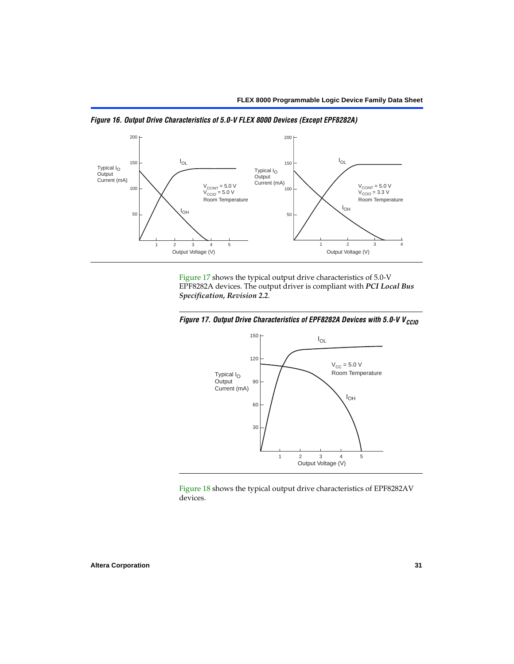

<span id="page-30-0"></span>*Figure 16. Output Drive Characteristics of 5.0-V FLEX 8000 Devices (Except EPF8282A)*

[Figure 17](#page-30-1) shows the typical output drive characteristics of 5.0-V EPF8282A devices. The output driver is compliant with *PCI Local Bus Specification, Revision 2.2*.

<span id="page-30-1"></span>



[Figure 18](#page-31-0) shows the typical output drive characteristics of EPF8282AV devices.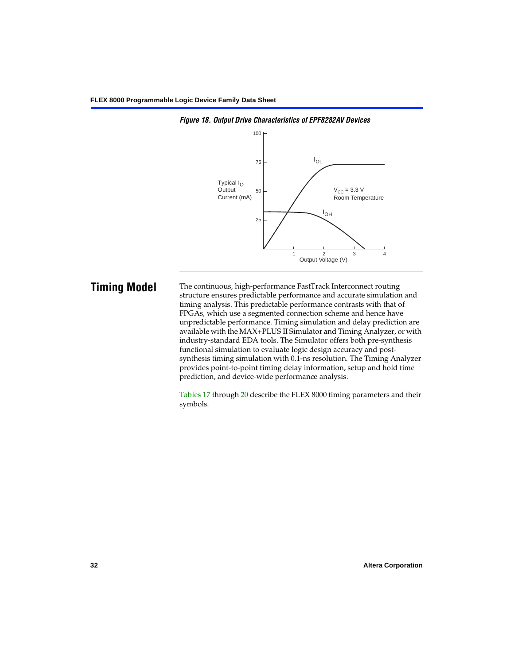

<span id="page-31-0"></span>*Figure 18. Output Drive Characteristics of EPF8282AV Devices*

**Timing Model** The continuous, high-performance FastTrack Interconnect routing structure ensures predictable performance and accurate simulation and timing analysis. This predictable performance contrasts with that of FPGAs, which use a segmented connection scheme and hence have unpredictable performance. Timing simulation and delay prediction are available with the MAX+PLUS II Simulator and Timing Analyzer, or with industry-standard EDA tools. The Simulator offers both pre-synthesis functional simulation to evaluate logic design accuracy and postsynthesis timing simulation with 0.1-ns resolution. The Timing Analyzer provides point-to-point timing delay information, setup and hold time prediction, and device-wide performance analysis.

> [Tables 17](#page-32-0) through [20](#page-33-0) describe the FLEX 8000 timing parameters and their symbols.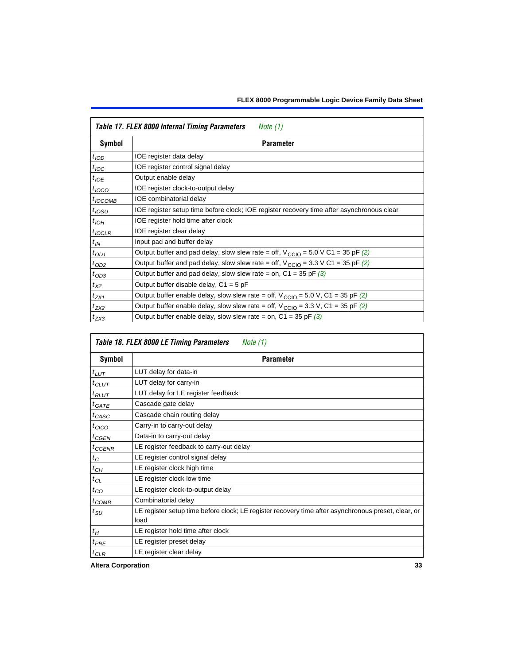<span id="page-32-0"></span>

|                  | Table 17. FLEX 8000 Internal Timing Parameters<br>Note (1)                                                   |
|------------------|--------------------------------------------------------------------------------------------------------------|
| Symbol           | <b>Parameter</b>                                                                                             |
| $t_{\text{IOD}}$ | IOE register data delay                                                                                      |
| $t_{\text{IOC}}$ | IOE register control signal delay                                                                            |
| $t_{IOE}$        | Output enable delay                                                                                          |
| $t_{IOCO}$       | IOE register clock-to-output delay                                                                           |
| $t_{IOCOMB}$     | IOE combinatorial delay                                                                                      |
| $t_{IOSU}$       | IOE register setup time before clock; IOE register recovery time after asynchronous clear                    |
| $t_{IOH}$        | IOE register hold time after clock                                                                           |
| $t_{IOCLR}$      | IOE register clear delay                                                                                     |
| $t_{IN}$         | Input pad and buffer delay                                                                                   |
| $t_{OD1}$        | Output buffer and pad delay, slow slew rate = off, $V_{\text{CCIO}} = 5.0 \text{ V C1} = 35 \text{ pF}$ (2)  |
| $t_{OD2}$        | Output buffer and pad delay, slow slew rate = off, $V_{\text{CCIO}} = 3.3 \text{ V C1} = 35 \text{ pF } (2)$ |
| $t_{OD3}$        | Output buffer and pad delay, slow slew rate = on, $C1 = 35$ pF (3)                                           |
| $t_{XZ}$         | Output buffer disable delay, $C1 = 5$ pF                                                                     |
| $t_{ZX1}$        | Output buffer enable delay, slow slew rate = off, $V_{\text{CCIO}} = 5.0$ V, C1 = 35 pF (2)                  |
| $t_{ZX2}$        | Output buffer enable delay, slow slew rate = off, $V_{\text{CCIO}} = 3.3$ V, C1 = 35 pF (2)                  |
| $t_{ZX3}$        | Output buffer enable delay, slow slew rate = on, $C1 = 35$ pF (3)                                            |

|                  | Table 18. FLEX 8000 LE Timing Parameters<br>Note (1)                                                        |  |  |  |  |
|------------------|-------------------------------------------------------------------------------------------------------------|--|--|--|--|
| Symbol           | <b>Parameter</b>                                                                                            |  |  |  |  |
| $t_{LUT}$        | LUT delay for data-in                                                                                       |  |  |  |  |
| $t_{CLUT}$       | LUT delay for carry-in                                                                                      |  |  |  |  |
| $t_{RLUT}$       | LUT delay for LE register feedback                                                                          |  |  |  |  |
| $t_{GATE}$       | Cascade gate delay                                                                                          |  |  |  |  |
| $t_{CASC}$       | Cascade chain routing delay                                                                                 |  |  |  |  |
| $t_{CICO}$       | Carry-in to carry-out delay                                                                                 |  |  |  |  |
| $t_{G\text{EN}}$ | Data-in to carry-out delay                                                                                  |  |  |  |  |
| ${}^{t}$ CGENR   | LE register feedback to carry-out delay                                                                     |  |  |  |  |
| $t_C$            | LE register control signal delay                                                                            |  |  |  |  |
| $t_{CH}$         | LE register clock high time                                                                                 |  |  |  |  |
| $t_{CL}$         | LE register clock low time                                                                                  |  |  |  |  |
| $t_{CO}$         | LE register clock-to-output delay                                                                           |  |  |  |  |
| $t_{COMB}$       | Combinatorial delay                                                                                         |  |  |  |  |
| t <sub>SU</sub>  | LE register setup time before clock; LE register recovery time after asynchronous preset, clear, or<br>load |  |  |  |  |
| $t_H$            | LE register hold time after clock                                                                           |  |  |  |  |
| $t_{PRE}$        | LE register preset delay                                                                                    |  |  |  |  |
| $t_{CLR}$        | LE register clear delay                                                                                     |  |  |  |  |

**Altera Corporation 33**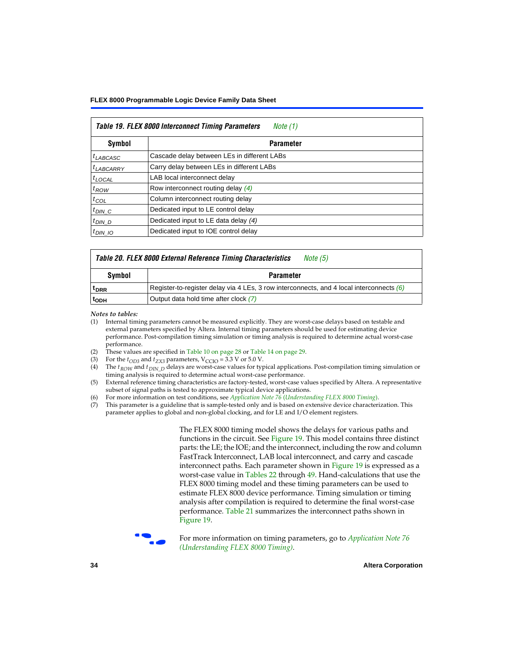| <b>Table 19. FLEX 8000 Interconnect Timing Parameters</b><br>Note (1) |                                             |  |  |  |
|-----------------------------------------------------------------------|---------------------------------------------|--|--|--|
| Symbol                                                                | <b>Parameter</b>                            |  |  |  |
| <sup>t</sup> LABCASC                                                  | Cascade delay between LEs in different LABs |  |  |  |
| $t_{LABCARRY}$                                                        | Carry delay between LEs in different LABs   |  |  |  |
| $t_{LOCAL}$                                                           | LAB local interconnect delay                |  |  |  |
| $t_{ROW}$                                                             | Row interconnect routing delay (4)          |  |  |  |
| $t_{COL}$                                                             | Column interconnect routing delay           |  |  |  |
| $t_{DIN\_C}$                                                          | Dedicated input to LE control delay         |  |  |  |
| $t_{DIN}$ D                                                           | Dedicated input to LE data delay (4)        |  |  |  |
| $t_{DIN}$ 10                                                          | Dedicated input to IOE control delay        |  |  |  |

#### <span id="page-33-0"></span>*Table 20. FLEX 8000 External Reference Timing Characteristics [Note \(5\)](#page-33-5)*

| Symbol<br>Parameter |                                                                                            |  |  |  |
|---------------------|--------------------------------------------------------------------------------------------|--|--|--|
| <sup>T</sup> DRR    | Register-to-register delay via 4 LEs, 3 row interconnects, and 4 local interconnects $(6)$ |  |  |  |
| <sup>L</sup> ODH    | Output data hold time after clock (7)                                                      |  |  |  |

*Notes to tables:*

- <span id="page-33-1"></span>(1) Internal timing parameters cannot be measured explicitly. They are worst-case delays based on testable and external parameters specified by Altera. Internal timing parameters should be used for estimating device performance. Post-compilation timing simulation or timing analysis is required to determine actual worst-case performance.
- <span id="page-33-2"></span>(2) These values are specified in [Table 10 on page 28](#page-27-0) or [Table 14 on page 29.](#page-28-10)<br>(3) For the  $t_{OD3}$  and  $t_{ZX3}$  parameters,  $V_{CCIO} = 3.3$  V or 5.0 V.
- 
- <span id="page-33-4"></span><span id="page-33-3"></span>(3) For the  $t_{OD3}$  and  $t_{ZX3}$  parameters,  $V_{CCIO} = 3.3$  V or 5.0 V.<br>(4) The  $t_{ROM}$  and  $t_{DIN}$   $_D$  delays are worst-case values for type The *t<sub>ROW</sub>* and *t<sub>DIN\_D</sub>* delays are worst-case values for typical applications. Post-compilation timing simulation or timing analysis is required to determine actual worst-case performance.
- <span id="page-33-5"></span>(5) External reference timing characteristics are factory-tested, worst-case values specified by Altera. A representative subset of signal paths is tested to approximate typical device applications.
- <span id="page-33-6"></span>(6) For more information on test conditions, see *[Application Note 76](#page-0-1)* (*Understanding FLEX 8000 Timing*).
- <span id="page-33-7"></span>(7) This parameter is a guideline that is sample-tested only and is based on extensive device characterization. This parameter applies to global and non-global clocking, and for LE and I/O element registers.

The FLEX 8000 timing model shows the delays for various paths and functions in the circuit. See [Figure 19](#page-34-0). This model contains three distinct parts: the LE; the IOE; and the interconnect, including the row and column FastTrack Interconnect, LAB local interconnect, and carry and cascade interconnect paths. Each parameter shown in [Figure 19](#page-34-0) is expressed as a worst-case value in [Tables 22](#page-35-1) through [49](#page-49-0). Hand-calculations that use the FLEX 8000 timing model and these timing parameters can be used to estimate FLEX 8000 device performance. Timing simulation or timing analysis after compilation is required to determine the final worst-case performance. [Table 21](#page-35-0) summarizes the interconnect paths shown in [Figure 19.](#page-34-0)



f For more information on timing parameters, go to *[Application Note 76](#page-0-1)  [\(Understanding FLEX 8000 Timing\)](#page-0-1)*.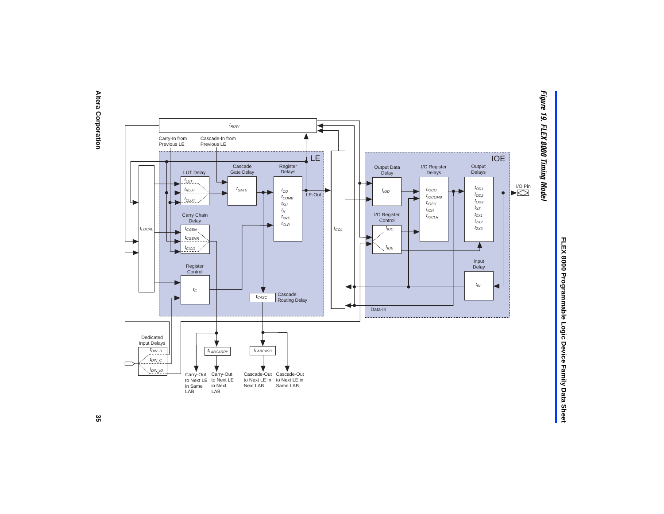<span id="page-34-0"></span>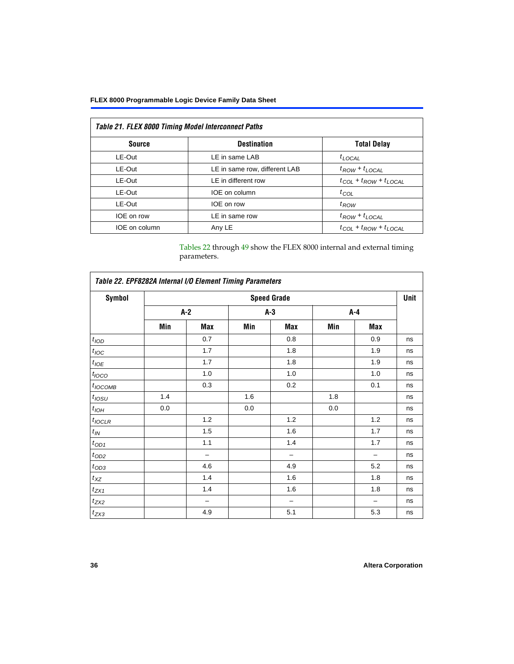### **FLEX 8000 Programmable Logic Device Family Data Sheet**

<span id="page-35-0"></span>

| <b>Table 21. FLEX 8000 Timing Model Interconnect Paths</b> |                               |                                     |  |  |  |
|------------------------------------------------------------|-------------------------------|-------------------------------------|--|--|--|
| <b>Source</b>                                              | <b>Destination</b>            | <b>Total Delay</b>                  |  |  |  |
| LE-Out                                                     | LE in same LAB                | $t_{LOCAL}$                         |  |  |  |
| LE-Out                                                     | LE in same row, different LAB | $t_{ROW} + t_{LOCAL}$               |  |  |  |
| LE-Out                                                     | LE in different row           | $t_{COL}$ + $t_{ROW}$ + $t_{LOCAL}$ |  |  |  |
| LE-Out                                                     | IOE on column                 | $t_{COL}$                           |  |  |  |
| LE-Out                                                     | IOE on row                    | $t_{ROW}$                           |  |  |  |
| IOE on row                                                 | LE in same row                | $t_{ROW} + t_{LOCAL}$               |  |  |  |
| IOE on column                                              | Any LE                        | $t_{COL} + t_{ROW} + t_{LOCAL}$     |  |  |  |

[Tables 22](#page-35-1) through [49](#page-49-0) show the FLEX 8000 internal and external timing parameters.

<span id="page-35-1"></span>

| Table 22. EPF8282A Internal I/O Element Timing Parameters |                    |     |       |                          |         |       |      |  |
|-----------------------------------------------------------|--------------------|-----|-------|--------------------------|---------|-------|------|--|
| <b>Symbol</b>                                             | <b>Speed Grade</b> |     |       |                          |         |       | Unit |  |
|                                                           | $A-2$              |     | $A-3$ |                          | $A - 4$ |       |      |  |
|                                                           | Min                | Max | Min   | Max                      | Min     | Max   |      |  |
| $t_{\rm 1OD}$                                             |                    | 0.7 |       | 0.8                      |         | 0.9   | ns   |  |
| $t_{\text{IOC}}$                                          |                    | 1.7 |       | 1.8                      |         | 1.9   | ns   |  |
| $t_{IOE}$                                                 |                    | 1.7 |       | 1.8                      |         | 1.9   | ns   |  |
| $t_{IOCO}$                                                |                    | 1.0 |       | 1.0                      |         | 1.0   | ns   |  |
| $t_{IOCOMB}$                                              |                    | 0.3 |       | 0.2                      |         | 0.1   | ns   |  |
| $t_{IOSU}$                                                | 1.4                |     | 1.6   |                          | 1.8     |       | ns   |  |
| $t_{IOH}$                                                 | 0.0                |     | 0.0   |                          | 0.0     |       | ns   |  |
| $t_{IOCLR}$                                               |                    | 1.2 |       | 1.2                      |         | $1.2$ | ns   |  |
| $t_{I\!N}$                                                |                    | 1.5 |       | 1.6                      |         | 1.7   | ns   |  |
| $t_{OD1}$                                                 |                    | 1.1 |       | 1.4                      |         | 1.7   | ns   |  |
| $t_{OD2}$                                                 |                    | -   |       |                          |         | -     | ns   |  |
| $t_{\mathrm{OD3}}$                                        |                    | 4.6 |       | 4.9                      |         | 5.2   | ns   |  |
| $t_{XZ}$                                                  |                    | 1.4 |       | 1.6                      |         | 1.8   | ns   |  |
| $t_{ZX1}$                                                 |                    | 1.4 |       | 1.6                      |         | 1.8   | ns   |  |
| $t_{Z\!X\!Z}$                                             |                    | -   |       | $\overline{\phantom{0}}$ |         |       | ns   |  |
| $t_{ZX3}$                                                 |                    | 4.9 |       | 5.1                      |         | 5.3   | ns   |  |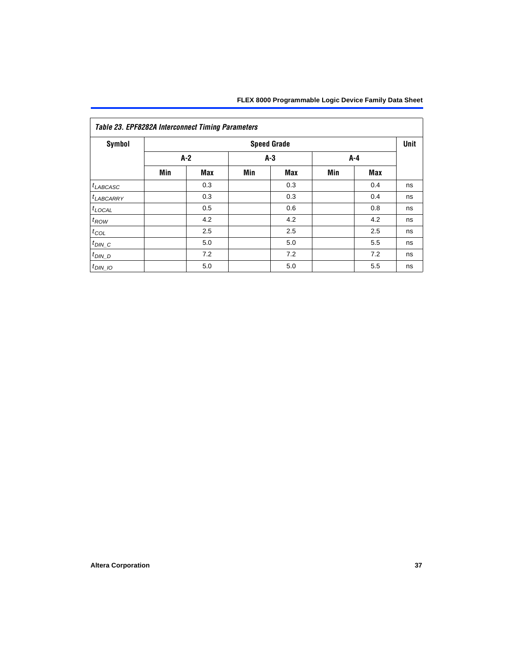| <b>Symbol</b>      |     |                |     | <b>Speed Grade</b> |     |     | Unit |
|--------------------|-----|----------------|-----|--------------------|-----|-----|------|
|                    |     | $A-2$<br>$A-3$ |     |                    | A-4 |     |      |
|                    | Min | <b>Max</b>     | Min | <b>Max</b>         | Min | Max |      |
| $t_{LABCASC}$      |     | 0.3            |     | 0.3                |     | 0.4 | ns   |
| $t_{LABCARY}$      |     | 0.3            |     | 0.3                |     | 0.4 | ns   |
| $t_{\text{LOCAL}}$ |     | 0.5            |     | 0.6                |     | 0.8 | ns   |
| $t_{ROW}$          |     | 4.2            |     | 4.2                |     | 4.2 | ns   |
| $t_{COL}$          |     | 2.5            |     | 2.5                |     | 2.5 | ns   |
| $t_{DIN\_C}$       |     | 5.0            |     | 5.0                |     | 5.5 | ns   |
| $t_{DIN\_D}$       |     | 7.2            |     | 7.2                |     | 7.2 | ns   |
| $t_{DIN}$ 10       |     | 5.0            |     | 5.0                |     | 5.5 | ns   |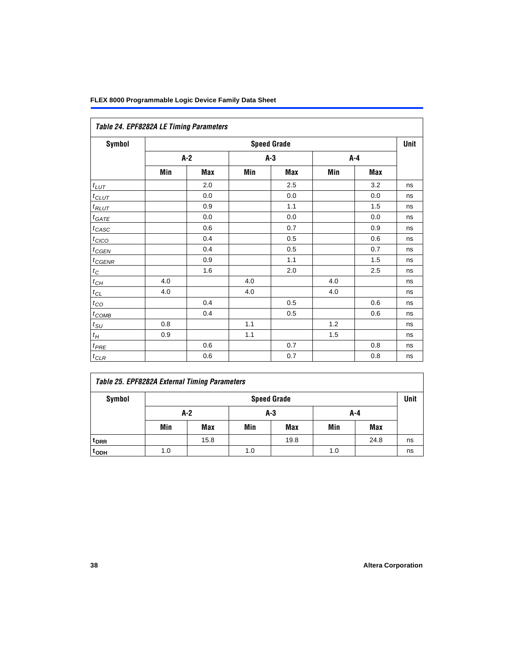|                   | Table 24. EPF8282A LE Timing Parameters |     |     |                    |     |         |      |  |  |  |  |
|-------------------|-----------------------------------------|-----|-----|--------------------|-----|---------|------|--|--|--|--|
| Symbol            |                                         |     |     | <b>Speed Grade</b> |     |         | Unit |  |  |  |  |
|                   | A-2                                     |     |     | $A-3$              |     | A-4     |      |  |  |  |  |
|                   | Min                                     | Max | Min | Max                | Min | Max     |      |  |  |  |  |
| $t_{LUT}$         |                                         | 2.0 |     | 2.5                |     | 3.2     | ns   |  |  |  |  |
| $t_{CLUT}$        |                                         | 0.0 |     | 0.0                |     | 0.0     | ns   |  |  |  |  |
| $t_{RLUT}$        |                                         | 0.9 |     | 1.1                |     | 1.5     | ns   |  |  |  |  |
| $t_{GATE}$        |                                         | 0.0 |     | 0.0                |     | 0.0     | ns   |  |  |  |  |
| $t_{CASC}$        |                                         | 0.6 |     | 0.7                |     | 0.9     | ns   |  |  |  |  |
| $t_{CICO}$        |                                         | 0.4 |     | 0.5                |     | 0.6     | ns   |  |  |  |  |
| $t_{GEN}$         |                                         | 0.4 |     | 0.5                |     | 0.7     | ns   |  |  |  |  |
| $t_{CGENR}$       |                                         | 0.9 |     | 1.1                |     | 1.5     | ns   |  |  |  |  |
| $t_C$             |                                         | 1.6 |     | 2.0                |     | $2.5\,$ | ns   |  |  |  |  |
| $t_{\mathit{CH}}$ | 4.0                                     |     | 4.0 |                    | 4.0 |         | ns   |  |  |  |  |
| $t_{CL}$          | 4.0                                     |     | 4.0 |                    | 4.0 |         | ns   |  |  |  |  |
| $t_{CQ}$          |                                         | 0.4 |     | 0.5                |     | 0.6     | ns   |  |  |  |  |
| $t_{\text{COMB}}$ |                                         | 0.4 |     | 0.5                |     | 0.6     | ns   |  |  |  |  |
| $t_{\text{SU}}$   | 0.8                                     |     | 1.1 |                    | 1.2 |         | ns   |  |  |  |  |
| $t_H$             | 0.9                                     |     | 1.1 |                    | 1.5 |         | ns   |  |  |  |  |
| $t_{PRE}$         |                                         | 0.6 |     | 0.7                |     | 0.8     | ns   |  |  |  |  |
| $t_{CLR}$         |                                         | 0.6 |     | 0.7                |     | 0.8     | ns   |  |  |  |  |

| Table 25. EPF8282A External Timing Parameters |     |                    |     |      |     |      |    |  |  |  |
|-----------------------------------------------|-----|--------------------|-----|------|-----|------|----|--|--|--|
| Symbol                                        |     | <b>Speed Grade</b> |     |      |     |      |    |  |  |  |
|                                               |     | A-2                |     | A-3  |     | A-4  |    |  |  |  |
|                                               | Min | Max                | Min | Max  | Min | Max  |    |  |  |  |
| <sup>t</sup> DRR                              |     | 15.8               |     | 19.8 |     | 24.8 | ns |  |  |  |
| t <sub>ODH</sub>                              | 1.0 |                    | 1.0 |      | 1.0 |      | ns |  |  |  |

Г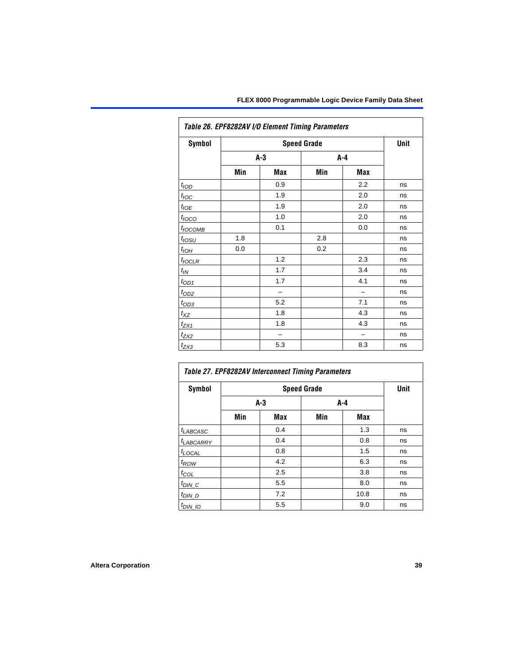| <b>Symbol</b>       |     |       | <b>Speed Grade</b> |     | Unit |
|---------------------|-----|-------|--------------------|-----|------|
|                     |     | $A-3$ | A-4                |     |      |
|                     | Min | Max   | Min                | Max |      |
| $t_{\text{LOD}}$    |     | 0.9   |                    | 2.2 | ns   |
| $t_{\text{IOC}}$    |     | 1.9   |                    | 2.0 | ns   |
| $t_{IOE}$           |     | 1.9   |                    | 2.0 | ns   |
| $t_{\text{IOCO}}$   |     | 1.0   |                    | 2.0 | ns   |
| t <sub>IОСОМВ</sub> |     | 0.1   |                    | 0.0 | ns   |
| t <sub>lOSU</sub>   | 1.8 |       | 2.8                |     | ns   |
| $t_{IOH}$           | 0.0 |       | 0.2                |     | ns   |
| $t_{IOCLR}$         |     | 1.2   |                    | 2.3 | ns   |
| $t_{IN}$            |     | 1.7   |                    | 3.4 | ns   |
| $t_{OD1}$           |     | 1.7   |                    | 4.1 | ns   |
| $t_{OD2}$           |     |       |                    |     | ns   |
| $t_{OD3}$           |     | 5.2   |                    | 7.1 | ns   |
| $t_{XZ}$            |     | 1.8   |                    | 4.3 | ns   |
| $t_{ZX1}$           |     | 1.8   |                    | 4.3 | ns   |
| $t_{ZX2}$           |     |       |                    |     | ns   |
| $t_{ZX3}$           |     | 5.3   |                    | 8.3 | ns   |

| <b>Symbol</b>         |     |     | <b>Speed Grade</b> |      | <b>Unit</b> |
|-----------------------|-----|-----|--------------------|------|-------------|
|                       |     | A-3 | A-4                |      |             |
|                       | Min | Max | Min                | Max  |             |
| $t_{LABCASC}$         |     | 0.4 |                    | 1.3  | ns          |
| t <sub>LABCARRY</sub> |     | 0.4 |                    | 0.8  | ns          |
| $t_{\text{LOCAL}}$    |     | 0.8 |                    | 1.5  | ns          |
| $t_{ROW}$             |     | 4.2 |                    | 6.3  | ns          |
| $t_{COL}$             |     | 2.5 |                    | 3.8  | ns          |
| $t_{DIN\_C}$          |     | 5.5 |                    | 8.0  | ns          |
| $t_{DIN\_D}$          |     | 7.2 |                    | 10.8 | ns          |
| $t_{DIN\_IO}$         |     | 5.5 |                    | 9.0  | ns          |

٦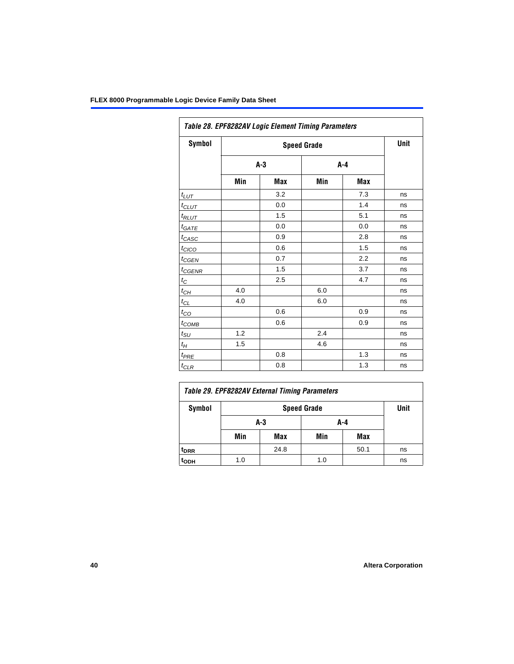| Symbol            |     |       | <b>Speed Grade</b> |     | Unit |
|-------------------|-----|-------|--------------------|-----|------|
|                   |     | $A-3$ | $A-4$              |     |      |
|                   | Min | Max   | Min                | Max |      |
| $t_{LUT}$         |     | 3.2   |                    | 7.3 | ns   |
| $t_{CLUT}$        |     | 0.0   |                    | 1.4 | ns   |
| $t_{RLUT}$        |     | 1.5   |                    | 5.1 | ns   |
| $t_{GATE}$        |     | 0.0   |                    | 0.0 | ns   |
| $t_{CASC}$        |     | 0.9   |                    | 2.8 | ns   |
| $t_{CICO}$        |     | 0.6   |                    | 1.5 | ns   |
| $t_{CGEN}$        |     | 0.7   |                    | 2.2 | ns   |
| $t_{\text{GENR}}$ |     | 1.5   |                    | 3.7 | ns   |
| $t_C$             |     | 2.5   |                    | 4.7 | ns   |
| $t_{CH}$          | 4.0 |       | 6.0                |     | ns   |
| $t_{CL}$          | 4.0 |       | 6.0                |     | ns   |
| $t_{CO}$          |     | 0.6   |                    | 0.9 | ns   |
| $t_{COMB}$        |     | 0.6   |                    | 0.9 | ns   |
| $t_{\text{SU}}$   | 1.2 |       | 2.4                |     | ns   |
| $t_H$             | 1.5 |       | 4.6                |     | ns   |
| $t_{PRE}$         |     | 0.8   |                    | 1.3 | ns   |
| $t_{\text{CLR}}$  |     | 0.8   |                    | 1.3 | ns   |

|                  | Table 29. EPF8282AV External Timing Parameters |      |     |      |    |  |  |  |  |
|------------------|------------------------------------------------|------|-----|------|----|--|--|--|--|
| Symbol           |                                                | Unit |     |      |    |  |  |  |  |
|                  |                                                | A-3  | A-4 |      |    |  |  |  |  |
|                  | Min                                            | Max  | Min | Max  |    |  |  |  |  |
| <sup>t</sup> DRR |                                                | 24.8 |     | 50.1 | ns |  |  |  |  |
| t <sub>ODH</sub> | 1.0                                            |      | 1.0 |      | ns |  |  |  |  |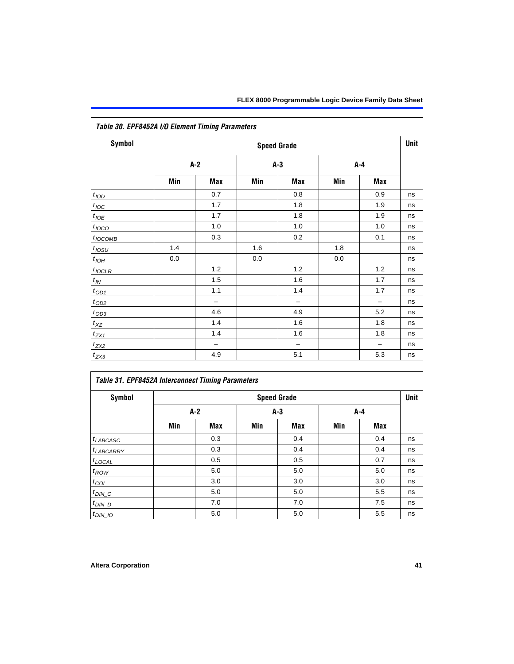| <b>Symbol</b>         |         |                          |       | <b>Speed Grade</b> |         |                          | Unit |
|-----------------------|---------|--------------------------|-------|--------------------|---------|--------------------------|------|
|                       | $A-2$   |                          | $A-3$ |                    | $A - 4$ |                          |      |
|                       | Min     | Max                      | Min   | Max                | Min     | Max                      |      |
| t <sub>IOD</sub>      |         | 0.7                      |       | 0.8                |         | 0.9                      | ns   |
| $t_{\text{loc}}$      |         | 1.7                      |       | 1.8                |         | 1.9                      | ns   |
| $t_{IOE}$             |         | 1.7                      |       | 1.8                |         | 1.9                      | ns   |
| $t_{IOCO}$            |         | 1.0                      |       | 1.0                |         | 1.0                      | ns   |
| $t_{IOCOMB}$          |         | 0.3                      |       | 0.2                |         | 0.1                      | ns   |
| $t_{IOSU}$            | 1.4     |                          | 1.6   |                    | 1.8     |                          | ns   |
| $t_{I\underline{OH}}$ | $0.0\,$ |                          | 0.0   |                    | 0.0     |                          | ns   |
| $t_{IOCLR}$           |         | 1.2                      |       | 1.2                |         | 1.2                      | ns   |
| $t_{I\!N}$            |         | 1.5                      |       | 1.6                |         | 1.7                      | ns   |
| $t_{\text{OD1}}$      |         | 1.1                      |       | 1.4                |         | 1.7                      | ns   |
| $t_{\text{OD2}}$      |         | $\overline{\phantom{0}}$ |       | $\qquad \qquad -$  |         | $\qquad \qquad -$        | ns   |
| $t_{OD3}$             |         | 4.6                      |       | 4.9                |         | 5.2                      | ns   |
| $t_{X\!Z}$            |         | 1.4                      |       | 1.6                |         | 1.8                      | ns   |
| $t_{ZX1}$             |         | 1.4                      |       | 1.6                |         | 1.8                      | ns   |
| $t_{ZX2}$             |         | $\overline{\phantom{0}}$ |       | $\qquad \qquad -$  |         | $\overline{\phantom{0}}$ | ns   |
| $t_{ZX3}$             |         | 4.9                      |       | 5.1                |         | 5.3                      | ns   |

## *Table 31. EPF8452A Interconnect Timing Parameters*

| Symbol             |       |     |     | <b>Speed Grade</b> |     |       | Unit |
|--------------------|-------|-----|-----|--------------------|-----|-------|------|
|                    | $A-2$ |     |     | $A-3$              |     | $A-4$ |      |
|                    | Min   | Max | Min | Max                | Min | Max   |      |
| $t_{LABCASC}$      |       | 0.3 |     | 0.4                |     | 0.4   | ns   |
| $t_{LABCARRY}$     |       | 0.3 |     | 0.4                |     | 0.4   | ns   |
| $t_{\text{LOCAL}}$ |       | 0.5 |     | 0.5                |     | 0.7   | ns   |
| $t_{\mathit{ROW}}$ |       | 5.0 |     | 5.0                |     | 5.0   | ns   |
| $t_{COL}$          |       | 3.0 |     | 3.0                |     | 3.0   | ns   |
| $t_{DIN\_C}$       |       | 5.0 |     | 5.0                |     | 5.5   | ns   |
| $t_{DI N_D}$       |       | 7.0 |     | 7.0                |     | 7.5   | ns   |
| $t_{DIN\_IO}$      |       | 5.0 |     | 5.0                |     | 5.5   | ns   |

Г

 $\overline{\phantom{0}}$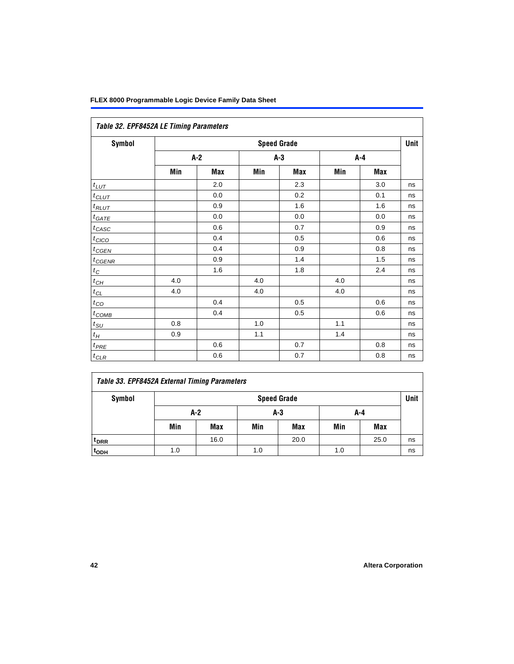|                              | Table 32. EPF8452A LE Timing Parameters |     |       |                    |     |     |      |  |  |  |  |
|------------------------------|-----------------------------------------|-----|-------|--------------------|-----|-----|------|--|--|--|--|
| Symbol                       |                                         |     |       | <b>Speed Grade</b> |     |     | Unit |  |  |  |  |
|                              | $A-2$                                   |     | $A-3$ |                    |     | A-4 |      |  |  |  |  |
|                              | Min                                     | Max | Min   | Max                | Min | Max |      |  |  |  |  |
| $t_{LUT}$                    |                                         | 2.0 |       | 2.3                |     | 3.0 | ns   |  |  |  |  |
| $t_{CLUT}$                   |                                         | 0.0 |       | 0.2                |     | 0.1 | ns   |  |  |  |  |
| $t_{RLUT}$                   |                                         | 0.9 |       | 1.6                |     | 1.6 | ns   |  |  |  |  |
| $t_{GATE}$                   |                                         | 0.0 |       | 0.0                |     | 0.0 | ns   |  |  |  |  |
| $t_{CASC}$                   |                                         | 0.6 |       | 0.7                |     | 0.9 | ns   |  |  |  |  |
| $t_{CICO}$                   |                                         | 0.4 |       | 0.5                |     | 0.6 | ns   |  |  |  |  |
| $t_{GFN}$                    |                                         | 0.4 |       | 0.9                |     | 0.8 | ns   |  |  |  |  |
| $t_{CGENR}$                  |                                         | 0.9 |       | 1.4                |     | 1.5 | ns   |  |  |  |  |
| $t_C$                        |                                         | 1.6 |       | 1.8                |     | 2.4 | ns   |  |  |  |  |
| $t_{CH}$                     | 4.0                                     |     | 4.0   |                    | 4.0 |     | ns   |  |  |  |  |
| $t_{\ensuremath{\text{CL}}}$ | 4.0                                     |     | 4.0   |                    | 4.0 |     | ns   |  |  |  |  |
| $t_{\rm CO}$                 |                                         | 0.4 |       | 0.5                |     | 0.6 | ns   |  |  |  |  |
| $t_{\text{COMB}}$            |                                         | 0.4 |       | 0.5                |     | 0.6 | ns   |  |  |  |  |
| $t_{\rm SU}$                 | 0.8                                     |     | 1.0   |                    | 1.1 |     | ns   |  |  |  |  |
| $t_H\,$                      | 0.9                                     |     | 1.1   |                    | 1.4 |     | ns   |  |  |  |  |
| $t_{PRE}$                    |                                         | 0.6 |       | 0.7                |     | 0.8 | ns   |  |  |  |  |
| $t_{CLR}$                    |                                         | 0.6 |       | 0.7                |     | 0.8 | ns   |  |  |  |  |

## *Table 33. EPF8452A External Timing Parameters*

| Symbol                      | <b>Speed Grade</b> |      |     |            |     |            | Unit |
|-----------------------------|--------------------|------|-----|------------|-----|------------|------|
|                             |                    | A-2  |     | $A-3$      |     | A-4        |      |
|                             | Min                | Max  | Min | <b>Max</b> | Min | <b>Max</b> |      |
| <sup>t</sup> <sub>DRR</sub> |                    | 16.0 |     | 20.0       |     | 25.0       | ns   |
| t <sub>ODH</sub>            | 1.0                |      | 1.0 |            | 1.0 |            | ns   |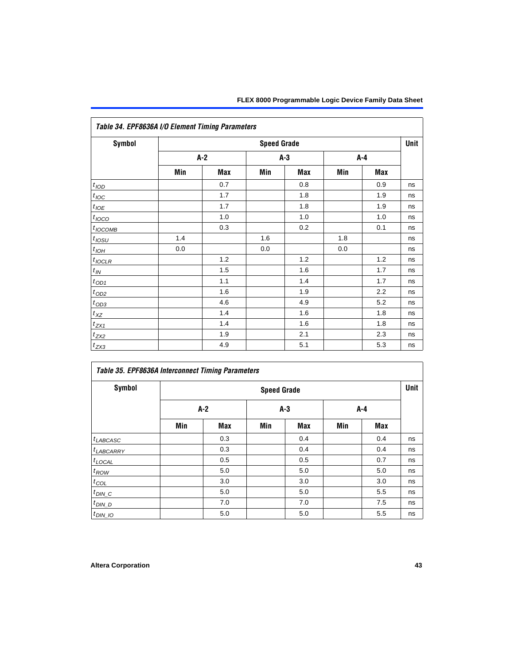|                       | Table 34. EPF8636A I/O Element Timing Parameters |     |                    |       |     |       |      |  |  |  |
|-----------------------|--------------------------------------------------|-----|--------------------|-------|-----|-------|------|--|--|--|
| Symbol                |                                                  |     | <b>Speed Grade</b> |       |     |       | Unit |  |  |  |
|                       | $A-2$                                            |     |                    | $A-3$ |     | $A-4$ |      |  |  |  |
|                       | Min                                              | Max | Min                | Max   | Min | Max   |      |  |  |  |
| t <sub>IOD</sub>      |                                                  | 0.7 |                    | 0.8   |     | 0.9   | ns   |  |  |  |
| $t_{\text{IOC}}$      |                                                  | 1.7 |                    | 1.8   |     | 1.9   | ns   |  |  |  |
| $t_{IOE}$             |                                                  | 1.7 |                    | 1.8   |     | 1.9   | ns   |  |  |  |
| $t_{IOCO}$            |                                                  | 1.0 |                    | 1.0   |     | 1.0   | ns   |  |  |  |
| $t_{IOCOMB}$          |                                                  | 0.3 |                    | 0.2   |     | 0.1   | ns   |  |  |  |
| $t_{IOSU}$            | 1.4                                              |     | 1.6                |       | 1.8 |       | ns   |  |  |  |
| $t_{I\underline{OH}}$ | 0.0                                              |     | 0.0                |       | 0.0 |       | ns   |  |  |  |
| $t_{IQCLR}$           |                                                  | 1.2 |                    | 1.2   |     | 1.2   | ns   |  |  |  |
| $t_{I\!N}$            |                                                  | 1.5 |                    | 1.6   |     | 1.7   | ns   |  |  |  |
| $t_{\text{OD1}}$      |                                                  | 1.1 |                    | 1.4   |     | 1.7   | ns   |  |  |  |
| $t_{OD2}$             |                                                  | 1.6 |                    | 1.9   |     | 2.2   | ns   |  |  |  |
| $t_{OD3}$             |                                                  | 4.6 |                    | 4.9   |     | 5.2   | ns   |  |  |  |
| $t_{\mathsf{XZ}}$     |                                                  | 1.4 |                    | 1.6   |     | 1.8   | ns   |  |  |  |
| $t_{ZX1}$             |                                                  | 1.4 |                    | 1.6   |     | 1.8   | ns   |  |  |  |
| $t_{ZX2}$             |                                                  | 1.9 |                    | 2.1   |     | 2.3   | ns   |  |  |  |
| $t_{ZX3}$             |                                                  | 4.9 |                    | 5.1   |     | 5.3   | ns   |  |  |  |

| Table 35. EPF8636A Interconnect Timing Parameters |     |                    |     |            |     |     |    |  |  |
|---------------------------------------------------|-----|--------------------|-----|------------|-----|-----|----|--|--|
| <b>Symbol</b>                                     |     | <b>Speed Grade</b> |     |            |     |     |    |  |  |
|                                                   | A-2 |                    |     | $A-3$      |     | A-4 |    |  |  |
|                                                   | Min | Max                | Min | <b>Max</b> | Min | Max |    |  |  |
| $t_{LABCASC}$                                     |     | 0.3                |     | 0.4        |     | 0.4 | ns |  |  |
| <sup>t</sup> LABCARRY                             |     | 0.3                |     | 0.4        |     | 0.4 | ns |  |  |
| $t_{\text{LOCAL}}$                                |     | 0.5                |     | 0.5        |     | 0.7 | ns |  |  |
| $t_{ROW}$                                         |     | 5.0                |     | 5.0        |     | 5.0 | ns |  |  |
| $t_{COL}$                                         |     | 3.0                |     | 3.0        |     | 3.0 | ns |  |  |
| $t_{DIN\_C}$                                      |     | 5.0                |     | 5.0        |     | 5.5 | ns |  |  |
| $t$ <sub>DIN_D</sub>                              |     | 7.0                |     | 7.0        |     | 7.5 | ns |  |  |
| $t_{DIN\_IO}$                                     |     | 5.0                |     | 5.0        |     | 5.5 | ns |  |  |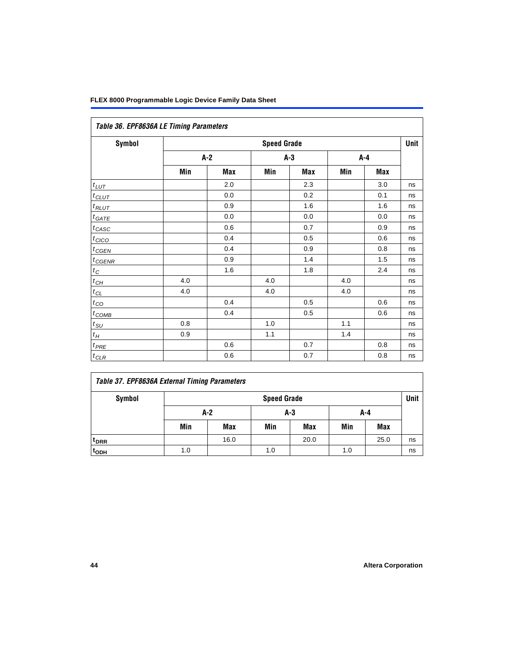| Table 36. EPF8636A LE Timing Parameters |                    |     |       |     |       |     |    |  |  |
|-----------------------------------------|--------------------|-----|-------|-----|-------|-----|----|--|--|
| <b>Symbol</b>                           | <b>Speed Grade</b> |     |       |     |       |     |    |  |  |
|                                         | $A-2$              |     | $A-3$ |     | $A-4$ |     |    |  |  |
|                                         | Min                | Max | Min   | Max | Min   | Max |    |  |  |
| $t_{LUT}$                               |                    | 2.0 |       | 2.3 |       | 3.0 | ns |  |  |
| $t_{CLUT}$                              |                    | 0.0 |       | 0.2 |       | 0.1 | ns |  |  |
| $t_{RLUT}$                              |                    | 0.9 |       | 1.6 |       | 1.6 | ns |  |  |
| $t_{GATE}$                              |                    | 0.0 |       | 0.0 |       | 0.0 | ns |  |  |
| $t_{CASC}$                              |                    | 0.6 |       | 0.7 |       | 0.9 | ns |  |  |
| $t_{CICO}$                              |                    | 0.4 |       | 0.5 |       | 0.6 | ns |  |  |
| $t_{GEN}$                               |                    | 0.4 |       | 0.9 |       | 0.8 | ns |  |  |
| $t_{CGENR}$                             |                    | 0.9 |       | 1.4 |       | 1.5 | ns |  |  |
| $t_C$                                   |                    | 1.6 |       | 1.8 |       | 2.4 | ns |  |  |
| $t_{CH}$                                | 4.0                |     | 4.0   |     | 4.0   |     | ns |  |  |
| $t_{CL}$                                | 4.0                |     | 4.0   |     | 4.0   |     | ns |  |  |
| $t_{CO}$                                |                    | 0.4 |       | 0.5 |       | 0.6 | ns |  |  |
| $t_{\text{COMB}}$                       |                    | 0.4 |       | 0.5 |       | 0.6 | ns |  |  |
| $t_{SU}$                                | 0.8                |     | 1.0   |     | 1.1   |     | ns |  |  |
| $t_H$                                   | 0.9                |     | 1.1   |     | 1.4   |     | ns |  |  |
| $t_{PRE}$                               |                    | 0.6 |       | 0.7 |       | 0.8 | ns |  |  |
| $t_{CLR}$                               |                    | 0.6 |       | 0.7 |       | 0.8 | ns |  |  |

## *Table 37. EPF8636A External Timing Parameters*

| Symbol           | <b>Speed Grade</b> |            |     |            |     |      |    |  |
|------------------|--------------------|------------|-----|------------|-----|------|----|--|
|                  | $A-2$              |            |     | $A-3$      | A-4 |      |    |  |
|                  | Min                | <b>Max</b> | Min | <b>Max</b> | Min | Max  |    |  |
| t <sub>DRR</sub> |                    | 16.0       |     | 20.0       |     | 25.0 | ns |  |
| t <sub>ODH</sub> | 1.0                |            | 1.0 |            | 1.0 |      | ns |  |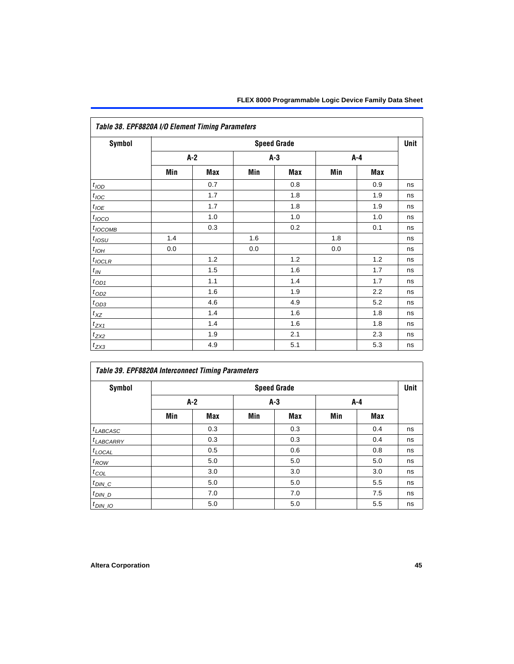| Table 38. EPF8820A I/O Element Timing Parameters |                    |     |     |     |     |     |    |  |  |
|--------------------------------------------------|--------------------|-----|-----|-----|-----|-----|----|--|--|
| <b>Symbol</b>                                    | <b>Speed Grade</b> |     |     |     |     |     |    |  |  |
|                                                  | $A-2$              |     | A-3 |     | A-4 |     |    |  |  |
|                                                  | Min                | Max | Min | Max | Min | Max |    |  |  |
| t <sub>IOD</sub>                                 |                    | 0.7 |     | 0.8 |     | 0.9 | ns |  |  |
| $t_{\text{IOC}}$                                 |                    | 1.7 |     | 1.8 |     | 1.9 | ns |  |  |
| $t_{IOE}$                                        |                    | 1.7 |     | 1.8 |     | 1.9 | ns |  |  |
| $t_{IOCO}$                                       |                    | 1.0 |     | 1.0 |     | 1.0 | ns |  |  |
| $t_{IOCOMB}$                                     |                    | 0.3 |     | 0.2 |     | 0.1 | ns |  |  |
| $t_{IOSU}$                                       | 1.4                |     | 1.6 |     | 1.8 |     | ns |  |  |
| $t_{IOH}$                                        | 0.0                |     | 0.0 |     | 0.0 |     | ns |  |  |
| $t_{IOCLR}$                                      |                    | 1.2 |     | 1.2 |     | 1.2 | ns |  |  |
| $t_{I\!N}$                                       |                    | 1.5 |     | 1.6 |     | 1.7 | ns |  |  |
| $t_{OD1}$                                        |                    | 1.1 |     | 1.4 |     | 1.7 | ns |  |  |
| $t_{OD2}$                                        |                    | 1.6 |     | 1.9 |     | 2.2 | ns |  |  |
| $t_{OD3}$                                        |                    | 4.6 |     | 4.9 |     | 5.2 | ns |  |  |
| $t_{\text{XZ}}$                                  |                    | 1.4 |     | 1.6 |     | 1.8 | ns |  |  |
| $t_{ZX1}$                                        |                    | 1.4 |     | 1.6 |     | 1.8 | ns |  |  |
| $t_{ZX2}$                                        |                    | 1.9 |     | 2.1 |     | 2.3 | ns |  |  |
| $t_{ZX3}$                                        |                    | 4.9 |     | 5.1 |     | 5.3 | ns |  |  |

| Symbol                |     |       |     | <b>Speed Grade</b> |     |            | Unit |
|-----------------------|-----|-------|-----|--------------------|-----|------------|------|
|                       |     | $A-2$ |     | $A-3$              |     | A-4        |      |
|                       | Min | Max   | Min | Max                | Min | <b>Max</b> |      |
| $t_{LABCASC}$         |     | 0.3   |     | 0.3                |     | 0.4        | ns   |
| <sup>t</sup> LABCARRY |     | 0.3   |     | 0.3                |     | 0.4        | ns   |
| $t_{\text{LOCAL}}$    |     | 0.5   |     | 0.6                |     | 0.8        | ns   |
| $t_{ROW}$             |     | 5.0   |     | 5.0                |     | 5.0        | ns   |
| $t_{COL}$             |     | 3.0   |     | 3.0                |     | 3.0        | ns   |
| $t_{DIN\_C}$          |     | 5.0   |     | 5.0                |     | 5.5        | ns   |
| $t_{DIN\_D}$          |     | 7.0   |     | 7.0                |     | 7.5        | ns   |
| $t_{DIN\_IO}$         |     | 5.0   |     | 5.0                |     | 5.5        | ns   |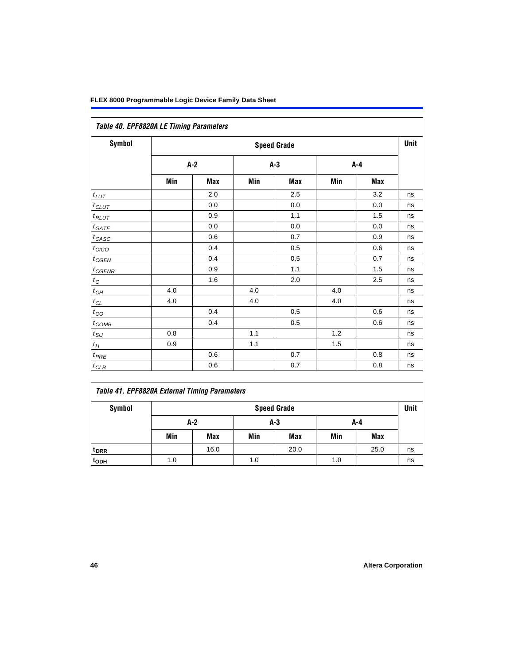| Table 40. EPF8820A LE Timing Parameters |       |                    |     |       |     |       |    |  |  |  |
|-----------------------------------------|-------|--------------------|-----|-------|-----|-------|----|--|--|--|
| <b>Symbol</b>                           |       | <b>Speed Grade</b> |     |       |     |       |    |  |  |  |
|                                         | $A-2$ |                    |     | $A-3$ |     | $A-4$ |    |  |  |  |
|                                         | Min   | Max                | Min | Max   | Min | Max   |    |  |  |  |
| $t_{LUT}$                               |       | 2.0                |     | 2.5   |     | 3.2   | ns |  |  |  |
| $t_{CLUT}$                              |       | 0.0                |     | 0.0   |     | 0.0   | ns |  |  |  |
| $t_{RLUT}$                              |       | 0.9                |     | 1.1   |     | 1.5   | ns |  |  |  |
| $t_{GATE}$                              |       | 0.0                |     | 0.0   |     | 0.0   | ns |  |  |  |
| $t_{CASC}$                              |       | 0.6                |     | 0.7   |     | 0.9   | ns |  |  |  |
| $t_{CICO}$                              |       | 0.4                |     | 0.5   |     | 0.6   | ns |  |  |  |
| $t_{CGEN}$                              |       | 0.4                |     | 0.5   |     | 0.7   | ns |  |  |  |
| $t_{GENR}$                              |       | 0.9                |     | 1.1   |     | 1.5   | ns |  |  |  |
| $t_C$                                   |       | 1.6                |     | 2.0   |     | 2.5   | ns |  |  |  |
| $t_{CH}$                                | 4.0   |                    | 4.0 |       | 4.0 |       | ns |  |  |  |
| $t_{CL}$                                | 4.0   |                    | 4.0 |       | 4.0 |       | ns |  |  |  |
| $t_{CO}$                                |       | 0.4                |     | 0.5   |     | 0.6   | ns |  |  |  |
| $t_{COMB}$                              |       | 0.4                |     | 0.5   |     | 0.6   | ns |  |  |  |
| $t_{\text{SU}}$                         | 0.8   |                    | 1.1 |       | 1.2 |       | ns |  |  |  |
| $t_H\,$                                 | 0.9   |                    | 1.1 |       | 1.5 |       | ns |  |  |  |
| $t_{PRE}$                               |       | 0.6                |     | 0.7   |     | 0.8   | ns |  |  |  |
| $t_{CLR}$                               |       | 0.6                |     | 0.7   |     | 0.8   | ns |  |  |  |

# *Table 41. EPF8820A External Timing Parameters*

| Symbol           | <b>Speed Grade</b> |                       |     |            |     |            |    |  |
|------------------|--------------------|-----------------------|-----|------------|-----|------------|----|--|
|                  |                    | $A-2$<br>$A-3$<br>A-4 |     |            |     |            |    |  |
|                  | Min                | Max                   | Min | <b>Max</b> | Min | <b>Max</b> |    |  |
| t <sub>DRR</sub> |                    | 16.0                  |     | 20.0       |     | 25.0       | ns |  |
| t <sub>ODH</sub> | 1.0                |                       | 1.0 |            | 1.0 |            | ns |  |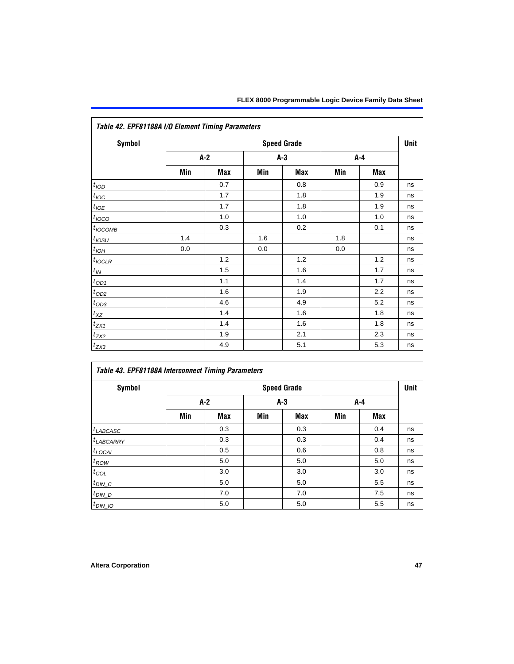| Table 42. EPF81188A I/O Element Timing Parameters |       |                    |     |       |     |     |    |  |  |
|---------------------------------------------------|-------|--------------------|-----|-------|-----|-----|----|--|--|
| Symbol                                            |       | <b>Speed Grade</b> |     |       |     |     |    |  |  |
|                                                   | $A-2$ |                    |     | $A-3$ |     | A-4 |    |  |  |
|                                                   | Min   | Max                | Min | Max   | Min | Max |    |  |  |
| t <sub>IOD</sub>                                  |       | 0.7                |     | 0.8   |     | 0.9 | ns |  |  |
| $t_{\text{IOC}}$                                  |       | 1.7                |     | 1.8   |     | 1.9 | ns |  |  |
| $t_{I\underline{OE}}$                             |       | 1.7                |     | 1.8   |     | 1.9 | ns |  |  |
| $t_{IOCO}$                                        |       | 1.0                |     | 1.0   |     | 1.0 | ns |  |  |
| $t_{IOCOMB}$                                      |       | 0.3                |     | 0.2   |     | 0.1 | ns |  |  |
| $t_{IOSU}$                                        | 1.4   |                    | 1.6 |       | 1.8 |     | ns |  |  |
| $t_{IOH}$                                         | 0.0   |                    | 0.0 |       | 0.0 |     | ns |  |  |
| $t_{IOCLR}$                                       |       | 1.2                |     | 1.2   |     | 1.2 | ns |  |  |
| $t_{I\!N}$                                        |       | 1.5                |     | 1.6   |     | 1.7 | ns |  |  |
| $t_{OD1}$                                         |       | 1.1                |     | 1.4   |     | 1.7 | ns |  |  |
| $t_{\text{OD2}}$                                  |       | 1.6                |     | 1.9   |     | 2.2 | ns |  |  |
| $t_{OD3}$                                         |       | 4.6                |     | 4.9   |     | 5.2 | ns |  |  |
| $t_{X\!Z}$                                        |       | 1.4                |     | 1.6   |     | 1.8 | ns |  |  |
| $t_{ZX1}$                                         |       | 1.4                |     | 1.6   |     | 1.8 | ns |  |  |
| $t_{ZX2}$                                         |       | 1.9                |     | 2.1   |     | 2.3 | ns |  |  |
| $t_{ZX3}$                                         |       | 4.9                |     | 5.1   |     | 5.3 | ns |  |  |

| Symbol             |     | <b>Speed Grade</b> |     |       |     |            |    |  |  |
|--------------------|-----|--------------------|-----|-------|-----|------------|----|--|--|
|                    |     | $A-2$              |     | $A-3$ |     | $A - 4$    |    |  |  |
|                    | Min | <b>Max</b>         | Min | Max   | Min | <b>Max</b> |    |  |  |
| $t_{LABCASC}$      |     | 0.3                |     | 0.3   |     | 0.4        | ns |  |  |
| $t_{LABCARY}$      |     | 0.3                |     | 0.3   |     | 0.4        | ns |  |  |
| $t_{\text{LOCAL}}$ |     | 0.5                |     | 0.6   |     | 0.8        | ns |  |  |
| $t_{ROW}$          |     | 5.0                |     | 5.0   |     | 5.0        | ns |  |  |
| $t_{COL}$          |     | 3.0                |     | 3.0   |     | 3.0        | ns |  |  |
| $t_{DIN\_C}$       |     | 5.0                |     | 5.0   |     | 5.5        | ns |  |  |
| $t_{DIN\_D}$       |     | 7.0                |     | 7.0   |     | 7.5        | ns |  |  |
| $t_{DIN}$ 10       |     | 5.0                |     | 5.0   |     | 5.5        | ns |  |  |

# *Table 42. EPF81188A I/O Element Timing Parameters*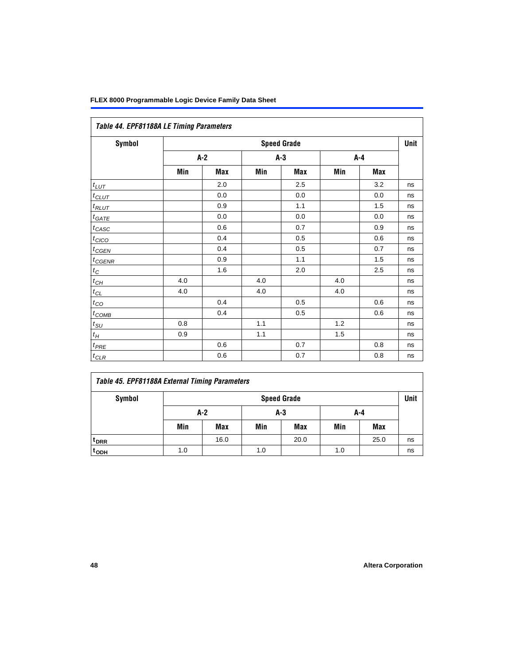|                   | Table 44. EPF81188A LE Timing Parameters |       |     |       |     |         |    |  |  |  |
|-------------------|------------------------------------------|-------|-----|-------|-----|---------|----|--|--|--|
| Symbol            | <b>Speed Grade</b>                       |       |     |       |     |         |    |  |  |  |
|                   |                                          | $A-2$ |     | $A-3$ |     | $A - 4$ |    |  |  |  |
|                   | Min                                      | Max   | Min | Max   | Min | Max     |    |  |  |  |
| $t_{LUT}$         |                                          | 2.0   |     | 2.5   |     | 3.2     | ns |  |  |  |
| $t_{CLUT}$        |                                          | 0.0   |     | 0.0   |     | 0.0     | ns |  |  |  |
| $t_{RLUT}$        |                                          | 0.9   |     | 1.1   |     | 1.5     | ns |  |  |  |
| $t_{GATE}$        |                                          | 0.0   |     | 0.0   |     | 0.0     | ns |  |  |  |
| $t_{CASC}$        |                                          | 0.6   |     | 0.7   |     | 0.9     | ns |  |  |  |
| $t_{CICO}$        |                                          | 0.4   |     | 0.5   |     | 0.6     | ns |  |  |  |
| $t_{GEN}$         |                                          | 0.4   |     | 0.5   |     | 0.7     | ns |  |  |  |
| $t_{\text{GENR}}$ |                                          | 0.9   |     | 1.1   |     | 1.5     | ns |  |  |  |
| $t_C$             |                                          | 1.6   |     | 2.0   |     | 2.5     | ns |  |  |  |
| $t_{CH}$          | 4.0                                      |       | 4.0 |       | 4.0 |         | ns |  |  |  |
| $t_{CL}$          | 4.0                                      |       | 4.0 |       | 4.0 |         | ns |  |  |  |
| $t_{CO}$          |                                          | 0.4   |     | 0.5   |     | 0.6     | ns |  |  |  |
| $t_{\text{COMB}}$ |                                          | 0.4   |     | 0.5   |     | 0.6     | ns |  |  |  |
| $t_{SU}$          | 0.8                                      |       | 1.1 |       | 1.2 |         | ns |  |  |  |
| $t_H$             | 0.9                                      |       | 1.1 |       | 1.5 |         | ns |  |  |  |
| $t_{PRE}$         |                                          | 0.6   |     | 0.7   |     | 0.8     | ns |  |  |  |
| $t_{CLR}$         |                                          | 0.6   |     | 0.7   |     | 0.8     | ns |  |  |  |

| Table 45. EPF81188A External Timing Parameters |     |       |     |                    |     |      |             |
|------------------------------------------------|-----|-------|-----|--------------------|-----|------|-------------|
| Symbol                                         |     |       |     | <b>Speed Grade</b> |     |      | <b>Unit</b> |
|                                                |     | $A-2$ |     | A-3                |     | A-4  |             |
|                                                | Min | Max   | Min | Max                | Min | Max  |             |
| <sup>t</sup> DRR                               |     | 16.0  |     | 20.0               |     | 25.0 | ns          |
| t <sub>ODH</sub>                               | 1.0 |       | 1.0 |                    | 1.0 |      | ns          |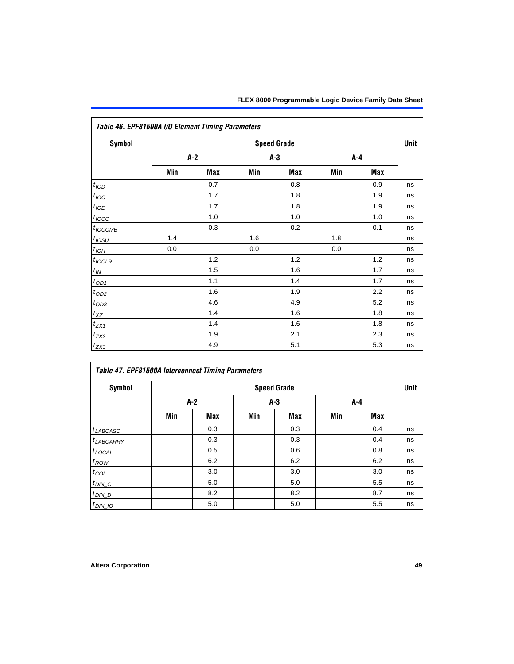| Table 46. EPF81500A I/O Element Timing Parameters |                    |     |     |     |     |     |    |  |  |
|---------------------------------------------------|--------------------|-----|-----|-----|-----|-----|----|--|--|
| <b>Symbol</b>                                     | <b>Speed Grade</b> |     |     |     |     |     |    |  |  |
|                                                   | $A-2$              |     | A-3 |     | A-4 |     |    |  |  |
|                                                   | Min                | Max | Min | Max | Min | Max |    |  |  |
| $t_{\rm IOD}$                                     |                    | 0.7 |     | 0.8 |     | 0.9 | ns |  |  |
| $t_{\text{IOC}}$                                  |                    | 1.7 |     | 1.8 |     | 1.9 | ns |  |  |
| $t_{I\underline{OE}}$                             |                    | 1.7 |     | 1.8 |     | 1.9 | ns |  |  |
| $t_{IOCO}$                                        |                    | 1.0 |     | 1.0 |     | 1.0 | ns |  |  |
| $t_{IOCOMB}$                                      |                    | 0.3 |     | 0.2 |     | 0.1 | ns |  |  |
| $t_{IOSU}$                                        | 1.4                |     | 1.6 |     | 1.8 |     | ns |  |  |
| $t_{IOH}$                                         | 0.0                |     | 0.0 |     | 0.0 |     | ns |  |  |
| $t_{IOCLR}$                                       |                    | 1.2 |     | 1.2 |     | 1.2 | ns |  |  |
| $t_{I\!N}$                                        |                    | 1.5 |     | 1.6 |     | 1.7 | ns |  |  |
| $t_{\text{OD1}}$                                  |                    | 1.1 |     | 1.4 |     | 1.7 | ns |  |  |
| $t_{OD2}$                                         |                    | 1.6 |     | 1.9 |     | 2.2 | ns |  |  |
| $t_{OD3}$                                         |                    | 4.6 |     | 4.9 |     | 5.2 | ns |  |  |
| $t_{X\!Z}$                                        |                    | 1.4 |     | 1.6 |     | 1.8 | ns |  |  |
| $t_{ZX1}$                                         |                    | 1.4 |     | 1.6 |     | 1.8 | ns |  |  |
| $t_{ZX2}$                                         |                    | 1.9 |     | 2.1 |     | 2.3 | ns |  |  |
| $t_{ZX3}$                                         |                    | 4.9 |     | 5.1 |     | 5.3 | ns |  |  |

| Symbol                |     |     |     | <b>Speed Grade</b> |     |            | Unit |
|-----------------------|-----|-----|-----|--------------------|-----|------------|------|
|                       |     | A-2 |     | $A-3$              | A-4 |            |      |
|                       | Min | Max | Min | Max                | Min | <b>Max</b> |      |
| $t_{LABCASC}$         |     | 0.3 |     | 0.3                |     | 0.4        | ns   |
| t <sub>LABCARRY</sub> |     | 0.3 |     | 0.3                |     | 0.4        | ns   |
| $t_{\text{LOCAL}}$    |     | 0.5 |     | 0.6                |     | 0.8        | ns   |
| $t_{ROW}$             |     | 6.2 |     | 6.2                |     | 6.2        | ns   |
| $t_{COL}$             |     | 3.0 |     | 3.0                |     | 3.0        | ns   |
| $t_{DIN\_C}$          |     | 5.0 |     | 5.0                |     | 5.5        | ns   |
| $t$ <sub>DIN_D</sub>  |     | 8.2 |     | 8.2                |     | 8.7        | ns   |
| $t_{DIN\_IO}$         |     | 5.0 |     | 5.0                |     | 5.5        | ns   |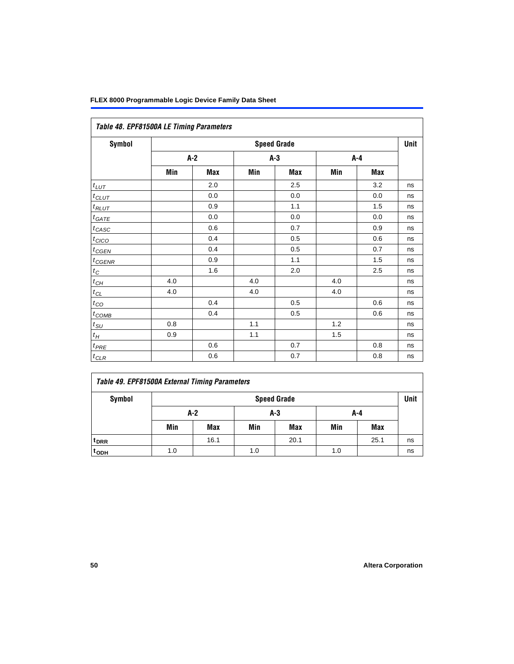| Table 48. EPF81500A LE Timing Parameters |                    |            |       |     |     |     |    |  |  |
|------------------------------------------|--------------------|------------|-------|-----|-----|-----|----|--|--|
| Symbol                                   | <b>Speed Grade</b> |            |       |     |     |     |    |  |  |
|                                          |                    | $A-2$      | $A-3$ |     | A-4 |     |    |  |  |
|                                          | Min                | <b>Max</b> | Min   | Max | Min | Max |    |  |  |
| $t_{LUT}$                                |                    | 2.0        |       | 2.5 |     | 3.2 | ns |  |  |
| $t_{CLUT}$                               |                    | 0.0        |       | 0.0 |     | 0.0 | ns |  |  |
| $t_{RLUT}$                               |                    | 0.9        |       | 1.1 |     | 1.5 | ns |  |  |
| $t_{GATE}$                               |                    | 0.0        |       | 0.0 |     | 0.0 | ns |  |  |
| $t_{CASC}$                               |                    | 0.6        |       | 0.7 |     | 0.9 | ns |  |  |
| $t_{CICO}$                               |                    | 0.4        |       | 0.5 |     | 0.6 | ns |  |  |
| $t_{GEN}$                                |                    | 0.4        |       | 0.5 |     | 0.7 | ns |  |  |
| $t_{CGENR}$                              |                    | 0.9        |       | 1.1 |     | 1.5 | ns |  |  |
| $t_C$                                    |                    | 1.6        |       | 2.0 |     | 2.5 | ns |  |  |
| $t_{CH}$                                 | 4.0                |            | 4.0   |     | 4.0 |     | ns |  |  |
| $t_{\ensuremath{CL}}$                    | 4.0                |            | 4.0   |     | 4.0 |     | ns |  |  |
| $t_{CO}$                                 |                    | 0.4        |       | 0.5 |     | 0.6 | ns |  |  |
| $t_{\text{COMB}}$                        |                    | 0.4        |       | 0.5 |     | 0.6 | ns |  |  |
| $t_{\rm SU}$                             | 0.8                |            | 1.1   |     | 1.2 |     | ns |  |  |
| $t_H\,$                                  | 0.9                |            | 1.1   |     | 1.5 |     | ns |  |  |
| $t_{PRE}$                                |                    | 0.6        |       | 0.7 |     | 0.8 | ns |  |  |
| $t_{CLR}$                                |                    | 0.6        |       | 0.7 |     | 0.8 | ns |  |  |

<span id="page-49-0"></span>

| Table 49. EPF81500A External Timing Parameters |                    |  |  |  |  |
|------------------------------------------------|--------------------|--|--|--|--|
| <b>Symbol</b>                                  | <b>Sneed Grade</b> |  |  |  |  |

| Symbol             | <b>Speed Grade</b> |            |       |            |     |            |    |  |  |
|--------------------|--------------------|------------|-------|------------|-----|------------|----|--|--|
|                    | A-2                |            | $A-3$ |            | A-4 |            |    |  |  |
|                    | Min                | <b>Max</b> | Min   | <b>Max</b> | Min | <b>Max</b> |    |  |  |
| t <sub>DRR</sub>   |                    | 16.1       |       | 20.1       |     | 25.1       | ns |  |  |
| $t$ <sub>ODH</sub> | 1.0                |            | 1.0   |            | 1.0 |            | ns |  |  |

٦

 $\Gamma$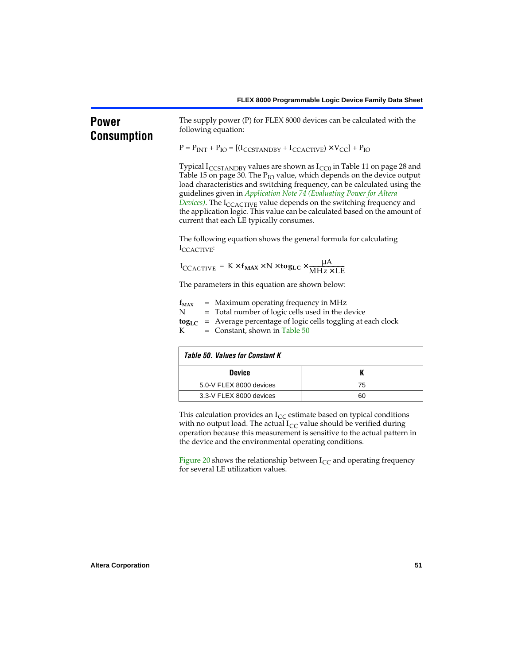# **Power Consumption**

The supply power (P) for FLEX 8000 devices can be calculated with the following equation:

 $P = P_{INT} + P_{IO} = [(I_{CCSTANDBY} + I_{CCACTIVE}) \times V_{CC}] + P_{IO}$ 

Typical I<sub>CCSTANDBY</sub> values are shown as  $I_{CC0}$  in [Table 11 on page 28](#page-27-1) and [Table 15 on page 30.](#page-29-8) The  $P_{IO}$  value, which depends on the device output load characteristics and switching frequency, can be calculated using the guidelines given in *[Application Note 74 \(Evaluating Power for Altera](#page-0-1)*  **Devices**). The I<sub>CCACTIVE</sub> value depends on the switching frequency and the application logic. This value can be calculated based on the amount of current that each LE typically consumes.

The following equation shows the general formula for calculating I<sub>CCACTIVE</sub>:

$$
I_{CCACTIVE} = K \times f_{MAX} \times N \times \text{tog}_{LC} \times \frac{\mu A}{MHz \times LE}
$$

The parameters in this equation are shown below:

| $f_{MAX}$        | $=$ Maximum operating frequency in MHz                                              |
|------------------|-------------------------------------------------------------------------------------|
| N                | = Total number of logic cells used in the device                                    |
|                  | <b>tog</b> <sub>LC</sub> = Average percentage of logic cells toggling at each clock |
| $K_{\mathbb{R}}$ | $=$ Constant, shown in Table 50                                                     |
|                  |                                                                                     |

<span id="page-50-0"></span>

| <b>Table 50. Values for Constant K</b> |    |  |  |  |  |
|----------------------------------------|----|--|--|--|--|
| <b>Device</b>                          |    |  |  |  |  |
| 5.0-V FLEX 8000 devices                | 75 |  |  |  |  |
| 3.3-V FLEX 8000 devices                | 60 |  |  |  |  |

This calculation provides an  $I_{CC}$  estimate based on typical conditions with no output load. The actual  $I_{CC}$  value should be verified during operation because this measurement is sensitive to the actual pattern in the device and the environmental operating conditions.

[Figure 20](#page-51-0) shows the relationship between  $I_{CC}$  and operating frequency for several LE utilization values.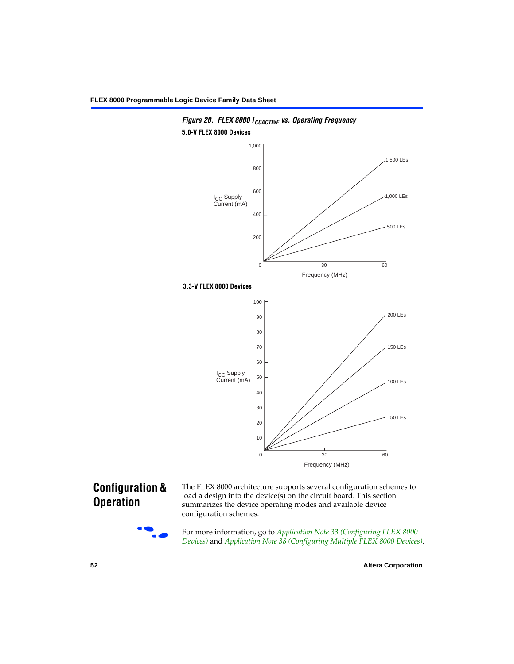

<span id="page-51-0"></span>

# **Configuration & Operation**



The FLEX 8000 architecture supports several configuration schemes to load a design into the device(s) on the circuit board. This section summarizes the device operating modes and available device configuration schemes.

For more information, go to *Application Note 33 (Configuring FLEX 8000 [Devices\)](#page-0-1)* and *[Application Note 38 \(Configuring Multiple FLEX 8000 Devices\)](#page-0-1)*.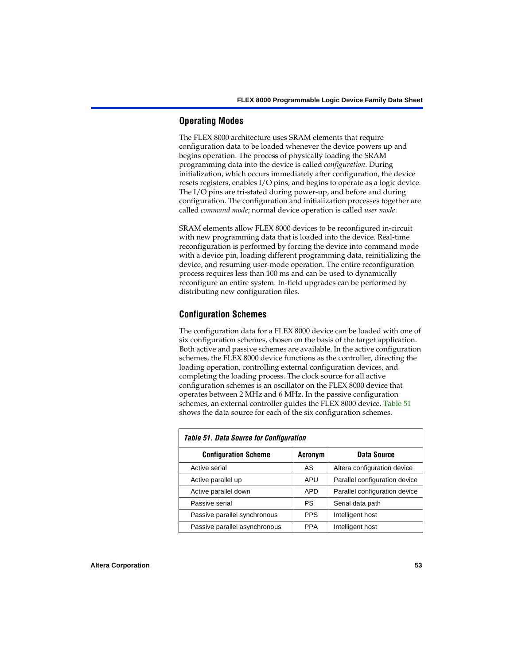## **Operating Modes**

The FLEX 8000 architecture uses SRAM elements that require configuration data to be loaded whenever the device powers up and begins operation. The process of physically loading the SRAM programming data into the device is called *configuration*. During initialization, which occurs immediately after configuration, the device resets registers, enables I/O pins, and begins to operate as a logic device. The I/O pins are tri-stated during power-up, and before and during configuration. The configuration and initialization processes together are called *command mode*; normal device operation is called *user mode*.

SRAM elements allow FLEX 8000 devices to be reconfigured in-circuit with new programming data that is loaded into the device. Real-time reconfiguration is performed by forcing the device into command mode with a device pin, loading different programming data, reinitializing the device, and resuming user-mode operation. The entire reconfiguration process requires less than 100 ms and can be used to dynamically reconfigure an entire system. In-field upgrades can be performed by distributing new configuration files.

# **Configuration Schemes**

The configuration data for a FLEX 8000 device can be loaded with one of six configuration schemes, chosen on the basis of the target application. Both active and passive schemes are available. In the active configuration schemes, the FLEX 8000 device functions as the controller, directing the loading operation, controlling external configuration devices, and completing the loading process. The clock source for all active configuration schemes is an oscillator on the FLEX 8000 device that operates between 2 MHz and 6 MHz. In the passive configuration schemes, an external controller guides the FLEX 8000 device. [Table 51](#page-52-0) shows the data source for each of the six configuration schemes.

<span id="page-52-0"></span>

| <b>Table 51. Data Source for Configuration</b> |                |                               |  |  |  |  |  |  |
|------------------------------------------------|----------------|-------------------------------|--|--|--|--|--|--|
| <b>Configuration Scheme</b>                    | <b>Acronym</b> | Data Source                   |  |  |  |  |  |  |
| Active serial                                  | AS             | Altera configuration device   |  |  |  |  |  |  |
| Active parallel up                             | APU            | Parallel configuration device |  |  |  |  |  |  |
| Active parallel down                           | <b>APD</b>     | Parallel configuration device |  |  |  |  |  |  |
| Passive serial                                 | PS             | Serial data path              |  |  |  |  |  |  |
| Passive parallel synchronous                   | <b>PPS</b>     | Intelligent host              |  |  |  |  |  |  |
| Passive parallel asynchronous                  | <b>PPA</b>     | Intelligent host              |  |  |  |  |  |  |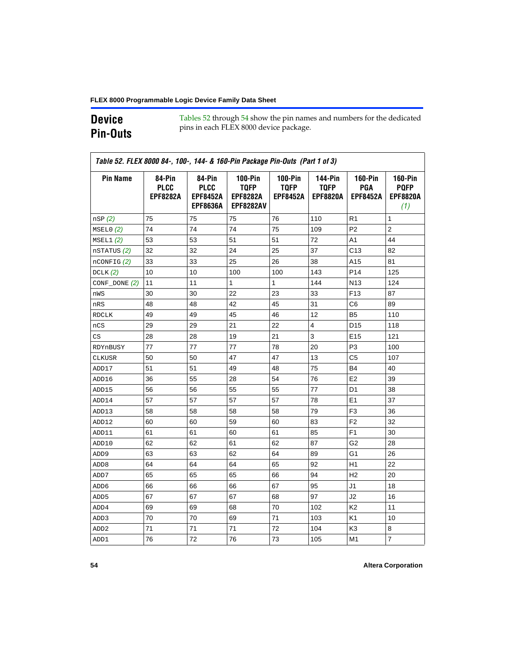# **Device Pin-Outs**

[Tables 52](#page-53-0) through [54](#page-58-0) show the pin names and numbers for the dedicated pins in each FLEX 8000 device package.

<span id="page-53-0"></span>

| <b>Pin Name</b>  | 84-Pin<br><b>PLCC</b><br><b>EPF8282A</b> | 84-Pin<br><b>PLCC</b><br><b>EPF8452A</b><br><b>EPF8636A</b> | <b>100-Pin</b><br><b>TQFP</b><br><b>EPF8282A</b><br><b>EPF8282AV</b> | $100-Pin$<br><b>TQFP</b><br><b>EPF8452A</b> | <b>144-Pin</b><br><b>TQFP</b><br><b>EPF8820A</b> | <b>160-Pin</b><br>PGA<br><b>EPF8452A</b> | <b>160-Pin</b><br><b>PQFP</b><br><b>EPF8820A</b><br>(1) |
|------------------|------------------------------------------|-------------------------------------------------------------|----------------------------------------------------------------------|---------------------------------------------|--------------------------------------------------|------------------------------------------|---------------------------------------------------------|
| nSP(2)           | 75                                       | 75                                                          | 75                                                                   | 76                                          | 110                                              | R1                                       | 1                                                       |
| MSELO(2)         | 74                                       | 74                                                          | 74                                                                   | 75                                          | 109                                              | P <sub>2</sub>                           | $\overline{c}$                                          |
| MSEL1(2)         | 53                                       | 53                                                          | 51                                                                   | 51                                          | 72                                               | A1                                       | 44                                                      |
| nSTATUS (2)      | 32                                       | 32                                                          | 24                                                                   | 25                                          | 37                                               | C <sub>13</sub>                          | 82                                                      |
| $n$ CONFIG $(2)$ | 33                                       | 33                                                          | 25                                                                   | 26                                          | 38                                               | A15                                      | 81                                                      |
| DCLK(2)          | 10                                       | 10                                                          | 100                                                                  | 100                                         | 143                                              | P <sub>14</sub>                          | 125                                                     |
| $CONF\_DONE(2)$  | 11                                       | 11                                                          | $\mathbf{1}$                                                         | $\mathbf{1}$                                | 144                                              | N <sub>13</sub>                          | 124                                                     |
| nWS              | 30                                       | 30                                                          | 22                                                                   | 23                                          | 33                                               | F <sub>13</sub>                          | 87                                                      |
| nRS              | 48                                       | 48                                                          | 42                                                                   | 45                                          | 31                                               | C6                                       | 89                                                      |
| <b>RDCLK</b>     | 49                                       | 49                                                          | 45                                                                   | 46                                          | 12                                               | B5                                       | 110                                                     |
| nCS              | 29                                       | 29                                                          | 21                                                                   | 22                                          | $\overline{4}$                                   | D <sub>15</sub>                          | 118                                                     |
| CS               | 28                                       | 28                                                          | 19                                                                   | 21                                          | 3                                                | E <sub>15</sub>                          | 121                                                     |
| RDYnBUSY         | 77                                       | 77                                                          | 77                                                                   | 78                                          | 20                                               | P3                                       | 100                                                     |
| <b>CLKUSR</b>    | 50                                       | 50                                                          | 47                                                                   | 47                                          | 13                                               | C <sub>5</sub>                           | 107                                                     |
| ADD17            | 51                                       | 51                                                          | 49                                                                   | 48                                          | 75                                               | <b>B4</b>                                | 40                                                      |
| ADD16            | 36                                       | 55                                                          | 28                                                                   | 54                                          | 76                                               | E <sub>2</sub>                           | 39                                                      |
| ADD15            | 56                                       | 56                                                          | 55                                                                   | 55                                          | 77                                               | D <sub>1</sub>                           | 38                                                      |
| ADD14            | 57                                       | 57                                                          | 57                                                                   | 57                                          | 78                                               | E <sub>1</sub>                           | 37                                                      |
| ADD13            | 58                                       | 58                                                          | 58                                                                   | 58                                          | 79                                               | F <sub>3</sub>                           | 36                                                      |
| ADD12            | 60                                       | 60                                                          | 59                                                                   | 60                                          | 83                                               | F <sub>2</sub>                           | 32                                                      |
| ADD11            | 61                                       | 61                                                          | 60                                                                   | 61                                          | 85                                               | F <sub>1</sub>                           | 30                                                      |
| ADD10            | 62                                       | 62                                                          | 61                                                                   | 62                                          | 87                                               | G2                                       | 28                                                      |
| ADD <sub>9</sub> | 63                                       | 63                                                          | 62                                                                   | 64                                          | 89                                               | G1                                       | 26                                                      |
| ADD <sub>8</sub> | 64                                       | 64                                                          | 64                                                                   | 65                                          | 92                                               | H1                                       | 22                                                      |
| ADD7             | 65                                       | 65                                                          | 65                                                                   | 66                                          | 94                                               | H <sub>2</sub>                           | 20                                                      |
| ADD6             | 66                                       | 66                                                          | 66                                                                   | 67                                          | 95                                               | J <sub>1</sub>                           | 18                                                      |
| ADD <sub>5</sub> | 67                                       | 67                                                          | 67                                                                   | 68                                          | 97                                               | J2                                       | 16                                                      |
| ADD4             | 69                                       | 69                                                          | 68                                                                   | 70                                          | 102                                              | K <sub>2</sub>                           | 11                                                      |
| ADD3             | 70                                       | 70                                                          | 69                                                                   | 71                                          | 103                                              | K <sub>1</sub>                           | 10                                                      |
| ADD <sub>2</sub> | 71                                       | 71                                                          | 71                                                                   | 72                                          | 104                                              | K3                                       | 8                                                       |
| ADD1             | 76                                       | 72                                                          | 76                                                                   | 73                                          | 105                                              | M <sub>1</sub>                           | $\overline{7}$                                          |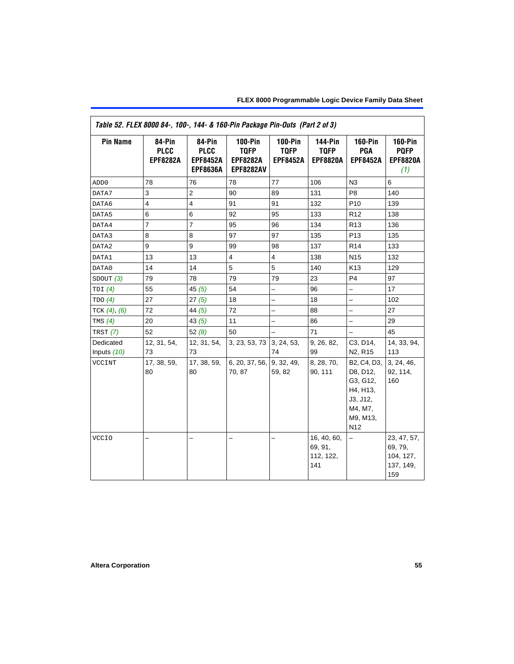| Table 52. FLEX 8000 84-, 100-, 144- & 160-Pin Package Pin-Outs (Part 2 of 3) |                                          |                                                             |                                                                      |                                                  |                                                  |                                                                                                       |                                                         |  |  |
|------------------------------------------------------------------------------|------------------------------------------|-------------------------------------------------------------|----------------------------------------------------------------------|--------------------------------------------------|--------------------------------------------------|-------------------------------------------------------------------------------------------------------|---------------------------------------------------------|--|--|
| <b>Pin Name</b>                                                              | 84-Pin<br><b>PLCC</b><br><b>EPF8282A</b> | 84-Pin<br><b>PLCC</b><br><b>EPF8452A</b><br><b>EPF8636A</b> | <b>100-Pin</b><br><b>TQFP</b><br><b>EPF8282A</b><br><b>EPF8282AV</b> | <b>100-Pin</b><br><b>TQFP</b><br><b>EPF8452A</b> | <b>144-Pin</b><br><b>TQFP</b><br><b>EPF8820A</b> | $160-Pin$<br>PGA<br><b>EPF8452A</b>                                                                   | $160-Pin$<br><b>PQFP</b><br><b>EPF8820A</b><br>(1)      |  |  |
| ADD <sub>0</sub>                                                             | 78                                       | 76                                                          | 78                                                                   | 77                                               | 106                                              | N <sub>3</sub>                                                                                        | 6                                                       |  |  |
| DATA7                                                                        | 3                                        | $\overline{\mathbf{c}}$                                     | 90                                                                   | 89                                               | 131                                              | P <sub>8</sub>                                                                                        | 140                                                     |  |  |
| DATA6                                                                        | $\overline{4}$                           | $\overline{4}$                                              | 91                                                                   | 91                                               | 132                                              | P <sub>10</sub>                                                                                       | 139                                                     |  |  |
| DATA5                                                                        | 6                                        | 6                                                           | 92                                                                   | 95                                               | 133                                              | R <sub>12</sub>                                                                                       | 138                                                     |  |  |
| DATA4                                                                        | $\overline{7}$                           | $\overline{7}$                                              | 95                                                                   | 96                                               | 134                                              | R <sub>13</sub>                                                                                       | 136                                                     |  |  |
| DATA3                                                                        | 8                                        | 8                                                           | 97                                                                   | 97                                               | 135                                              | P <sub>13</sub>                                                                                       | 135                                                     |  |  |
| DATA2                                                                        | 9                                        | 9                                                           | 99                                                                   | 98                                               | 137                                              | R <sub>14</sub>                                                                                       | 133                                                     |  |  |
| DATA1                                                                        | 13                                       | 13                                                          | 4                                                                    | 4                                                | 138                                              | N <sub>15</sub>                                                                                       | 132                                                     |  |  |
| DATA0                                                                        | 14                                       | 14                                                          | 5                                                                    | 5                                                | 140                                              | K13                                                                                                   | 129                                                     |  |  |
| SDOUT (3)                                                                    | 79                                       | 78                                                          | 79                                                                   | 79                                               | 23                                               | P <sub>4</sub>                                                                                        | 97                                                      |  |  |
| TDI $(4)$                                                                    | 55                                       | 45(5)                                                       | 54                                                                   |                                                  | 96                                               | $\overline{\phantom{0}}$                                                                              | 17                                                      |  |  |
| TDO(4)                                                                       | 27                                       | 27(5)                                                       | 18                                                                   | -                                                | 18                                               | $\overline{\phantom{0}}$                                                                              | 102                                                     |  |  |
| TCK $(4)$ , $(6)$                                                            | 72                                       | 44 $(5)$                                                    | 72                                                                   | $\overline{\phantom{0}}$                         | 88                                               | $\overline{\phantom{0}}$                                                                              | 27                                                      |  |  |
| TMS $(4)$                                                                    | 20                                       | 43 $(5)$                                                    | 11                                                                   | $\overline{\phantom{0}}$                         | 86                                               | $\overline{a}$                                                                                        | 29                                                      |  |  |
| TRST $(7)$                                                                   | 52                                       | 52(8)                                                       | 50                                                                   |                                                  | 71                                               | $\overline{\phantom{0}}$                                                                              | 45                                                      |  |  |
| Dedicated                                                                    | 12, 31, 54,                              | 12, 31, 54,                                                 | 3, 23, 53, 73 3, 24, 53,                                             |                                                  | 9, 26, 82,                                       | C3, D14,                                                                                              | 14, 33, 94,                                             |  |  |
| Inputs (10)                                                                  | 73                                       | 73                                                          |                                                                      | 74                                               | 99                                               | N <sub>2</sub> , R <sub>15</sub>                                                                      | 113                                                     |  |  |
| VCCINT                                                                       | 17, 38, 59,<br>80                        | 17, 38, 59,<br>80                                           | 6, 20, 37, 56,<br>70, 87                                             | 9, 32, 49,<br>59, 82                             | 8, 28, 70,<br>90, 111                            | B2, C4, D3,<br>D8, D12,<br>G3, G12,<br>H4, H13,<br>J3, J12,<br>M4, M7,<br>M9, M13,<br>N <sub>12</sub> | 3, 24, 46,<br>92, 114,<br>160                           |  |  |
| <b>VCCIO</b>                                                                 |                                          |                                                             |                                                                      |                                                  | 16, 40, 60,<br>69, 91,<br>112, 122,<br>141       |                                                                                                       | 23, 47, 57,<br>69, 79,<br>104, 127,<br>137, 149,<br>159 |  |  |

 $\mathsf{r}$ 

٦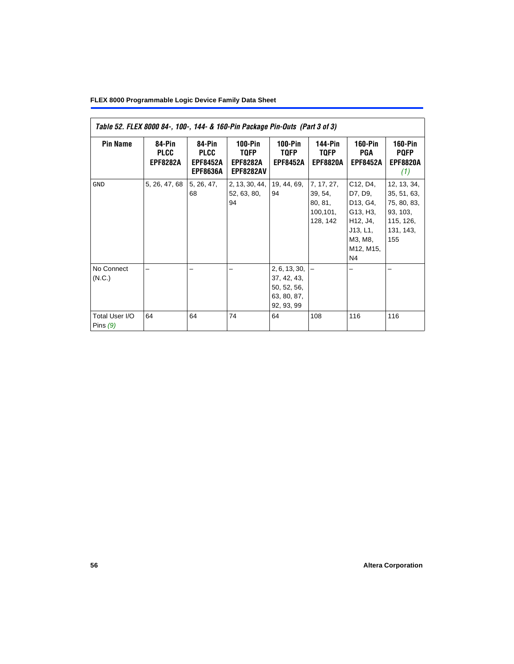### **FLEX 8000 Programmable Logic Device Family Data Sheet**

| Table 52. FLEX 8000 84-, 100-, 144- & 160-Pin Package Pin-Outs (Part 3 of 3) |                                          |                                                             |                                                               |                                                                          |                                                          |                                                                                                                                                       |                                                                                        |  |  |
|------------------------------------------------------------------------------|------------------------------------------|-------------------------------------------------------------|---------------------------------------------------------------|--------------------------------------------------------------------------|----------------------------------------------------------|-------------------------------------------------------------------------------------------------------------------------------------------------------|----------------------------------------------------------------------------------------|--|--|
| <b>Pin Name</b>                                                              | 84-Pin<br><b>PLCC</b><br><b>EPF8282A</b> | 84-Pin<br><b>PLCC</b><br><b>EPF8452A</b><br><b>EPF8636A</b> | 100-Pin<br><b>TQFP</b><br><b>EPF8282A</b><br><b>EPF8282AV</b> | $100-Pin$<br>TQFP<br><b>EPF8452A</b>                                     | 144-Pin<br><b>TQFP</b><br><b>EPF8820A</b>                | <b>160-Pin</b><br>PGA<br><b>EPF8452A</b>                                                                                                              | 160-Pin<br><b>PQFP</b><br><b>EPF8820A</b><br>(1)                                       |  |  |
| GND                                                                          | 5, 26, 47, 68                            | 5, 26, 47,<br>68                                            | 2, 13, 30, 44,<br>52, 63, 80,<br>94                           | 19, 44, 69,<br>94                                                        | 7, 17, 27,<br>39, 54,<br>80, 81,<br>100,101,<br>128, 142 | C <sub>12</sub> , D <sub>4</sub> ,<br>D7, D9,<br>D <sub>13</sub> , G <sub>4</sub> ,<br>G13, H3,<br>H12, J4,<br>J13, L1,<br>M3, M8,<br>M12, M15,<br>N4 | 12, 13, 34,<br>35, 51, 63,<br>75, 80, 83,<br>93, 103,<br>115, 126,<br>131, 143,<br>155 |  |  |
| No Connect<br>(N.C.)                                                         |                                          |                                                             |                                                               | 2, 6, 13, 30,<br>37, 42, 43,<br>50, 52, 56,<br>63, 80, 87,<br>92, 93, 99 |                                                          |                                                                                                                                                       |                                                                                        |  |  |
| Total User I/O<br>Pins $(9)$                                                 | 64                                       | 64                                                          | 74                                                            | 64                                                                       | 108                                                      | 116                                                                                                                                                   | 116                                                                                    |  |  |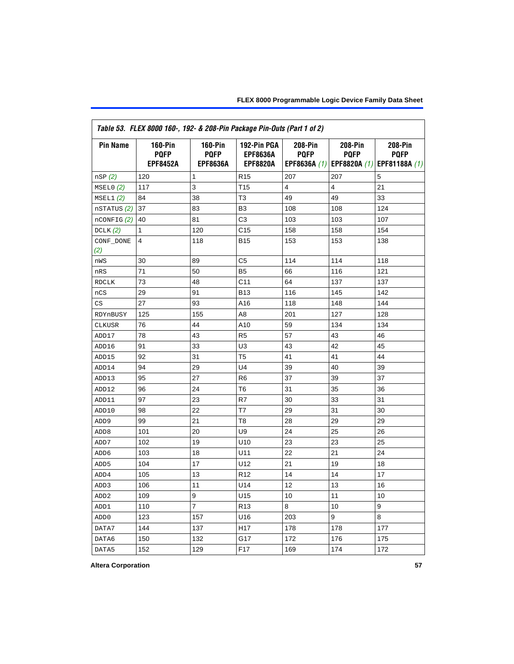|                  | Table 53. FLEX 8000 160-, 192- & 208-Pin Package Pin-Outs (Part 1 of 2) |                          |                                |                        |                               |                               |
|------------------|-------------------------------------------------------------------------|--------------------------|--------------------------------|------------------------|-------------------------------|-------------------------------|
| <b>Pin Name</b>  | <b>160-Pin</b><br><b>PQFP</b>                                           | $160-Pin$<br><b>PQFP</b> | 192-Pin PGA<br><b>EPF8636A</b> | 208-Pin<br><b>PQFP</b> | <b>208-Pin</b><br><b>PQFP</b> | <b>208-Pin</b><br><b>PQFP</b> |
|                  | <b>EPF8452A</b>                                                         | <b>EPF8636A</b>          | <b>EPF8820A</b>                | EPF8636A (1)           | <b>EPF8820A (1)</b>           | EPF81188A (1)                 |
| nSP(2)           | 120                                                                     | 1                        | R <sub>15</sub>                | 207                    | 207                           | 5                             |
| MSELO(2)         | 117                                                                     | 3                        | T <sub>15</sub>                | 4                      | 4                             | 21                            |
| MSEL1(2)         | 84                                                                      | 38                       | T <sub>3</sub>                 | 49                     | 49                            | 33                            |
| nSTATUS (2)      | 37                                                                      | 83                       | B <sub>3</sub>                 | 108                    | 108                           | 124                           |
| $n$ CONFIG $(2)$ | 40                                                                      | 81                       | C <sub>3</sub>                 | 103                    | 103                           | 107                           |
| DCLK $(2)$       | $\mathbf{1}$                                                            | 120                      | C <sub>15</sub>                | 158                    | 158                           | 154                           |
| CONF_DONE        | 4                                                                       | 118                      | <b>B15</b>                     | 153                    | 153                           | 138                           |
| (2)              |                                                                         |                          |                                |                        |                               |                               |
| nWS              | 30                                                                      | 89                       | C5                             | 114                    | 114                           | 118                           |
| nRS              | 71                                                                      | 50                       | B <sub>5</sub>                 | 66                     | 116                           | 121                           |
| <b>RDCLK</b>     | 73                                                                      | 48                       | C <sub>11</sub>                | 64                     | 137                           | 137                           |
| nCS              | 29                                                                      | 91                       | <b>B13</b>                     | 116                    | 145                           | 142                           |
| CS               | 27                                                                      | 93                       | A16                            | 118                    | 148                           | 144                           |
| RDYnBUSY         | 125                                                                     | 155                      | A8                             | 201                    | 127                           | 128                           |
| CLKUSR           | 76                                                                      | 44                       | A10                            | 59                     | 134                           | 134                           |
| ADD17            | 78                                                                      | 43                       | R <sub>5</sub>                 | 57                     | 43                            | 46                            |
| ADD16            | 91                                                                      | 33                       | U <sub>3</sub>                 | 43                     | 42                            | 45                            |
| ADD15            | 92                                                                      | 31                       | T <sub>5</sub>                 | 41                     | 41                            | 44                            |
| ADD14            | 94                                                                      | 29                       | U <sub>4</sub>                 | 39                     | 40                            | 39                            |
| ADD13            | 95                                                                      | 27                       | R <sub>6</sub>                 | 37                     | 39                            | 37                            |
| ADD12            | 96                                                                      | 24                       | T <sub>6</sub>                 | 31                     | 35                            | 36                            |
| ADD11            | 97                                                                      | 23                       | R7                             | 30                     | 33                            | 31                            |
| ADD10            | 98                                                                      | 22                       | T7                             | 29                     | 31                            | 30                            |
| ADD <sub>9</sub> | 99                                                                      | 21                       | T <sub>8</sub>                 | 28                     | 29                            | 29                            |
| ADD <sub>8</sub> | 101                                                                     | 20                       | U <sub>9</sub>                 | 24                     | 25                            | 26                            |
| ADD7             | 102                                                                     | 19                       | U10                            | 23                     | 23                            | 25                            |
| ADD <sub>6</sub> | 103                                                                     | 18                       | U11                            | 22                     | 21                            | 24                            |
| ADD <sub>5</sub> | 104                                                                     | 17                       | U <sub>12</sub>                | 21                     | 19                            | 18                            |
| ADD4             | 105                                                                     | 13                       | R <sub>12</sub>                | 14                     | 14                            | 17                            |
| ADD <sub>3</sub> | 106                                                                     | 11                       | U14                            | 12                     | 13                            | 16                            |
| ADD <sub>2</sub> | 109                                                                     | 9                        | U <sub>15</sub>                | 10                     | 11                            | 10                            |
| ADD1             | 110                                                                     | $\overline{7}$           | R <sub>13</sub>                | 8                      | 10                            | 9                             |
| ADD <sub>0</sub> | 123                                                                     | 157                      | U16                            | 203                    | 9                             | 8                             |
| DATA7            | 144                                                                     | 137                      | H <sub>17</sub>                | 178                    | 178                           | 177                           |
| DATA6            | 150                                                                     | 132                      | G17                            | 172                    | 176                           | 175                           |
| DATA5            | 152                                                                     | 129                      | F <sub>17</sub>                | 169                    | 174                           | 172                           |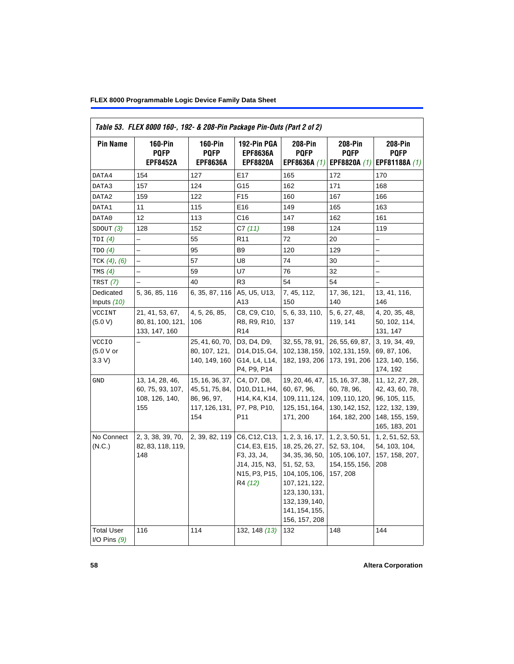| Table 53. FLEX 8000 160-, 192- & 208-Pin Package Pin-Outs (Part 2 of 2) |                                                              |                                                                            |                                                                                                                                   |                                                                                                                                                                                  |                                                                                     |                                                                                                          |  |
|-------------------------------------------------------------------------|--------------------------------------------------------------|----------------------------------------------------------------------------|-----------------------------------------------------------------------------------------------------------------------------------|----------------------------------------------------------------------------------------------------------------------------------------------------------------------------------|-------------------------------------------------------------------------------------|----------------------------------------------------------------------------------------------------------|--|
| <b>Pin Name</b>                                                         | <b>160-Pin</b><br><b>PQFP</b><br><b>EPF8452A</b>             | $160-Pin$<br><b>PQFP</b><br><b>EPF8636A</b>                                | 192-Pin PGA<br><b>EPF8636A</b><br><b>EPF8820A</b>                                                                                 | <b>208-Pin</b><br><b>PQFP</b><br>EPF8636A (1)                                                                                                                                    | 208-Pin<br><b>POFP</b><br>EPF8820A (1)                                              | 208-Pin<br><b>PQFP</b><br>EPF81188A (1)                                                                  |  |
|                                                                         |                                                              |                                                                            |                                                                                                                                   |                                                                                                                                                                                  |                                                                                     |                                                                                                          |  |
| DATA4                                                                   | 154                                                          | 127                                                                        | E17                                                                                                                               | 165                                                                                                                                                                              | 172                                                                                 | 170                                                                                                      |  |
| DATA3                                                                   | 157                                                          | 124                                                                        | G15                                                                                                                               | 162                                                                                                                                                                              | 171                                                                                 | 168                                                                                                      |  |
| DATA2                                                                   | 159                                                          | 122                                                                        | F <sub>15</sub>                                                                                                                   | 160                                                                                                                                                                              | 167                                                                                 | 166                                                                                                      |  |
| DATA1                                                                   | 11                                                           | 115                                                                        | E16                                                                                                                               | 149                                                                                                                                                                              | 165                                                                                 | 163                                                                                                      |  |
| DATA0                                                                   | 12                                                           | 113                                                                        | C <sub>16</sub>                                                                                                                   | 147                                                                                                                                                                              | 162                                                                                 | 161                                                                                                      |  |
| SDOUT $(3)$                                                             | 128                                                          | 152                                                                        | C7(11)                                                                                                                            | 198                                                                                                                                                                              | 124                                                                                 | 119                                                                                                      |  |
| TDI(4)                                                                  |                                                              | 55                                                                         | R <sub>11</sub>                                                                                                                   | 72                                                                                                                                                                               | 20                                                                                  |                                                                                                          |  |
| TDO (4)                                                                 |                                                              | 95                                                                         | B <sub>9</sub>                                                                                                                    | 120                                                                                                                                                                              | 129                                                                                 |                                                                                                          |  |
| TCK $(4)$ , $(6)$                                                       | $\overline{a}$                                               | 57                                                                         | U8                                                                                                                                | 74                                                                                                                                                                               | 30                                                                                  |                                                                                                          |  |
| TMS $(4)$                                                               |                                                              | 59                                                                         | <b>U7</b>                                                                                                                         | 76                                                                                                                                                                               | 32                                                                                  | $\overline{\phantom{0}}$                                                                                 |  |
| <b>TRST</b> (7)                                                         |                                                              | 40                                                                         | R <sub>3</sub>                                                                                                                    | 54                                                                                                                                                                               | 54                                                                                  |                                                                                                          |  |
| Dedicated<br>Inputs (10)                                                | 5, 36, 85, 116                                               | 6, 35, 87, 116                                                             | A5, U5, U13,<br>A13                                                                                                               | 7, 45, 112,<br>150                                                                                                                                                               | 17, 36, 121,<br>140                                                                 | 13, 41, 116,<br>146                                                                                      |  |
| <b>VCCINT</b><br>(5.0 V)                                                | 21, 41, 53, 67,<br>80, 81, 100, 121,<br>133, 147, 160        | 4, 5, 26, 85,<br>106                                                       | C8, C9, C10,<br>R8, R9, R10,<br>R <sub>14</sub>                                                                                   | 5, 6, 33, 110,<br>137                                                                                                                                                            | 5, 6, 27, 48,<br>119, 141                                                           | 4, 20, 35, 48,<br>50, 102, 114,<br>131, 147                                                              |  |
| <b>VCCIO</b><br>(5.0 V or<br>3.3 V                                      |                                                              | 25, 41, 60, 70,<br>80, 107, 121,<br>140, 149, 160                          | D3, D4, D9,<br>D14, D15, G4,<br>G14, L4, L14,<br>P4, P9, P14                                                                      | 32, 55, 78, 91,<br>102, 138, 159,<br>182, 193, 206                                                                                                                               | 26, 55, 69, 87,<br>102, 131, 159,<br>173, 191, 206                                  | 3, 19, 34, 49,<br>69, 87, 106,<br>123, 140, 156,<br>174, 192                                             |  |
| GND                                                                     | 13, 14, 28, 46,<br>60, 75, 93, 107,<br>108, 126, 140,<br>155 | 15, 16, 36, 37,<br>45, 51, 75, 84,<br>86, 96, 97,<br>117, 126, 131,<br>154 | C4, D7, D8,<br>D <sub>10</sub> , D <sub>11</sub> , H <sub>4</sub> ,<br>H14, K4, K14,<br>P7, P8, P10,<br>P11                       | 19, 20, 46, 47,<br>60, 67, 96,<br>109, 111, 124,<br>125, 151, 164,<br>171, 200                                                                                                   | 15, 16, 37, 38,<br>60, 78, 96,<br>109, 110, 120,<br>130, 142, 152,<br>164, 182, 200 | 11, 12, 27, 28,<br>42, 43, 60, 78,<br>96, 105, 115,<br>122, 132, 139,<br>148, 155, 159,<br>165, 183, 201 |  |
| No Connect<br>(N.C.)                                                    | 2, 3, 38, 39, 70,<br>82, 83, 118, 119,<br>148                | 2, 39, 82, 119                                                             | C6, C12, C13,<br>C14, E3, E15,<br>F3, J3, J4,<br>J14, J15, N3,<br>N <sub>15</sub> , P <sub>3</sub> , P <sub>15</sub> ,<br>R4 (12) | 1, 2, 3, 16, 17,<br>18, 25, 26, 27,<br>34, 35, 36, 50,<br>51, 52, 53,<br>104, 105, 106,<br>107, 121, 122,<br>123, 130, 131,<br>132, 139, 140,<br>141, 154, 155,<br>156, 157, 208 | 1, 2, 3, 50, 51,<br>52, 53, 104,<br>105, 106, 107,<br>154, 155, 156,<br>157, 208    | 1, 2, 51, 52, 53,<br>54, 103, 104,<br>157, 158, 207,<br>208                                              |  |
| <b>Total User</b><br>I/O Pins $(9)$                                     | 116                                                          | 114                                                                        | 132, 148 (13)                                                                                                                     | 132                                                                                                                                                                              | 148                                                                                 | 144                                                                                                      |  |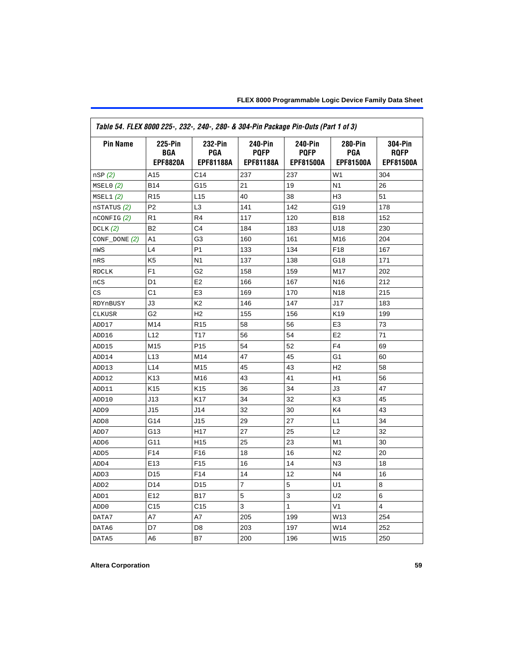<span id="page-58-0"></span>

| Table 54. FLEX 8000 225-, 232-, 240-, 280- & 304-Pin Package Pin-Outs (Part 1 of 3) |                                          |                                           |                                                   |                                                   |                                           |                                            |  |  |
|-------------------------------------------------------------------------------------|------------------------------------------|-------------------------------------------|---------------------------------------------------|---------------------------------------------------|-------------------------------------------|--------------------------------------------|--|--|
| <b>Pin Name</b>                                                                     | 225-Pin<br><b>BGA</b><br><b>EPF8820A</b> | 232-Pin<br><b>PGA</b><br><b>EPF81188A</b> | <b>240-Pin</b><br><b>PQFP</b><br><b>EPF81188A</b> | <b>240-Pin</b><br><b>PQFP</b><br><b>EPF81500A</b> | 280-Pin<br><b>PGA</b><br><b>EPF81500A</b> | 304-Pin<br><b>ROFP</b><br><b>EPF81500A</b> |  |  |
| nSP(2)                                                                              | A15                                      | C <sub>14</sub>                           | 237                                               | 237                                               | W <sub>1</sub>                            | 304                                        |  |  |
| MSELO(2)                                                                            | <b>B14</b>                               | G15                                       | 21                                                | 19                                                | N <sub>1</sub>                            | 26                                         |  |  |
| MSEL1(2)                                                                            | R <sub>15</sub>                          | L15                                       | 40                                                | 38                                                | H <sub>3</sub>                            | 51                                         |  |  |
| nSTATUS (2)                                                                         | P <sub>2</sub>                           | L <sub>3</sub>                            | 141                                               | 142                                               | G19                                       | 178                                        |  |  |
| $n$ CONFIG $(2)$                                                                    | R <sub>1</sub>                           | R4                                        | 117                                               | 120                                               | <b>B18</b>                                | 152                                        |  |  |
| DCLK $(2)$                                                                          | B <sub>2</sub>                           | C <sub>4</sub>                            | 184                                               | 183                                               | U18                                       | 230                                        |  |  |
| $CONF\_DONE(2)$                                                                     | A1                                       | G <sub>3</sub>                            | 160                                               | 161                                               | M16                                       | 204                                        |  |  |
| nWS                                                                                 | L4                                       | P <sub>1</sub>                            | 133                                               | 134                                               | F <sub>18</sub>                           | 167                                        |  |  |
| nRS                                                                                 | K <sub>5</sub>                           | N <sub>1</sub>                            | 137                                               | 138                                               | G18                                       | 171                                        |  |  |
| <b>RDCLK</b>                                                                        | F <sub>1</sub>                           | G <sub>2</sub>                            | 158                                               | 159                                               | M17                                       | 202                                        |  |  |
| nCS                                                                                 | D <sub>1</sub>                           | E <sub>2</sub>                            | 166                                               | 167                                               | N <sub>16</sub>                           | 212                                        |  |  |
| $\mathbb{C}\mathbb{S}$                                                              | C <sub>1</sub>                           | E <sub>3</sub>                            | 169                                               | 170                                               | N <sub>18</sub>                           | 215                                        |  |  |
| RDYnBUSY                                                                            | J3                                       | K <sub>2</sub>                            | 146                                               | 147                                               | J17                                       | 183                                        |  |  |
| CLKUSR                                                                              | G <sub>2</sub>                           | H <sub>2</sub>                            | 155                                               | 156                                               | K <sub>19</sub>                           | 199                                        |  |  |
| ADD17                                                                               | M14                                      | R <sub>15</sub>                           | 58                                                | 56                                                | E <sub>3</sub>                            | 73                                         |  |  |
| ADD16                                                                               | L12                                      | T <sub>17</sub>                           | 56                                                | 54                                                | E <sub>2</sub>                            | 71                                         |  |  |
| ADD15                                                                               | M15                                      | P <sub>15</sub>                           | 54                                                | 52                                                | F <sub>4</sub>                            | 69                                         |  |  |
| ADD14                                                                               | L <sub>13</sub>                          | M14                                       | 47                                                | 45                                                | G <sub>1</sub>                            | 60                                         |  |  |
| ADD13                                                                               | L <sub>14</sub>                          | M <sub>15</sub>                           | 45                                                | 43                                                | H <sub>2</sub>                            | 58                                         |  |  |
| ADD12                                                                               | K13                                      | M16                                       | 43                                                | 41                                                | H1                                        | 56                                         |  |  |
| ADD11                                                                               | K <sub>15</sub>                          | K <sub>15</sub>                           | 36                                                | 34                                                | J3                                        | 47                                         |  |  |
| ADD10                                                                               | J13                                      | K17                                       | 34                                                | 32                                                | K <sub>3</sub>                            | 45                                         |  |  |
| ADD <sub>9</sub>                                                                    | J15                                      | J14                                       | 32                                                | 30                                                | K4                                        | 43                                         |  |  |
| ADD <sub>8</sub>                                                                    | G14                                      | J15                                       | 29                                                | 27                                                | L1                                        | 34                                         |  |  |
| ADD7                                                                                | G13                                      | H <sub>17</sub>                           | 27                                                | 25                                                | L2                                        | 32                                         |  |  |
| ADD <sub>6</sub>                                                                    | G11                                      | H <sub>15</sub>                           | 25                                                | 23                                                | M1                                        | 30                                         |  |  |
| ADD <sub>5</sub>                                                                    | F14                                      | F16                                       | 18                                                | 16                                                | N <sub>2</sub>                            | 20                                         |  |  |
| ADD4                                                                                | E13                                      | F <sub>15</sub>                           | 16                                                | 14                                                | N <sub>3</sub>                            | 18                                         |  |  |
| ADD3                                                                                | D <sub>15</sub>                          | F14                                       | 14                                                | 12                                                | N <sub>4</sub>                            | 16                                         |  |  |
| ADD <sub>2</sub>                                                                    | D <sub>14</sub>                          | D <sub>15</sub>                           | $\overline{7}$                                    | 5                                                 | U1                                        | 8                                          |  |  |
| ADD1                                                                                | E <sub>12</sub>                          | <b>B17</b>                                | 5                                                 | 3                                                 | U <sub>2</sub>                            | 6                                          |  |  |
| ADD <sub>0</sub>                                                                    | C <sub>15</sub>                          | C <sub>15</sub>                           | 3                                                 | $\mathbf{1}$                                      | V <sub>1</sub>                            | 4                                          |  |  |
| DATA7                                                                               | A7                                       | A7                                        | 205                                               | 199                                               | W13                                       | 254                                        |  |  |
| DATA6                                                                               | D7                                       | D <sub>8</sub>                            | 203                                               | 197                                               | W14                                       | 252                                        |  |  |
| DATA5                                                                               | A6                                       | B7                                        | 200                                               | 196                                               | W15                                       | 250                                        |  |  |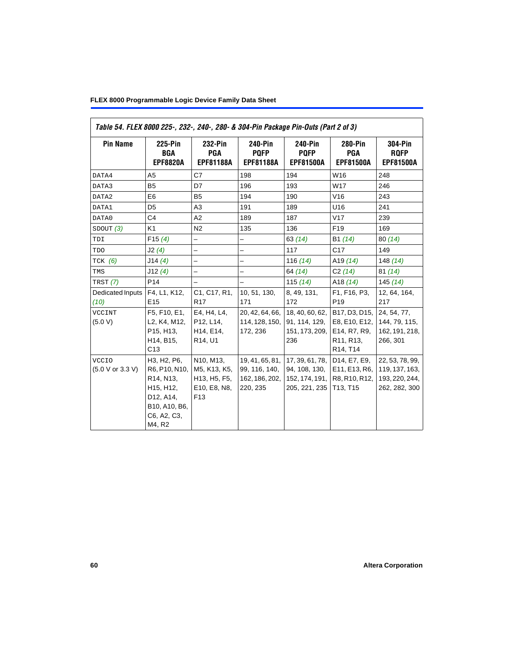| Table 54. FLEX 8000 225-, 232-, 240-, 280- & 304-Pin Package Pin-Outs (Part 2 of 3) |                                                                                                                                         |                                                                              |                                                                |                                                                     |                                                                                                                            |                                                                      |  |  |  |
|-------------------------------------------------------------------------------------|-----------------------------------------------------------------------------------------------------------------------------------------|------------------------------------------------------------------------------|----------------------------------------------------------------|---------------------------------------------------------------------|----------------------------------------------------------------------------------------------------------------------------|----------------------------------------------------------------------|--|--|--|
| <b>Pin Name</b>                                                                     | 225-Pin<br>BGA<br><b>EPF8820A</b>                                                                                                       | 232-Pin<br><b>PGA</b><br><b>EPF81188A</b>                                    | 240-Pin<br><b>PQFP</b><br><b>EPF81188A</b>                     | <b>240-Pin</b><br><b>PQFP</b><br><b>EPF81500A</b>                   | <b>280-Pin</b><br><b>PGA</b><br><b>EPF81500A</b>                                                                           | <b>304-Pin</b><br><b>RQFP</b><br><b>EPF81500A</b>                    |  |  |  |
| DATA4                                                                               | A <sub>5</sub>                                                                                                                          | C7                                                                           | 198                                                            | 194                                                                 | W16                                                                                                                        | 248                                                                  |  |  |  |
| DATA3                                                                               | <b>B5</b>                                                                                                                               | D7                                                                           | 196                                                            | 193                                                                 | W17                                                                                                                        | 246                                                                  |  |  |  |
| DATA2                                                                               | E <sub>6</sub>                                                                                                                          | <b>B5</b>                                                                    | 194                                                            | 190                                                                 | V16                                                                                                                        | 243                                                                  |  |  |  |
| DATA1                                                                               | D <sub>5</sub>                                                                                                                          | A3                                                                           | 191                                                            | 189                                                                 | U16                                                                                                                        | 241                                                                  |  |  |  |
| DATA0                                                                               | C <sub>4</sub>                                                                                                                          | A2                                                                           | 189                                                            | 187                                                                 | V17                                                                                                                        | 239                                                                  |  |  |  |
| SDOUT (3)                                                                           | K <sub>1</sub>                                                                                                                          | N <sub>2</sub>                                                               | 135                                                            | 136                                                                 | F <sub>19</sub>                                                                                                            | 169                                                                  |  |  |  |
| TDI                                                                                 | F15(4)                                                                                                                                  | $\overline{\phantom{0}}$                                                     | $\overline{\phantom{0}}$                                       | 63(14)                                                              | B1 (14)                                                                                                                    | 80(14)                                                               |  |  |  |
| TDO                                                                                 | J2(4)                                                                                                                                   | $\overline{\phantom{0}}$                                                     | $\overline{\phantom{0}}$                                       | 117                                                                 | C <sub>17</sub>                                                                                                            | 149                                                                  |  |  |  |
| $TCK$ (6)                                                                           | J14(4)                                                                                                                                  | $\overline{\phantom{0}}$                                                     |                                                                | 116(14)                                                             | A <sub>19</sub> $(14)$                                                                                                     | 148 $(14)$                                                           |  |  |  |
| TMS                                                                                 | J12(4)                                                                                                                                  | $\overline{\phantom{0}}$                                                     | $\overline{\phantom{0}}$                                       | 64 (14)                                                             | C2(14)                                                                                                                     | 81(14)                                                               |  |  |  |
| TRST (7)                                                                            | P <sub>14</sub>                                                                                                                         | $\overline{\phantom{0}}$                                                     |                                                                | 115 $(14)$                                                          | A <sub>18</sub> $(14)$                                                                                                     | 145(14)                                                              |  |  |  |
| Dedicated Inputs<br>(10)                                                            | F4, L1, K12,<br>E <sub>15</sub>                                                                                                         | C1, C17, R1,<br>R <sub>17</sub>                                              | 10, 51, 130,<br>171                                            | 8, 49, 131,<br>172                                                  | F1, F16, P3,<br>P <sub>19</sub>                                                                                            | 12, 64, 164,<br>217                                                  |  |  |  |
| VCCINT<br>(5.0 V)                                                                   | F5, F10, E1,<br>L2, K4, M12,<br>P15. H13.<br>H14, B15,<br>C <sub>13</sub>                                                               | E4, H4, L4,<br>P12, L14,<br>H <sub>14</sub> , E <sub>14</sub> ,<br>R14, U1   | 20, 42, 64, 66,<br>114, 128, 150,<br>172, 236                  | 18, 40, 60, 62,<br>91, 114, 129,<br>151, 173, 209,<br>236           | B17, D3, D15,<br>E8, E10, E12,<br>E14, R7, R9,<br>R <sub>11</sub> , R <sub>13</sub> ,<br>R <sub>14</sub> , T <sub>14</sub> | 24, 54, 77,<br>144, 79, 115,<br>162, 191, 218,<br>266, 301           |  |  |  |
| <b>VCCIO</b><br>(5.0 V or 3.3 V)                                                    | H3, H2, P6,<br>R6, P10, N10,<br>R <sub>14</sub> , N <sub>13</sub> ,<br>H15, H12,<br>D12, A14,<br>B10, A10, B6,<br>C6, A2, C3,<br>M4, R2 | N10, M13,<br>M5, K13, K5,<br>H13, H5, F5,<br>E10, E8, N8,<br>F <sub>13</sub> | 19, 41, 65, 81,<br>99, 116, 140,<br>162, 186, 202,<br>220, 235 | 17, 39, 61, 78,<br>94, 108, 130,<br>152, 174, 191,<br>205, 221, 235 | D14, E7, E9,<br>E11, E13, R6,<br>R8, R10, R12,<br>T <sub>13</sub> , T <sub>15</sub>                                        | 22, 53, 78, 99,<br>119, 137, 163,<br>193, 220, 244,<br>262, 282, 300 |  |  |  |

 $\overline{\mathbf{1}}$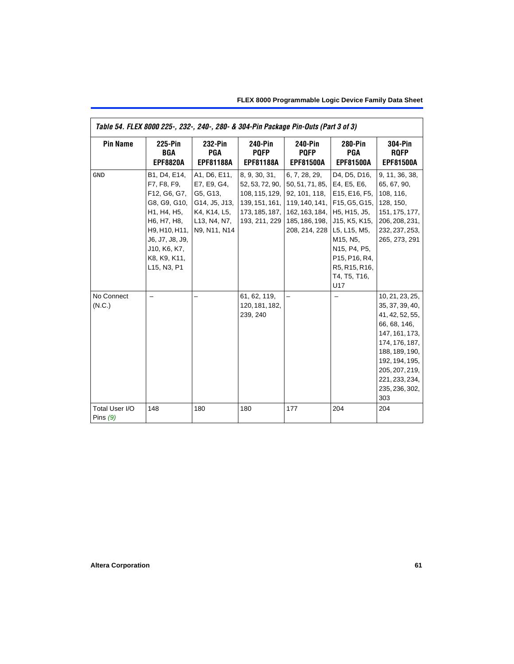| Table 54. FLEX 8000 225-, 232-, 240-, 280- & 304-Pin Package Pin-Outs (Part 3 of 3) |                                                                                                                                                                              |                                                                                                          |                                                                                                         |                                                                                                                                                                               |                                                                                                                                    |                                                                                                                                                                                                            |  |  |  |  |
|-------------------------------------------------------------------------------------|------------------------------------------------------------------------------------------------------------------------------------------------------------------------------|----------------------------------------------------------------------------------------------------------|---------------------------------------------------------------------------------------------------------|-------------------------------------------------------------------------------------------------------------------------------------------------------------------------------|------------------------------------------------------------------------------------------------------------------------------------|------------------------------------------------------------------------------------------------------------------------------------------------------------------------------------------------------------|--|--|--|--|
| <b>Pin Name</b>                                                                     | <b>225-Pin</b><br>BGA<br><b>EPF8820A</b>                                                                                                                                     | 232-Pin<br>PGA<br><b>EPF81188A</b>                                                                       | <b>240-Pin</b><br><b>POFP</b><br><b>EPF81188A</b>                                                       | <b>240-Pin</b><br><b>PQFP</b><br><b>EPF81500A</b>                                                                                                                             | <b>280-Pin</b><br><b>PGA</b><br><b>EPF81500A</b>                                                                                   | <b>304-Pin</b><br><b>ROFP</b><br><b>EPF81500A</b>                                                                                                                                                          |  |  |  |  |
| <b>GND</b>                                                                          | B1, D4, E14,<br>F7, F8, F9,<br>F12, G6, G7,<br>G8, G9, G10,<br>H1, H4, H5,<br>H6, H7, H8,<br>H9, H10, H11,<br>J6, J7, J8, J9,<br>J10, K6, K7,<br>K8, K9, K11,<br>L15, N3, P1 | A1, D6, E11,<br>E7, E9, G4,<br>G5, G13,<br>G14, J5, J13,<br>K4, K14, L5,<br>L13, N4, N7,<br>N9, N11, N14 | 8, 9, 30, 31,<br>52, 53, 72, 90,<br>108, 115, 129,<br>139, 151, 161,<br>173, 185, 187,<br>193, 211, 229 | 6, 7, 28, 29,<br>50, 51, 71, 85, E4, E5, E6,<br>92, 101, 118,<br>119, 140, 141, F15, G5, G15,<br>162, 163, 184, H5, H15, J5,<br>185, 186, 198, 115, K5, K15,<br>208, 214, 228 | D4, D5, D16,<br>E15, E16, F5,<br>L5, L15, M5,<br>M15, N5,<br>N15, P4, P5,<br>P15, P16, R4,<br>R5, R15, R16,<br>T4, T5, T16,<br>U17 | 9, 11, 36, 38,<br>65, 67, 90,<br>108, 116,<br>128, 150,<br>151, 175, 177,<br>206, 208, 231,<br>232, 237, 253,<br>265, 273, 291                                                                             |  |  |  |  |
| No Connect<br>(N.C.)                                                                |                                                                                                                                                                              |                                                                                                          | 61, 62, 119,<br>120, 181, 182,<br>239, 240                                                              |                                                                                                                                                                               |                                                                                                                                    | 10, 21, 23, 25,<br>35, 37, 39, 40,<br>41, 42, 52, 55,<br>66, 68, 146,<br>147, 161, 173,<br>174, 176, 187,<br>188, 189, 190,<br>192, 194, 195,<br>205, 207, 219,<br>221, 233, 234,<br>235, 236, 302,<br>303 |  |  |  |  |
| Total User I/O<br>Pins $(9)$                                                        | 148                                                                                                                                                                          | 180                                                                                                      | 180                                                                                                     | 177                                                                                                                                                                           | 204                                                                                                                                | 204                                                                                                                                                                                                        |  |  |  |  |